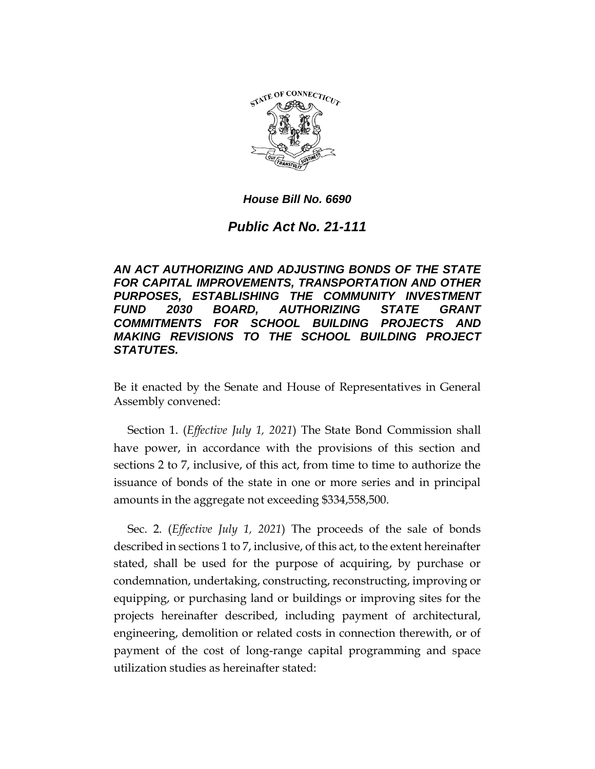

*Public Act No. 21-111*

*AN ACT AUTHORIZING AND ADJUSTING BONDS OF THE STATE FOR CAPITAL IMPROVEMENTS, TRANSPORTATION AND OTHER PURPOSES, ESTABLISHING THE COMMUNITY INVESTMENT FUND 2030 BOARD, AUTHORIZING STATE GRANT COMMITMENTS FOR SCHOOL BUILDING PROJECTS AND MAKING REVISIONS TO THE SCHOOL BUILDING PROJECT STATUTES.*

Be it enacted by the Senate and House of Representatives in General Assembly convened:

Section 1. (*Effective July 1, 2021*) The State Bond Commission shall have power, in accordance with the provisions of this section and sections 2 to 7, inclusive, of this act, from time to time to authorize the issuance of bonds of the state in one or more series and in principal amounts in the aggregate not exceeding \$334,558,500.

Sec. 2. (*Effective July 1, 2021*) The proceeds of the sale of bonds described in sections 1 to 7, inclusive, of this act, to the extent hereinafter stated, shall be used for the purpose of acquiring, by purchase or condemnation, undertaking, constructing, reconstructing, improving or equipping, or purchasing land or buildings or improving sites for the projects hereinafter described, including payment of architectural, engineering, demolition or related costs in connection therewith, or of payment of the cost of long-range capital programming and space utilization studies as hereinafter stated: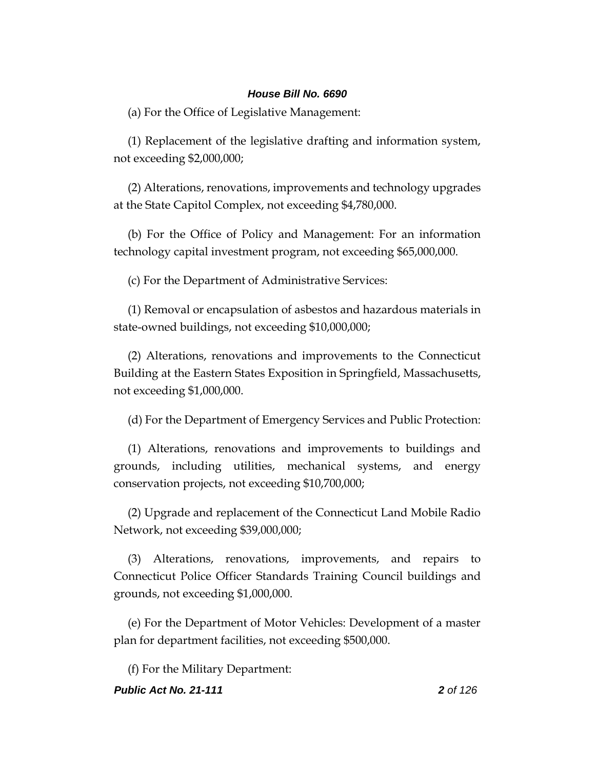(a) For the Office of Legislative Management:

(1) Replacement of the legislative drafting and information system, not exceeding \$2,000,000;

(2) Alterations, renovations, improvements and technology upgrades at the State Capitol Complex, not exceeding \$4,780,000.

(b) For the Office of Policy and Management: For an information technology capital investment program, not exceeding \$65,000,000.

(c) For the Department of Administrative Services:

(1) Removal or encapsulation of asbestos and hazardous materials in state-owned buildings, not exceeding \$10,000,000;

(2) Alterations, renovations and improvements to the Connecticut Building at the Eastern States Exposition in Springfield, Massachusetts, not exceeding \$1,000,000.

(d) For the Department of Emergency Services and Public Protection:

(1) Alterations, renovations and improvements to buildings and grounds, including utilities, mechanical systems, and energy conservation projects, not exceeding \$10,700,000;

(2) Upgrade and replacement of the Connecticut Land Mobile Radio Network, not exceeding \$39,000,000;

(3) Alterations, renovations, improvements, and repairs to Connecticut Police Officer Standards Training Council buildings and grounds, not exceeding \$1,000,000.

(e) For the Department of Motor Vehicles: Development of a master plan for department facilities, not exceeding \$500,000.

(f) For the Military Department:

*Public Act No. 21-111 2 of 126*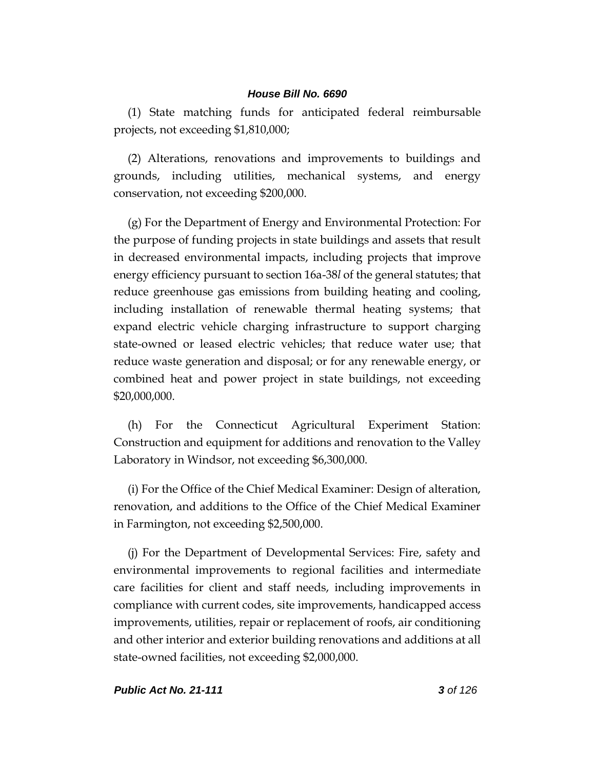(1) State matching funds for anticipated federal reimbursable projects, not exceeding \$1,810,000;

(2) Alterations, renovations and improvements to buildings and grounds, including utilities, mechanical systems, and energy conservation, not exceeding \$200,000.

(g) For the Department of Energy and Environmental Protection: For the purpose of funding projects in state buildings and assets that result in decreased environmental impacts, including projects that improve energy efficiency pursuant to section 16a-38*l* of the general statutes; that reduce greenhouse gas emissions from building heating and cooling, including installation of renewable thermal heating systems; that expand electric vehicle charging infrastructure to support charging state-owned or leased electric vehicles; that reduce water use; that reduce waste generation and disposal; or for any renewable energy, or combined heat and power project in state buildings, not exceeding \$20,000,000.

(h) For the Connecticut Agricultural Experiment Station: Construction and equipment for additions and renovation to the Valley Laboratory in Windsor, not exceeding \$6,300,000.

(i) For the Office of the Chief Medical Examiner: Design of alteration, renovation, and additions to the Office of the Chief Medical Examiner in Farmington, not exceeding \$2,500,000.

(j) For the Department of Developmental Services: Fire, safety and environmental improvements to regional facilities and intermediate care facilities for client and staff needs, including improvements in compliance with current codes, site improvements, handicapped access improvements, utilities, repair or replacement of roofs, air conditioning and other interior and exterior building renovations and additions at all state-owned facilities, not exceeding \$2,000,000.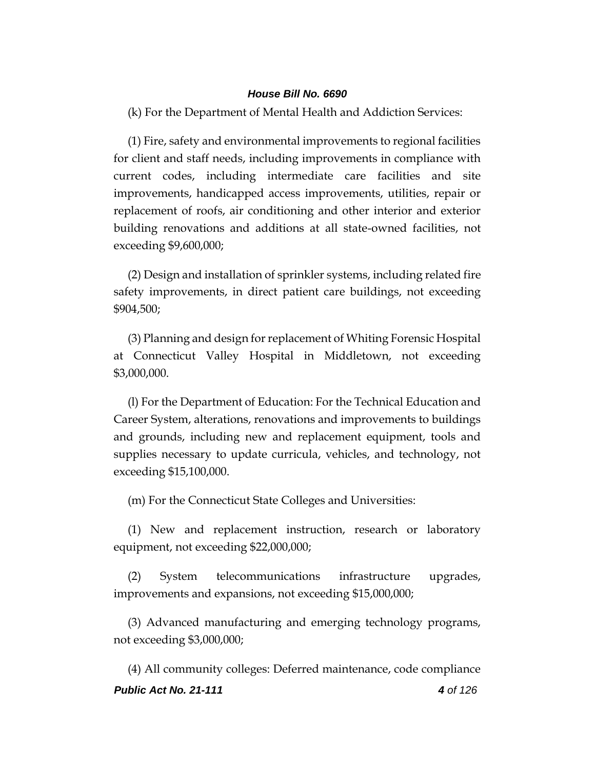(k) For the Department of Mental Health and Addiction Services:

(1) Fire, safety and environmental improvements to regional facilities for client and staff needs, including improvements in compliance with current codes, including intermediate care facilities and site improvements, handicapped access improvements, utilities, repair or replacement of roofs, air conditioning and other interior and exterior building renovations and additions at all state-owned facilities, not exceeding \$9,600,000;

(2) Design and installation of sprinkler systems, including related fire safety improvements, in direct patient care buildings, not exceeding \$904,500;

(3) Planning and design for replacement of Whiting Forensic Hospital at Connecticut Valley Hospital in Middletown, not exceeding \$3,000,000.

(l) For the Department of Education: For the Technical Education and Career System, alterations, renovations and improvements to buildings and grounds, including new and replacement equipment, tools and supplies necessary to update curricula, vehicles, and technology, not exceeding \$15,100,000.

(m) For the Connecticut State Colleges and Universities:

(1) New and replacement instruction, research or laboratory equipment, not exceeding \$22,000,000;

(2) System telecommunications infrastructure upgrades, improvements and expansions, not exceeding \$15,000,000;

(3) Advanced manufacturing and emerging technology programs, not exceeding \$3,000,000;

*Public Act No. 21-111 4 of 126* (4) All community colleges: Deferred maintenance, code compliance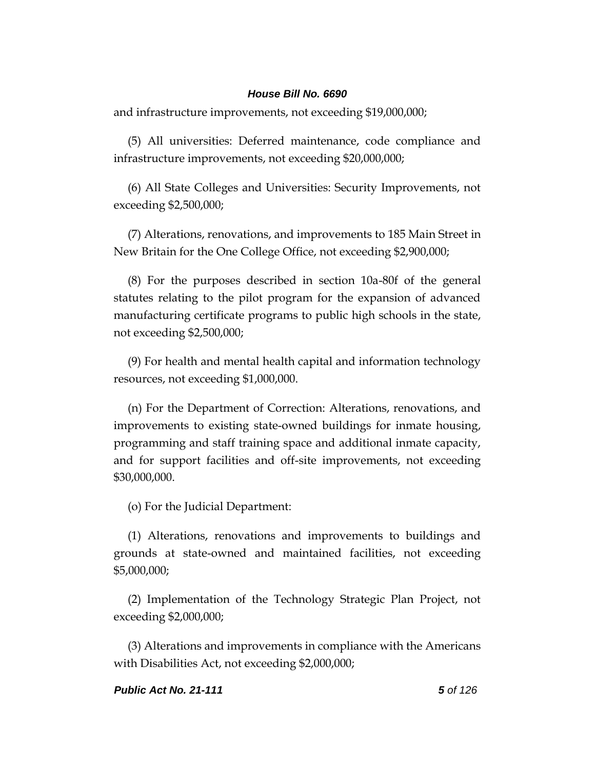and infrastructure improvements, not exceeding \$19,000,000;

(5) All universities: Deferred maintenance, code compliance and infrastructure improvements, not exceeding \$20,000,000;

(6) All State Colleges and Universities: Security Improvements, not exceeding \$2,500,000;

(7) Alterations, renovations, and improvements to 185 Main Street in New Britain for the One College Office, not exceeding \$2,900,000;

(8) For the purposes described in section 10a-80f of the general statutes relating to the pilot program for the expansion of advanced manufacturing certificate programs to public high schools in the state, not exceeding \$2,500,000;

(9) For health and mental health capital and information technology resources, not exceeding \$1,000,000.

(n) For the Department of Correction: Alterations, renovations, and improvements to existing state-owned buildings for inmate housing, programming and staff training space and additional inmate capacity, and for support facilities and off-site improvements, not exceeding \$30,000,000.

(o) For the Judicial Department:

(1) Alterations, renovations and improvements to buildings and grounds at state-owned and maintained facilities, not exceeding \$5,000,000;

(2) Implementation of the Technology Strategic Plan Project, not exceeding \$2,000,000;

(3) Alterations and improvements in compliance with the Americans with Disabilities Act, not exceeding \$2,000,000;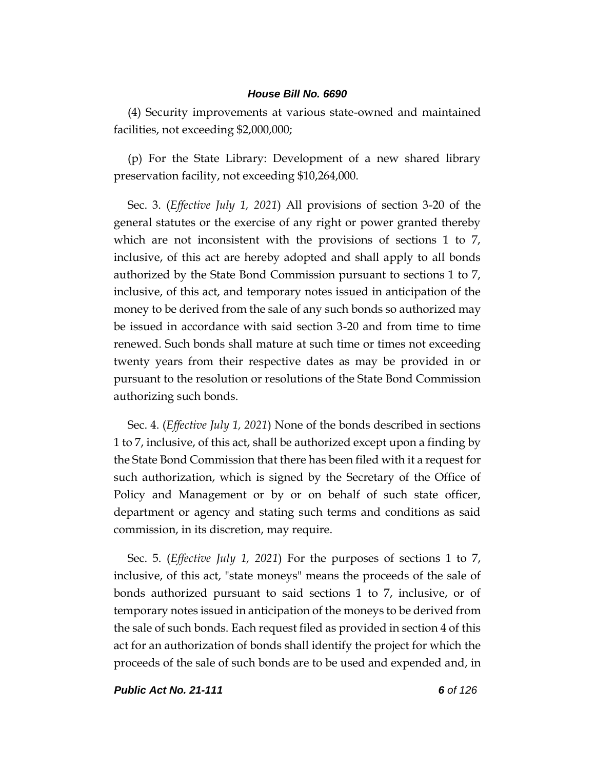(4) Security improvements at various state-owned and maintained facilities, not exceeding \$2,000,000;

(p) For the State Library: Development of a new shared library preservation facility, not exceeding \$10,264,000.

Sec. 3. (*Effective July 1, 2021*) All provisions of section 3-20 of the general statutes or the exercise of any right or power granted thereby which are not inconsistent with the provisions of sections 1 to 7, inclusive, of this act are hereby adopted and shall apply to all bonds authorized by the State Bond Commission pursuant to sections 1 to 7, inclusive, of this act, and temporary notes issued in anticipation of the money to be derived from the sale of any such bonds so authorized may be issued in accordance with said section 3-20 and from time to time renewed. Such bonds shall mature at such time or times not exceeding twenty years from their respective dates as may be provided in or pursuant to the resolution or resolutions of the State Bond Commission authorizing such bonds.

Sec. 4. (*Effective July 1, 2021*) None of the bonds described in sections 1 to 7, inclusive, of this act, shall be authorized except upon a finding by the State Bond Commission that there has been filed with it a request for such authorization, which is signed by the Secretary of the Office of Policy and Management or by or on behalf of such state officer, department or agency and stating such terms and conditions as said commission, in its discretion, may require.

Sec. 5. (*Effective July 1, 2021*) For the purposes of sections 1 to 7, inclusive, of this act, "state moneys" means the proceeds of the sale of bonds authorized pursuant to said sections 1 to 7, inclusive, or of temporary notes issued in anticipation of the moneys to be derived from the sale of such bonds. Each request filed as provided in section 4 of this act for an authorization of bonds shall identify the project for which the proceeds of the sale of such bonds are to be used and expended and, in

*Public Act No. 21-111 6 of 126*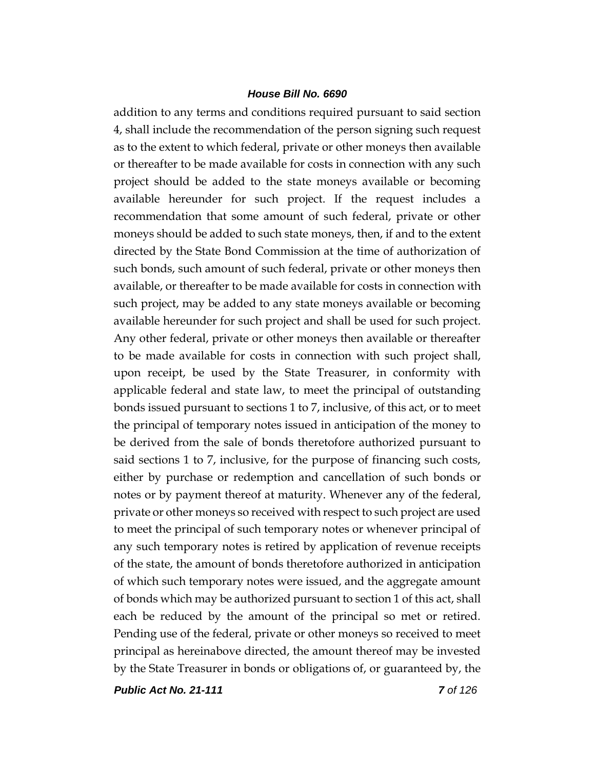addition to any terms and conditions required pursuant to said section 4, shall include the recommendation of the person signing such request as to the extent to which federal, private or other moneys then available or thereafter to be made available for costs in connection with any such project should be added to the state moneys available or becoming available hereunder for such project. If the request includes a recommendation that some amount of such federal, private or other moneys should be added to such state moneys, then, if and to the extent directed by the State Bond Commission at the time of authorization of such bonds, such amount of such federal, private or other moneys then available, or thereafter to be made available for costs in connection with such project, may be added to any state moneys available or becoming available hereunder for such project and shall be used for such project. Any other federal, private or other moneys then available or thereafter to be made available for costs in connection with such project shall, upon receipt, be used by the State Treasurer, in conformity with applicable federal and state law, to meet the principal of outstanding bonds issued pursuant to sections 1 to 7, inclusive, of this act, or to meet the principal of temporary notes issued in anticipation of the money to be derived from the sale of bonds theretofore authorized pursuant to said sections 1 to 7, inclusive, for the purpose of financing such costs, either by purchase or redemption and cancellation of such bonds or notes or by payment thereof at maturity. Whenever any of the federal, private or other moneys so received with respect to such project are used to meet the principal of such temporary notes or whenever principal of any such temporary notes is retired by application of revenue receipts of the state, the amount of bonds theretofore authorized in anticipation of which such temporary notes were issued, and the aggregate amount of bonds which may be authorized pursuant to section 1 of this act, shall each be reduced by the amount of the principal so met or retired. Pending use of the federal, private or other moneys so received to meet principal as hereinabove directed, the amount thereof may be invested by the State Treasurer in bonds or obligations of, or guaranteed by, the

*Public Act No. 21-111 7 of 126*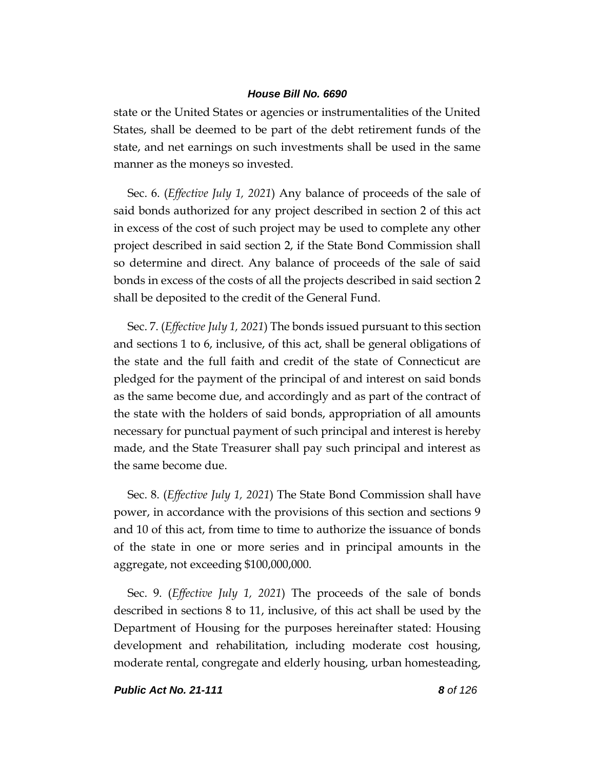state or the United States or agencies or instrumentalities of the United States, shall be deemed to be part of the debt retirement funds of the state, and net earnings on such investments shall be used in the same manner as the moneys so invested.

Sec. 6. (*Effective July 1, 2021*) Any balance of proceeds of the sale of said bonds authorized for any project described in section 2 of this act in excess of the cost of such project may be used to complete any other project described in said section 2, if the State Bond Commission shall so determine and direct. Any balance of proceeds of the sale of said bonds in excess of the costs of all the projects described in said section 2 shall be deposited to the credit of the General Fund.

Sec. 7. (*Effective July 1, 2021*) The bonds issued pursuant to this section and sections 1 to 6, inclusive, of this act, shall be general obligations of the state and the full faith and credit of the state of Connecticut are pledged for the payment of the principal of and interest on said bonds as the same become due, and accordingly and as part of the contract of the state with the holders of said bonds, appropriation of all amounts necessary for punctual payment of such principal and interest is hereby made, and the State Treasurer shall pay such principal and interest as the same become due.

Sec. 8. (*Effective July 1, 2021*) The State Bond Commission shall have power, in accordance with the provisions of this section and sections 9 and 10 of this act, from time to time to authorize the issuance of bonds of the state in one or more series and in principal amounts in the aggregate, not exceeding \$100,000,000.

Sec. 9. (*Effective July 1, 2021*) The proceeds of the sale of bonds described in sections 8 to 11, inclusive, of this act shall be used by the Department of Housing for the purposes hereinafter stated: Housing development and rehabilitation, including moderate cost housing, moderate rental, congregate and elderly housing, urban homesteading,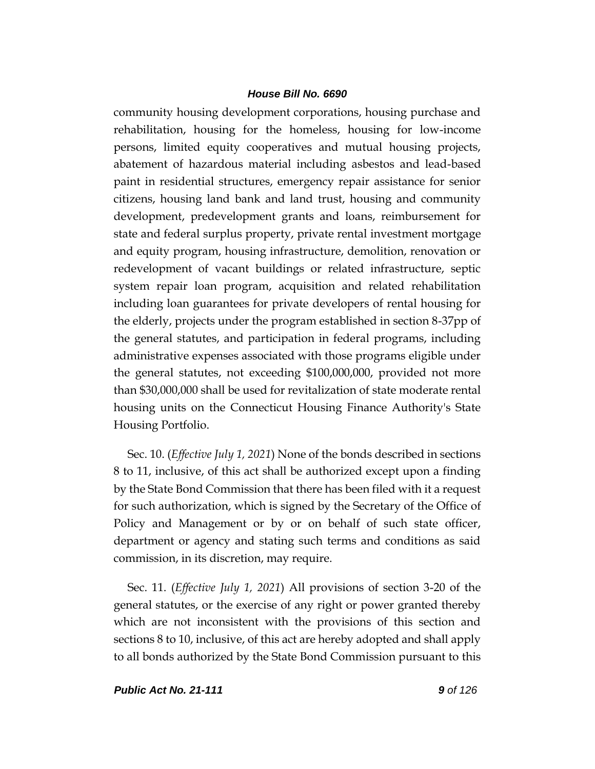community housing development corporations, housing purchase and rehabilitation, housing for the homeless, housing for low-income persons, limited equity cooperatives and mutual housing projects, abatement of hazardous material including asbestos and lead-based paint in residential structures, emergency repair assistance for senior citizens, housing land bank and land trust, housing and community development, predevelopment grants and loans, reimbursement for state and federal surplus property, private rental investment mortgage and equity program, housing infrastructure, demolition, renovation or redevelopment of vacant buildings or related infrastructure, septic system repair loan program, acquisition and related rehabilitation including loan guarantees for private developers of rental housing for the elderly, projects under the program established in section 8-37pp of the general statutes, and participation in federal programs, including administrative expenses associated with those programs eligible under the general statutes, not exceeding \$100,000,000, provided not more than \$30,000,000 shall be used for revitalization of state moderate rental housing units on the Connecticut Housing Finance Authority's State Housing Portfolio.

Sec. 10. (*Effective July 1, 2021*) None of the bonds described in sections 8 to 11, inclusive, of this act shall be authorized except upon a finding by the State Bond Commission that there has been filed with it a request for such authorization, which is signed by the Secretary of the Office of Policy and Management or by or on behalf of such state officer, department or agency and stating such terms and conditions as said commission, in its discretion, may require.

Sec. 11. (*Effective July 1, 2021*) All provisions of section 3-20 of the general statutes, or the exercise of any right or power granted thereby which are not inconsistent with the provisions of this section and sections 8 to 10, inclusive, of this act are hereby adopted and shall apply to all bonds authorized by the State Bond Commission pursuant to this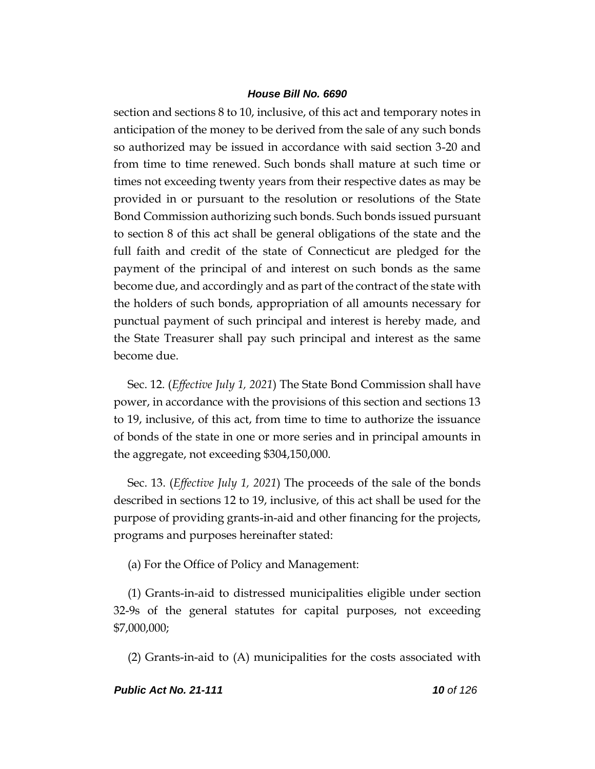section and sections 8 to 10, inclusive, of this act and temporary notes in anticipation of the money to be derived from the sale of any such bonds so authorized may be issued in accordance with said section 3-20 and from time to time renewed. Such bonds shall mature at such time or times not exceeding twenty years from their respective dates as may be provided in or pursuant to the resolution or resolutions of the State Bond Commission authorizing such bonds. Such bonds issued pursuant to section 8 of this act shall be general obligations of the state and the full faith and credit of the state of Connecticut are pledged for the payment of the principal of and interest on such bonds as the same become due, and accordingly and as part of the contract of the state with the holders of such bonds, appropriation of all amounts necessary for punctual payment of such principal and interest is hereby made, and the State Treasurer shall pay such principal and interest as the same become due.

Sec. 12. (*Effective July 1, 2021*) The State Bond Commission shall have power, in accordance with the provisions of this section and sections 13 to 19, inclusive, of this act, from time to time to authorize the issuance of bonds of the state in one or more series and in principal amounts in the aggregate, not exceeding \$304,150,000.

Sec. 13. (*Effective July 1, 2021*) The proceeds of the sale of the bonds described in sections 12 to 19, inclusive, of this act shall be used for the purpose of providing grants-in-aid and other financing for the projects, programs and purposes hereinafter stated:

(a) For the Office of Policy and Management:

(1) Grants-in-aid to distressed municipalities eligible under section 32-9s of the general statutes for capital purposes, not exceeding \$7,000,000;

(2) Grants-in-aid to (A) municipalities for the costs associated with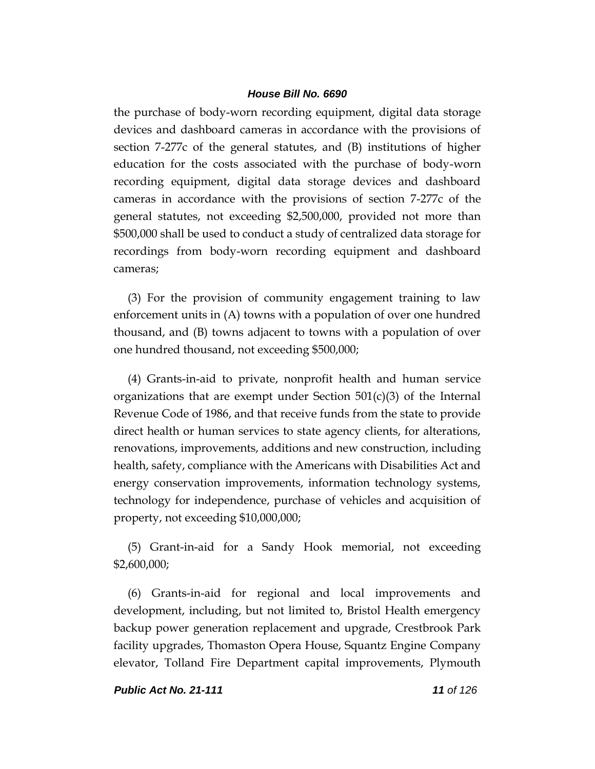the purchase of body-worn recording equipment, digital data storage devices and dashboard cameras in accordance with the provisions of section 7-277c of the general statutes, and (B) institutions of higher education for the costs associated with the purchase of body-worn recording equipment, digital data storage devices and dashboard cameras in accordance with the provisions of section 7-277c of the general statutes, not exceeding \$2,500,000, provided not more than \$500,000 shall be used to conduct a study of centralized data storage for recordings from body-worn recording equipment and dashboard cameras;

(3) For the provision of community engagement training to law enforcement units in (A) towns with a population of over one hundred thousand, and (B) towns adjacent to towns with a population of over one hundred thousand, not exceeding \$500,000;

(4) Grants-in-aid to private, nonprofit health and human service organizations that are exempt under Section  $501(c)(3)$  of the Internal Revenue Code of 1986, and that receive funds from the state to provide direct health or human services to state agency clients, for alterations, renovations, improvements, additions and new construction, including health, safety, compliance with the Americans with Disabilities Act and energy conservation improvements, information technology systems, technology for independence, purchase of vehicles and acquisition of property, not exceeding \$10,000,000;

(5) Grant-in-aid for a Sandy Hook memorial, not exceeding \$2,600,000;

(6) Grants-in-aid for regional and local improvements and development, including, but not limited to, Bristol Health emergency backup power generation replacement and upgrade, Crestbrook Park facility upgrades, Thomaston Opera House, Squantz Engine Company elevator, Tolland Fire Department capital improvements, Plymouth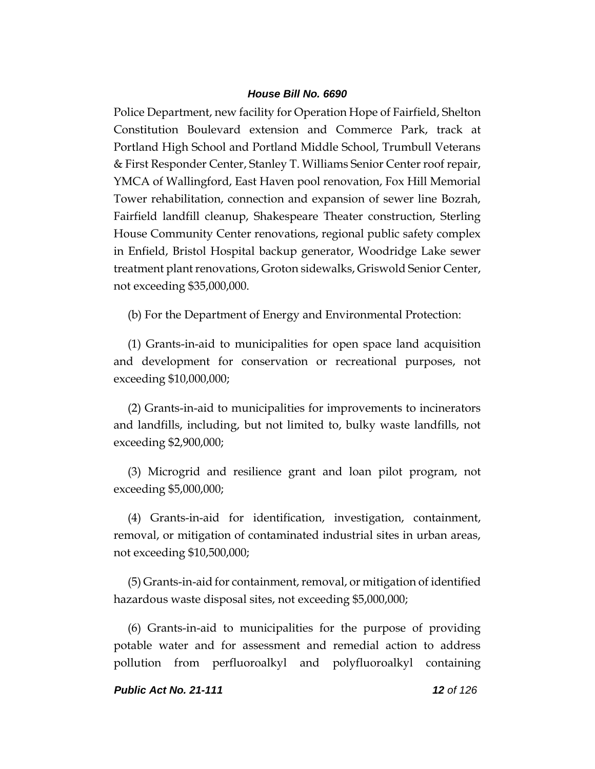Police Department, new facility for Operation Hope of Fairfield, Shelton Constitution Boulevard extension and Commerce Park, track at Portland High School and Portland Middle School, Trumbull Veterans & First Responder Center, Stanley T. Williams Senior Center roof repair, YMCA of Wallingford, East Haven pool renovation, Fox Hill Memorial Tower rehabilitation, connection and expansion of sewer line Bozrah, Fairfield landfill cleanup, Shakespeare Theater construction, Sterling House Community Center renovations, regional public safety complex in Enfield, Bristol Hospital backup generator, Woodridge Lake sewer treatment plant renovations, Groton sidewalks, Griswold Senior Center, not exceeding \$35,000,000.

(b) For the Department of Energy and Environmental Protection:

(1) Grants-in-aid to municipalities for open space land acquisition and development for conservation or recreational purposes, not exceeding \$10,000,000;

(2) Grants-in-aid to municipalities for improvements to incinerators and landfills, including, but not limited to, bulky waste landfills, not exceeding \$2,900,000;

(3) Microgrid and resilience grant and loan pilot program, not exceeding \$5,000,000;

(4) Grants-in-aid for identification, investigation, containment, removal, or mitigation of contaminated industrial sites in urban areas, not exceeding \$10,500,000;

(5) Grants-in-aid for containment, removal, or mitigation of identified hazardous waste disposal sites, not exceeding \$5,000,000;

(6) Grants-in-aid to municipalities for the purpose of providing potable water and for assessment and remedial action to address pollution from perfluoroalkyl and polyfluoroalkyl containing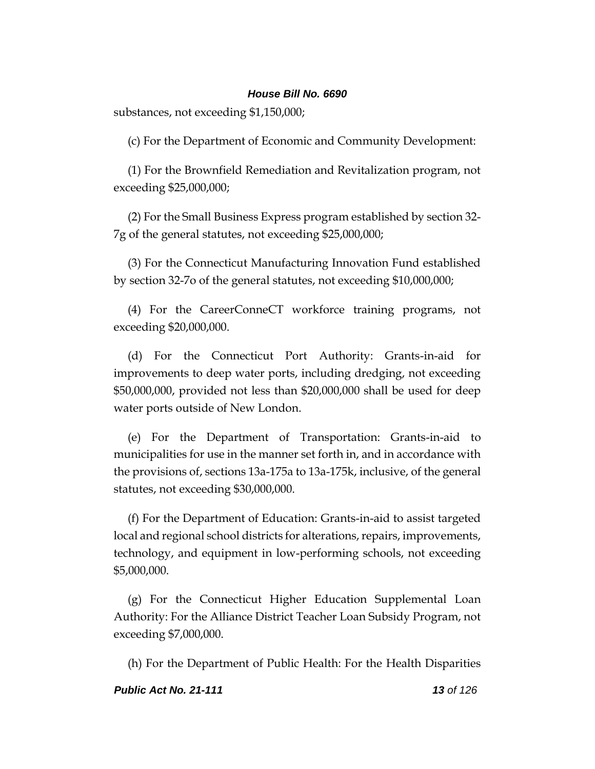substances, not exceeding \$1,150,000;

(c) For the Department of Economic and Community Development:

(1) For the Brownfield Remediation and Revitalization program, not exceeding \$25,000,000;

(2) For the Small Business Express program established by section 32- 7g of the general statutes, not exceeding \$25,000,000;

(3) For the Connecticut Manufacturing Innovation Fund established by section 32-7o of the general statutes, not exceeding \$10,000,000;

(4) For the CareerConneCT workforce training programs, not exceeding \$20,000,000.

(d) For the Connecticut Port Authority: Grants-in-aid for improvements to deep water ports, including dredging, not exceeding \$50,000,000, provided not less than \$20,000,000 shall be used for deep water ports outside of New London.

(e) For the Department of Transportation: Grants-in-aid to municipalities for use in the manner set forth in, and in accordance with the provisions of, sections 13a-175a to 13a-175k, inclusive, of the general statutes, not exceeding \$30,000,000.

(f) For the Department of Education: Grants-in-aid to assist targeted local and regional school districts for alterations, repairs, improvements, technology, and equipment in low-performing schools, not exceeding \$5,000,000.

(g) For the Connecticut Higher Education Supplemental Loan Authority: For the Alliance District Teacher Loan Subsidy Program, not exceeding \$7,000,000.

(h) For the Department of Public Health: For the Health Disparities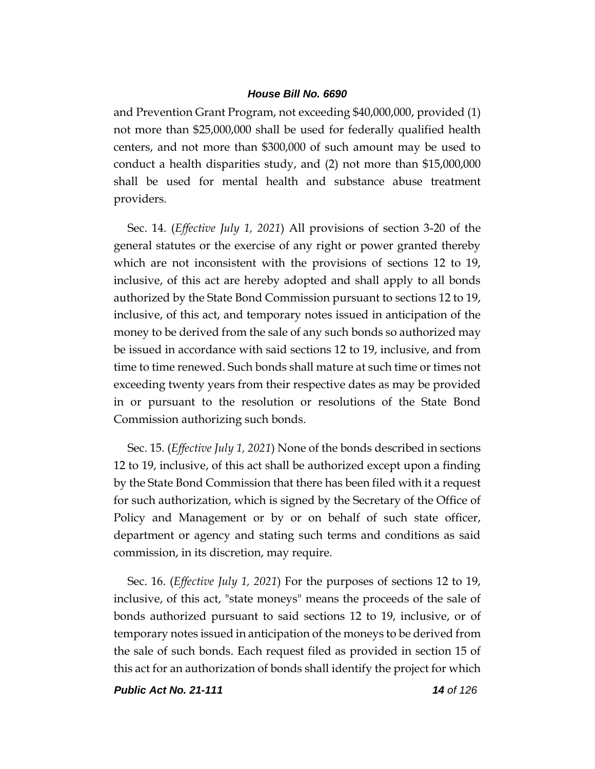and Prevention Grant Program, not exceeding \$40,000,000, provided (1) not more than \$25,000,000 shall be used for federally qualified health centers, and not more than \$300,000 of such amount may be used to conduct a health disparities study, and (2) not more than \$15,000,000 shall be used for mental health and substance abuse treatment providers.

Sec. 14. (*Effective July 1, 2021*) All provisions of section 3-20 of the general statutes or the exercise of any right or power granted thereby which are not inconsistent with the provisions of sections 12 to 19, inclusive, of this act are hereby adopted and shall apply to all bonds authorized by the State Bond Commission pursuant to sections 12 to 19, inclusive, of this act, and temporary notes issued in anticipation of the money to be derived from the sale of any such bonds so authorized may be issued in accordance with said sections 12 to 19, inclusive, and from time to time renewed. Such bonds shall mature at such time or times not exceeding twenty years from their respective dates as may be provided in or pursuant to the resolution or resolutions of the State Bond Commission authorizing such bonds.

Sec. 15. (*Effective July 1, 2021*) None of the bonds described in sections 12 to 19, inclusive, of this act shall be authorized except upon a finding by the State Bond Commission that there has been filed with it a request for such authorization, which is signed by the Secretary of the Office of Policy and Management or by or on behalf of such state officer, department or agency and stating such terms and conditions as said commission, in its discretion, may require.

Sec. 16. (*Effective July 1, 2021*) For the purposes of sections 12 to 19, inclusive, of this act, "state moneys" means the proceeds of the sale of bonds authorized pursuant to said sections 12 to 19, inclusive, or of temporary notes issued in anticipation of the moneys to be derived from the sale of such bonds. Each request filed as provided in section 15 of this act for an authorization of bonds shall identify the project for which

*Public Act No. 21-111 14 of 126*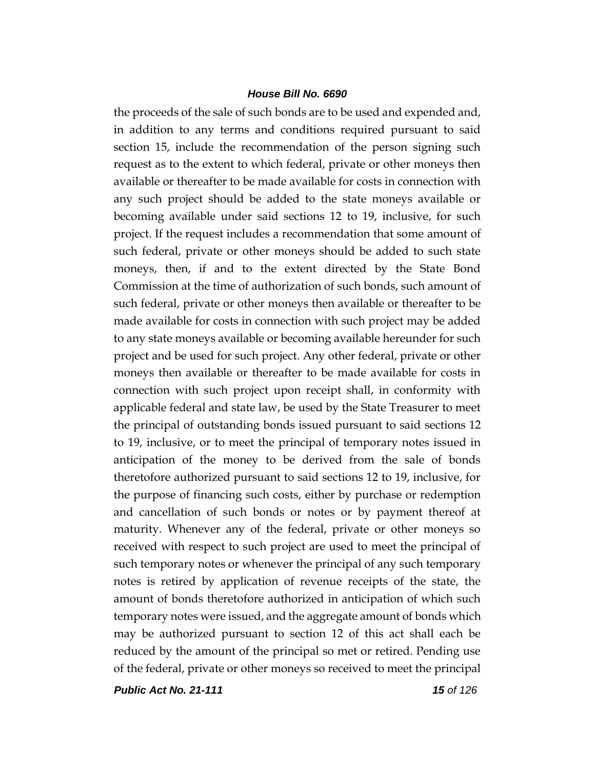the proceeds of the sale of such bonds are to be used and expended and, in addition to any terms and conditions required pursuant to said section 15, include the recommendation of the person signing such request as to the extent to which federal, private or other moneys then available or thereafter to be made available for costs in connection with any such project should be added to the state moneys available or becoming available under said sections 12 to 19, inclusive, for such project. If the request includes a recommendation that some amount of such federal, private or other moneys should be added to such state moneys, then, if and to the extent directed by the State Bond Commission at the time of authorization of such bonds, such amount of such federal, private or other moneys then available or thereafter to be made available for costs in connection with such project may be added to any state moneys available or becoming available hereunder for such project and be used for such project. Any other federal, private or other moneys then available or thereafter to be made available for costs in connection with such project upon receipt shall, in conformity with applicable federal and state law, be used by the State Treasurer to meet the principal of outstanding bonds issued pursuant to said sections 12 to 19, inclusive, or to meet the principal of temporary notes issued in anticipation of the money to be derived from the sale of bonds theretofore authorized pursuant to said sections 12 to 19, inclusive, for the purpose of financing such costs, either by purchase or redemption and cancellation of such bonds or notes or by payment thereof at maturity. Whenever any of the federal, private or other moneys so received with respect to such project are used to meet the principal of such temporary notes or whenever the principal of any such temporary notes is retired by application of revenue receipts of the state, the amount of bonds theretofore authorized in anticipation of which such temporary notes were issued, and the aggregate amount of bonds which may be authorized pursuant to section 12 of this act shall each be reduced by the amount of the principal so met or retired. Pending use of the federal, private or other moneys so received to meet the principal

*Public Act No. 21-111 15 of 126*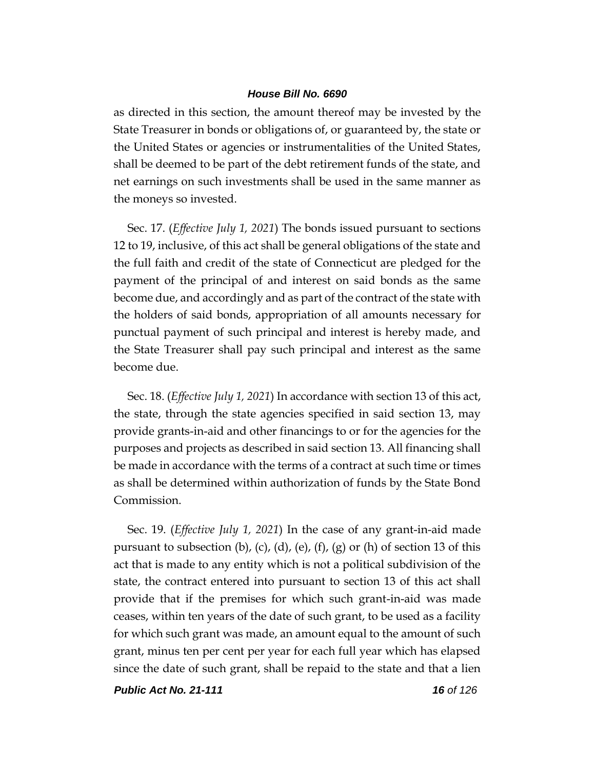as directed in this section, the amount thereof may be invested by the State Treasurer in bonds or obligations of, or guaranteed by, the state or the United States or agencies or instrumentalities of the United States, shall be deemed to be part of the debt retirement funds of the state, and net earnings on such investments shall be used in the same manner as the moneys so invested.

Sec. 17. (*Effective July 1, 2021*) The bonds issued pursuant to sections 12 to 19, inclusive, of this act shall be general obligations of the state and the full faith and credit of the state of Connecticut are pledged for the payment of the principal of and interest on said bonds as the same become due, and accordingly and as part of the contract of the state with the holders of said bonds, appropriation of all amounts necessary for punctual payment of such principal and interest is hereby made, and the State Treasurer shall pay such principal and interest as the same become due.

Sec. 18. (*Effective July 1, 2021*) In accordance with section 13 of this act, the state, through the state agencies specified in said section 13, may provide grants-in-aid and other financings to or for the agencies for the purposes and projects as described in said section 13. All financing shall be made in accordance with the terms of a contract at such time or times as shall be determined within authorization of funds by the State Bond Commission.

Sec. 19. (*Effective July 1, 2021*) In the case of any grant-in-aid made pursuant to subsection (b), (c), (d), (e), (f), (g) or (h) of section 13 of this act that is made to any entity which is not a political subdivision of the state, the contract entered into pursuant to section 13 of this act shall provide that if the premises for which such grant-in-aid was made ceases, within ten years of the date of such grant, to be used as a facility for which such grant was made, an amount equal to the amount of such grant, minus ten per cent per year for each full year which has elapsed since the date of such grant, shall be repaid to the state and that a lien

*Public Act No. 21-111 16 of 126*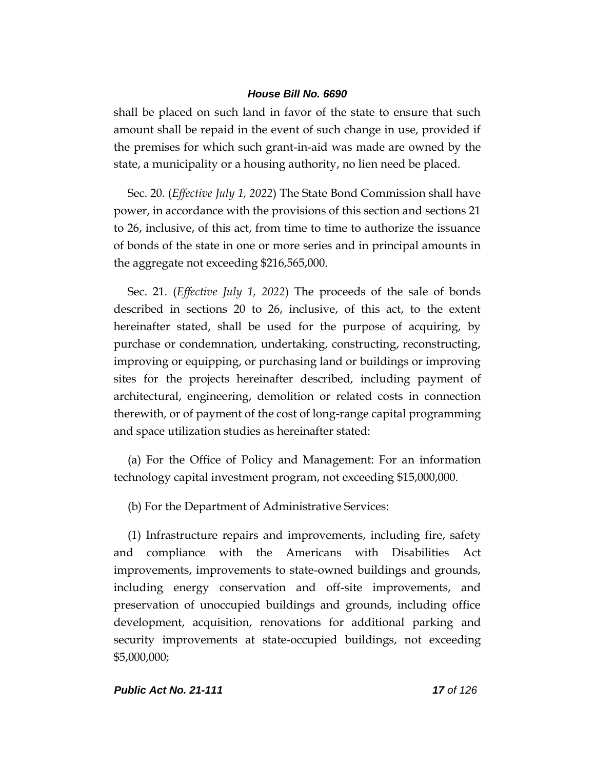shall be placed on such land in favor of the state to ensure that such amount shall be repaid in the event of such change in use, provided if the premises for which such grant-in-aid was made are owned by the state, a municipality or a housing authority, no lien need be placed.

Sec. 20. (*Effective July 1, 2022*) The State Bond Commission shall have power, in accordance with the provisions of this section and sections 21 to 26, inclusive, of this act, from time to time to authorize the issuance of bonds of the state in one or more series and in principal amounts in the aggregate not exceeding \$216,565,000.

Sec. 21. (*Effective July 1, 2022*) The proceeds of the sale of bonds described in sections 20 to 26, inclusive, of this act, to the extent hereinafter stated, shall be used for the purpose of acquiring, by purchase or condemnation, undertaking, constructing, reconstructing, improving or equipping, or purchasing land or buildings or improving sites for the projects hereinafter described, including payment of architectural, engineering, demolition or related costs in connection therewith, or of payment of the cost of long-range capital programming and space utilization studies as hereinafter stated:

(a) For the Office of Policy and Management: For an information technology capital investment program, not exceeding \$15,000,000.

(b) For the Department of Administrative Services:

(1) Infrastructure repairs and improvements, including fire, safety and compliance with the Americans with Disabilities Act improvements, improvements to state-owned buildings and grounds, including energy conservation and off-site improvements, and preservation of unoccupied buildings and grounds, including office development, acquisition, renovations for additional parking and security improvements at state-occupied buildings, not exceeding \$5,000,000;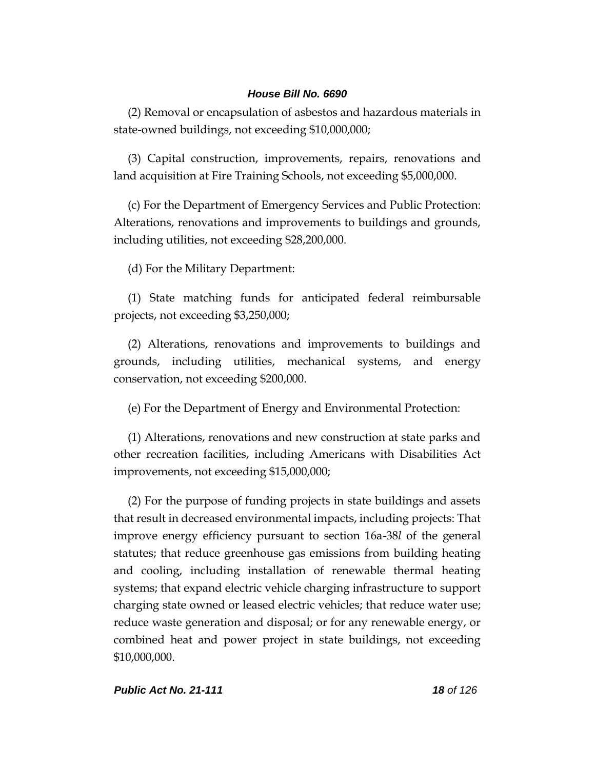(2) Removal or encapsulation of asbestos and hazardous materials in state-owned buildings, not exceeding \$10,000,000;

(3) Capital construction, improvements, repairs, renovations and land acquisition at Fire Training Schools, not exceeding \$5,000,000.

(c) For the Department of Emergency Services and Public Protection: Alterations, renovations and improvements to buildings and grounds, including utilities, not exceeding \$28,200,000.

(d) For the Military Department:

(1) State matching funds for anticipated federal reimbursable projects, not exceeding \$3,250,000;

(2) Alterations, renovations and improvements to buildings and grounds, including utilities, mechanical systems, and energy conservation, not exceeding \$200,000.

(e) For the Department of Energy and Environmental Protection:

(1) Alterations, renovations and new construction at state parks and other recreation facilities, including Americans with Disabilities Act improvements, not exceeding \$15,000,000;

(2) For the purpose of funding projects in state buildings and assets that result in decreased environmental impacts, including projects: That improve energy efficiency pursuant to section 16a-38*l* of the general statutes; that reduce greenhouse gas emissions from building heating and cooling, including installation of renewable thermal heating systems; that expand electric vehicle charging infrastructure to support charging state owned or leased electric vehicles; that reduce water use; reduce waste generation and disposal; or for any renewable energy, or combined heat and power project in state buildings, not exceeding \$10,000,000.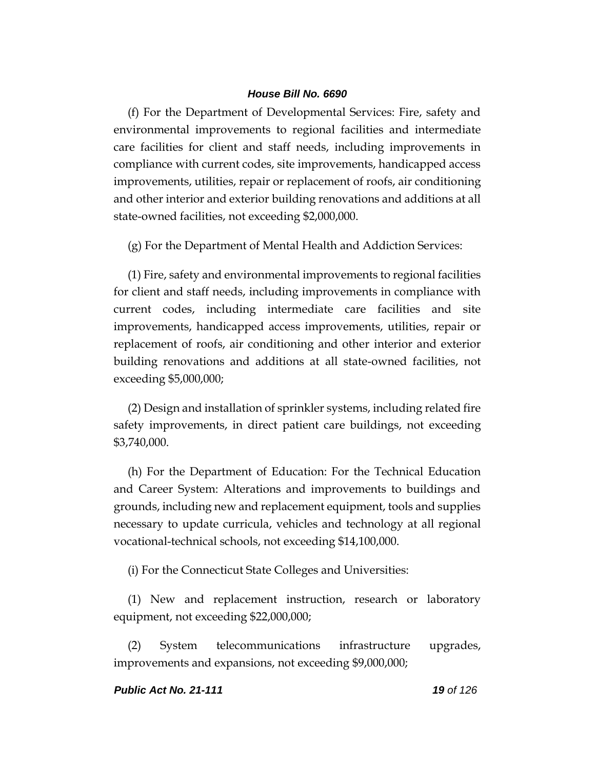(f) For the Department of Developmental Services: Fire, safety and environmental improvements to regional facilities and intermediate care facilities for client and staff needs, including improvements in compliance with current codes, site improvements, handicapped access improvements, utilities, repair or replacement of roofs, air conditioning and other interior and exterior building renovations and additions at all state-owned facilities, not exceeding \$2,000,000.

(g) For the Department of Mental Health and Addiction Services:

(1) Fire, safety and environmental improvements to regional facilities for client and staff needs, including improvements in compliance with current codes, including intermediate care facilities and site improvements, handicapped access improvements, utilities, repair or replacement of roofs, air conditioning and other interior and exterior building renovations and additions at all state-owned facilities, not exceeding \$5,000,000;

(2) Design and installation of sprinkler systems, including related fire safety improvements, in direct patient care buildings, not exceeding \$3,740,000.

(h) For the Department of Education: For the Technical Education and Career System: Alterations and improvements to buildings and grounds, including new and replacement equipment, tools and supplies necessary to update curricula, vehicles and technology at all regional vocational-technical schools, not exceeding \$14,100,000.

(i) For the Connecticut State Colleges and Universities:

(1) New and replacement instruction, research or laboratory equipment, not exceeding \$22,000,000;

(2) System telecommunications infrastructure upgrades, improvements and expansions, not exceeding \$9,000,000;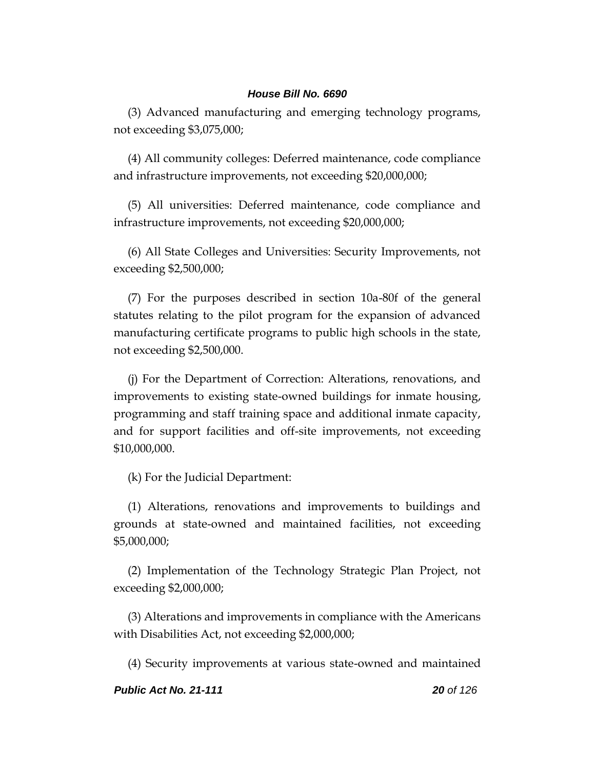(3) Advanced manufacturing and emerging technology programs, not exceeding \$3,075,000;

(4) All community colleges: Deferred maintenance, code compliance and infrastructure improvements, not exceeding \$20,000,000;

(5) All universities: Deferred maintenance, code compliance and infrastructure improvements, not exceeding \$20,000,000;

(6) All State Colleges and Universities: Security Improvements, not exceeding \$2,500,000;

(7) For the purposes described in section 10a-80f of the general statutes relating to the pilot program for the expansion of advanced manufacturing certificate programs to public high schools in the state, not exceeding \$2,500,000.

(j) For the Department of Correction: Alterations, renovations, and improvements to existing state-owned buildings for inmate housing, programming and staff training space and additional inmate capacity, and for support facilities and off-site improvements, not exceeding \$10,000,000.

(k) For the Judicial Department:

(1) Alterations, renovations and improvements to buildings and grounds at state-owned and maintained facilities, not exceeding \$5,000,000;

(2) Implementation of the Technology Strategic Plan Project, not exceeding \$2,000,000;

(3) Alterations and improvements in compliance with the Americans with Disabilities Act, not exceeding \$2,000,000;

(4) Security improvements at various state-owned and maintained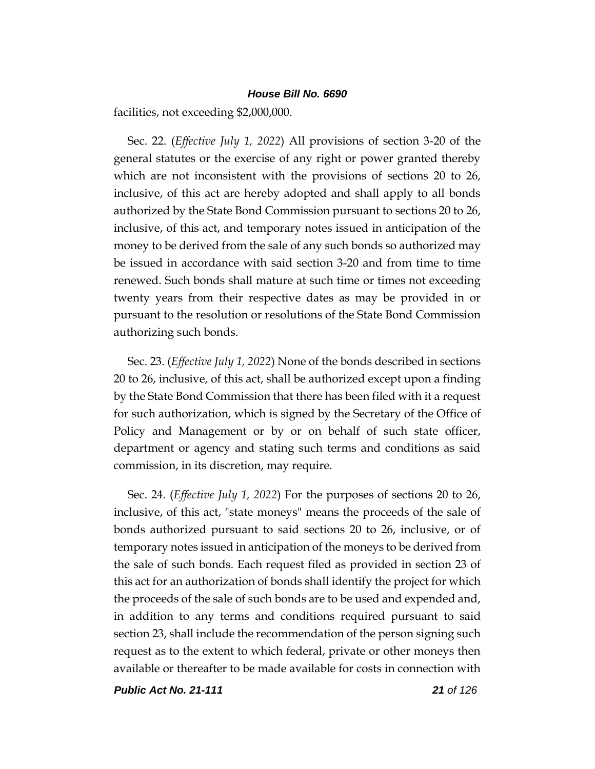facilities, not exceeding \$2,000,000.

Sec. 22. (*Effective July 1, 2022*) All provisions of section 3-20 of the general statutes or the exercise of any right or power granted thereby which are not inconsistent with the provisions of sections 20 to 26, inclusive, of this act are hereby adopted and shall apply to all bonds authorized by the State Bond Commission pursuant to sections 20 to 26, inclusive, of this act, and temporary notes issued in anticipation of the money to be derived from the sale of any such bonds so authorized may be issued in accordance with said section 3-20 and from time to time renewed. Such bonds shall mature at such time or times not exceeding twenty years from their respective dates as may be provided in or pursuant to the resolution or resolutions of the State Bond Commission authorizing such bonds.

Sec. 23. (*Effective July 1, 2022*) None of the bonds described in sections 20 to 26, inclusive, of this act, shall be authorized except upon a finding by the State Bond Commission that there has been filed with it a request for such authorization, which is signed by the Secretary of the Office of Policy and Management or by or on behalf of such state officer, department or agency and stating such terms and conditions as said commission, in its discretion, may require.

Sec. 24. (*Effective July 1, 2022*) For the purposes of sections 20 to 26, inclusive, of this act, "state moneys" means the proceeds of the sale of bonds authorized pursuant to said sections 20 to 26, inclusive, or of temporary notes issued in anticipation of the moneys to be derived from the sale of such bonds. Each request filed as provided in section 23 of this act for an authorization of bonds shall identify the project for which the proceeds of the sale of such bonds are to be used and expended and, in addition to any terms and conditions required pursuant to said section 23, shall include the recommendation of the person signing such request as to the extent to which federal, private or other moneys then available or thereafter to be made available for costs in connection with

*Public Act No. 21-111 21 of 126*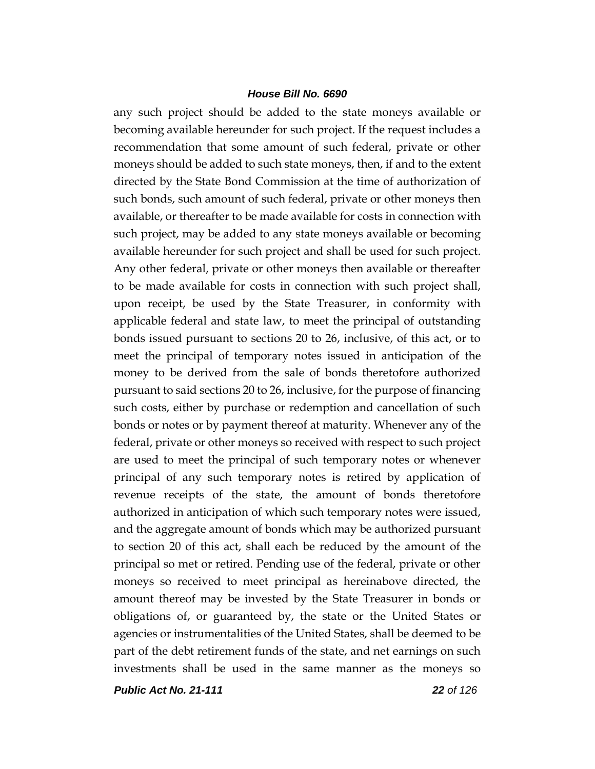any such project should be added to the state moneys available or becoming available hereunder for such project. If the request includes a recommendation that some amount of such federal, private or other moneys should be added to such state moneys, then, if and to the extent directed by the State Bond Commission at the time of authorization of such bonds, such amount of such federal, private or other moneys then available, or thereafter to be made available for costs in connection with such project, may be added to any state moneys available or becoming available hereunder for such project and shall be used for such project. Any other federal, private or other moneys then available or thereafter to be made available for costs in connection with such project shall, upon receipt, be used by the State Treasurer, in conformity with applicable federal and state law, to meet the principal of outstanding bonds issued pursuant to sections 20 to 26, inclusive, of this act, or to meet the principal of temporary notes issued in anticipation of the money to be derived from the sale of bonds theretofore authorized pursuant to said sections 20 to 26, inclusive, for the purpose of financing such costs, either by purchase or redemption and cancellation of such bonds or notes or by payment thereof at maturity. Whenever any of the federal, private or other moneys so received with respect to such project are used to meet the principal of such temporary notes or whenever principal of any such temporary notes is retired by application of revenue receipts of the state, the amount of bonds theretofore authorized in anticipation of which such temporary notes were issued, and the aggregate amount of bonds which may be authorized pursuant to section 20 of this act, shall each be reduced by the amount of the principal so met or retired. Pending use of the federal, private or other moneys so received to meet principal as hereinabove directed, the amount thereof may be invested by the State Treasurer in bonds or obligations of, or guaranteed by, the state or the United States or agencies or instrumentalities of the United States, shall be deemed to be part of the debt retirement funds of the state, and net earnings on such investments shall be used in the same manner as the moneys so

*Public Act No. 21-111 22 of 126*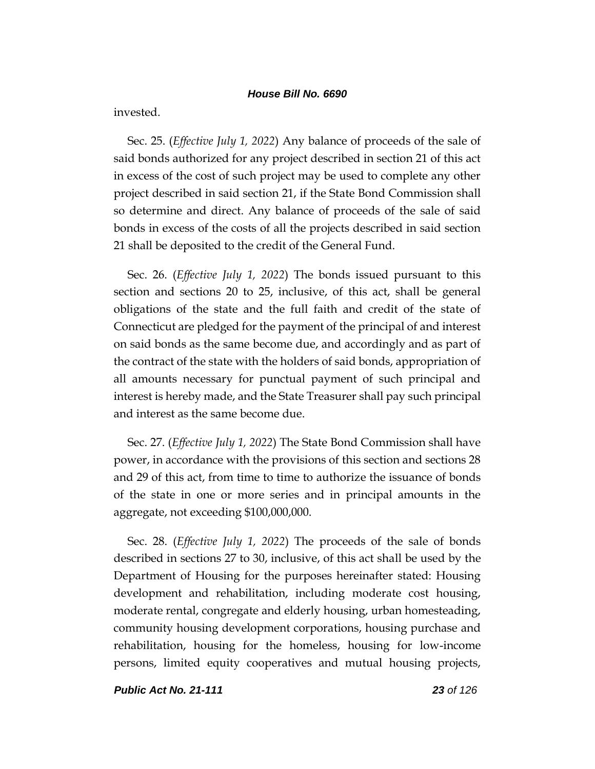invested.

Sec. 25. (*Effective July 1, 2022*) Any balance of proceeds of the sale of said bonds authorized for any project described in section 21 of this act in excess of the cost of such project may be used to complete any other project described in said section 21, if the State Bond Commission shall so determine and direct. Any balance of proceeds of the sale of said bonds in excess of the costs of all the projects described in said section 21 shall be deposited to the credit of the General Fund.

Sec. 26. (*Effective July 1, 2022*) The bonds issued pursuant to this section and sections 20 to 25, inclusive, of this act, shall be general obligations of the state and the full faith and credit of the state of Connecticut are pledged for the payment of the principal of and interest on said bonds as the same become due, and accordingly and as part of the contract of the state with the holders of said bonds, appropriation of all amounts necessary for punctual payment of such principal and interest is hereby made, and the State Treasurer shall pay such principal and interest as the same become due.

Sec. 27. (*Effective July 1, 2022*) The State Bond Commission shall have power, in accordance with the provisions of this section and sections 28 and 29 of this act, from time to time to authorize the issuance of bonds of the state in one or more series and in principal amounts in the aggregate, not exceeding \$100,000,000.

Sec. 28. (*Effective July 1, 2022*) The proceeds of the sale of bonds described in sections 27 to 30, inclusive, of this act shall be used by the Department of Housing for the purposes hereinafter stated: Housing development and rehabilitation, including moderate cost housing, moderate rental, congregate and elderly housing, urban homesteading, community housing development corporations, housing purchase and rehabilitation, housing for the homeless, housing for low-income persons, limited equity cooperatives and mutual housing projects,

*Public Act No. 21-111 23 of 126*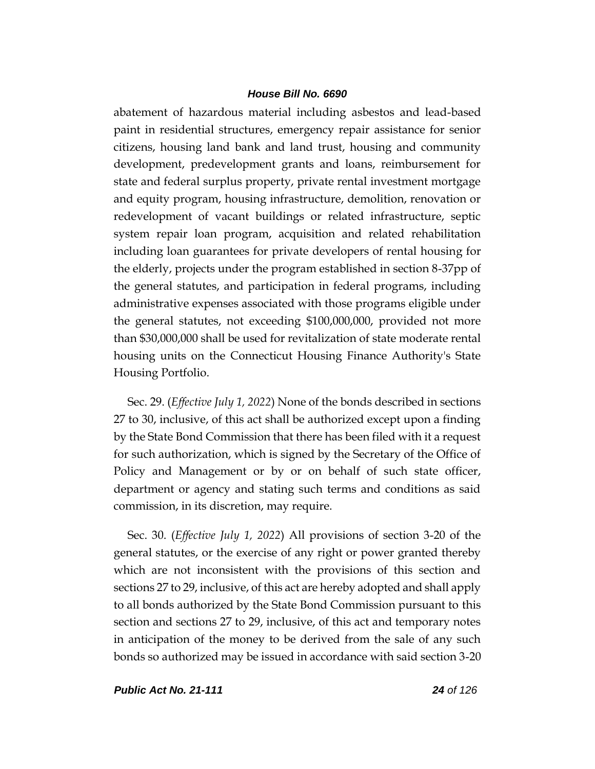abatement of hazardous material including asbestos and lead-based paint in residential structures, emergency repair assistance for senior citizens, housing land bank and land trust, housing and community development, predevelopment grants and loans, reimbursement for state and federal surplus property, private rental investment mortgage and equity program, housing infrastructure, demolition, renovation or redevelopment of vacant buildings or related infrastructure, septic system repair loan program, acquisition and related rehabilitation including loan guarantees for private developers of rental housing for the elderly, projects under the program established in section 8-37pp of the general statutes, and participation in federal programs, including administrative expenses associated with those programs eligible under the general statutes, not exceeding \$100,000,000, provided not more than \$30,000,000 shall be used for revitalization of state moderate rental housing units on the Connecticut Housing Finance Authority's State Housing Portfolio.

Sec. 29. (*Effective July 1, 2022*) None of the bonds described in sections 27 to 30, inclusive, of this act shall be authorized except upon a finding by the State Bond Commission that there has been filed with it a request for such authorization, which is signed by the Secretary of the Office of Policy and Management or by or on behalf of such state officer, department or agency and stating such terms and conditions as said commission, in its discretion, may require.

Sec. 30. (*Effective July 1, 2022*) All provisions of section 3-20 of the general statutes, or the exercise of any right or power granted thereby which are not inconsistent with the provisions of this section and sections 27 to 29, inclusive, of this act are hereby adopted and shall apply to all bonds authorized by the State Bond Commission pursuant to this section and sections 27 to 29, inclusive, of this act and temporary notes in anticipation of the money to be derived from the sale of any such bonds so authorized may be issued in accordance with said section 3-20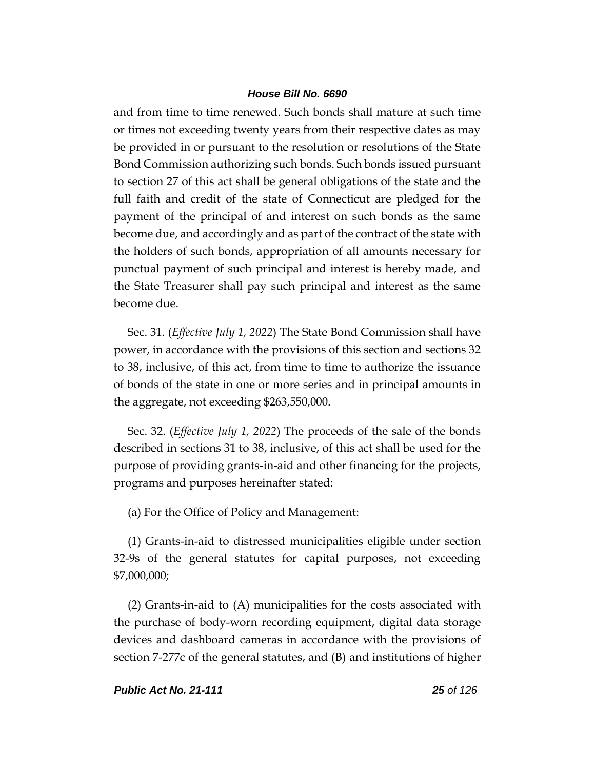and from time to time renewed. Such bonds shall mature at such time or times not exceeding twenty years from their respective dates as may be provided in or pursuant to the resolution or resolutions of the State Bond Commission authorizing such bonds. Such bonds issued pursuant to section 27 of this act shall be general obligations of the state and the full faith and credit of the state of Connecticut are pledged for the payment of the principal of and interest on such bonds as the same become due, and accordingly and as part of the contract of the state with the holders of such bonds, appropriation of all amounts necessary for punctual payment of such principal and interest is hereby made, and the State Treasurer shall pay such principal and interest as the same become due.

Sec. 31. (*Effective July 1, 2022*) The State Bond Commission shall have power, in accordance with the provisions of this section and sections 32 to 38, inclusive, of this act, from time to time to authorize the issuance of bonds of the state in one or more series and in principal amounts in the aggregate, not exceeding \$263,550,000.

Sec. 32. (*Effective July 1, 2022*) The proceeds of the sale of the bonds described in sections 31 to 38, inclusive, of this act shall be used for the purpose of providing grants-in-aid and other financing for the projects, programs and purposes hereinafter stated:

(a) For the Office of Policy and Management:

(1) Grants-in-aid to distressed municipalities eligible under section 32-9s of the general statutes for capital purposes, not exceeding \$7,000,000;

(2) Grants-in-aid to (A) municipalities for the costs associated with the purchase of body-worn recording equipment, digital data storage devices and dashboard cameras in accordance with the provisions of section 7-277c of the general statutes, and (B) and institutions of higher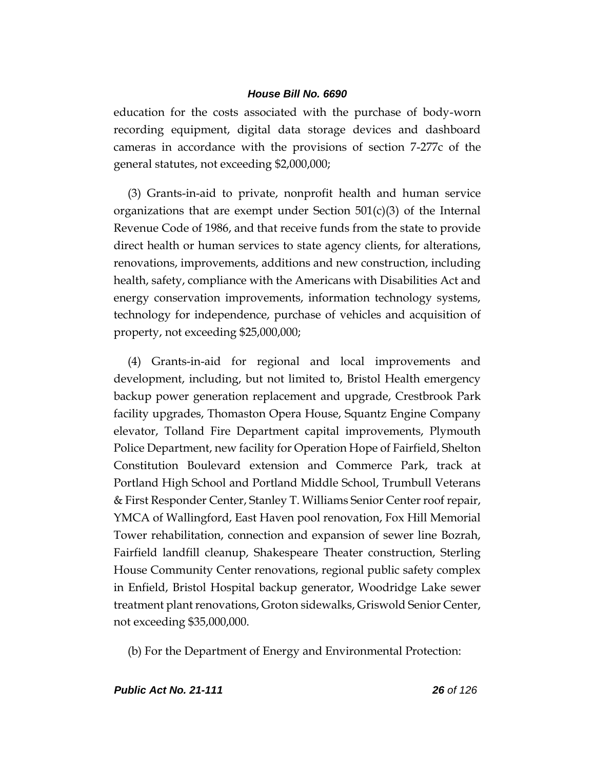education for the costs associated with the purchase of body-worn recording equipment, digital data storage devices and dashboard cameras in accordance with the provisions of section 7-277c of the general statutes, not exceeding \$2,000,000;

(3) Grants-in-aid to private, nonprofit health and human service organizations that are exempt under Section  $501(c)(3)$  of the Internal Revenue Code of 1986, and that receive funds from the state to provide direct health or human services to state agency clients, for alterations, renovations, improvements, additions and new construction, including health, safety, compliance with the Americans with Disabilities Act and energy conservation improvements, information technology systems, technology for independence, purchase of vehicles and acquisition of property, not exceeding \$25,000,000;

(4) Grants-in-aid for regional and local improvements and development, including, but not limited to, Bristol Health emergency backup power generation replacement and upgrade, Crestbrook Park facility upgrades, Thomaston Opera House, Squantz Engine Company elevator, Tolland Fire Department capital improvements, Plymouth Police Department, new facility for Operation Hope of Fairfield, Shelton Constitution Boulevard extension and Commerce Park, track at Portland High School and Portland Middle School, Trumbull Veterans & First Responder Center, Stanley T. Williams Senior Center roof repair, YMCA of Wallingford, East Haven pool renovation, Fox Hill Memorial Tower rehabilitation, connection and expansion of sewer line Bozrah, Fairfield landfill cleanup, Shakespeare Theater construction, Sterling House Community Center renovations, regional public safety complex in Enfield, Bristol Hospital backup generator, Woodridge Lake sewer treatment plant renovations, Groton sidewalks, Griswold Senior Center, not exceeding \$35,000,000.

(b) For the Department of Energy and Environmental Protection: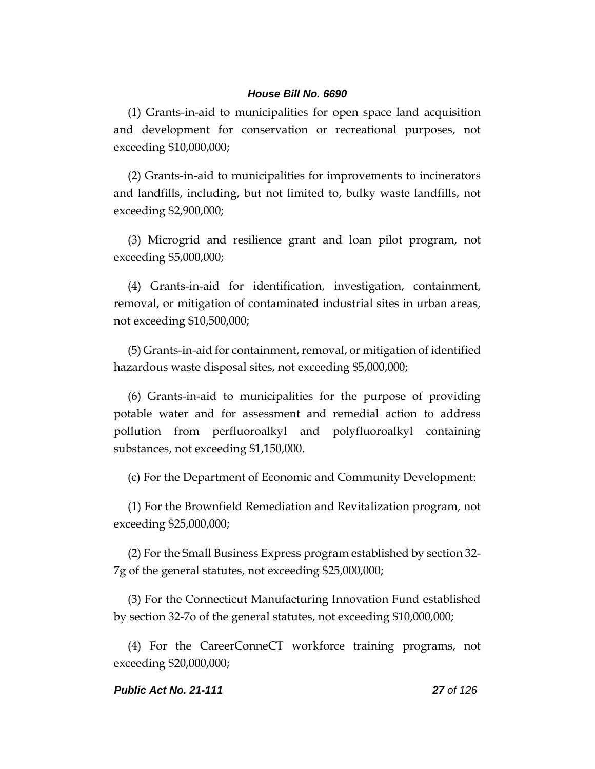(1) Grants-in-aid to municipalities for open space land acquisition and development for conservation or recreational purposes, not exceeding \$10,000,000;

(2) Grants-in-aid to municipalities for improvements to incinerators and landfills, including, but not limited to, bulky waste landfills, not exceeding \$2,900,000;

(3) Microgrid and resilience grant and loan pilot program, not exceeding \$5,000,000;

(4) Grants-in-aid for identification, investigation, containment, removal, or mitigation of contaminated industrial sites in urban areas, not exceeding \$10,500,000;

(5) Grants-in-aid for containment, removal, or mitigation of identified hazardous waste disposal sites, not exceeding \$5,000,000;

(6) Grants-in-aid to municipalities for the purpose of providing potable water and for assessment and remedial action to address pollution from perfluoroalkyl and polyfluoroalkyl containing substances, not exceeding \$1,150,000.

(c) For the Department of Economic and Community Development:

(1) For the Brownfield Remediation and Revitalization program, not exceeding \$25,000,000;

(2) For the Small Business Express program established by section 32- 7g of the general statutes, not exceeding \$25,000,000;

(3) For the Connecticut Manufacturing Innovation Fund established by section 32-7o of the general statutes, not exceeding \$10,000,000;

(4) For the CareerConneCT workforce training programs, not exceeding \$20,000,000;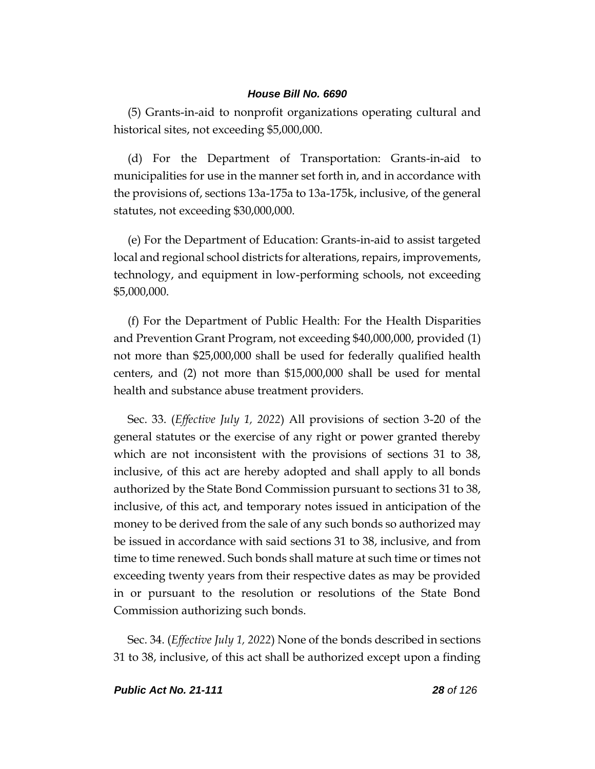(5) Grants-in-aid to nonprofit organizations operating cultural and historical sites, not exceeding \$5,000,000.

(d) For the Department of Transportation: Grants-in-aid to municipalities for use in the manner set forth in, and in accordance with the provisions of, sections 13a-175a to 13a-175k, inclusive, of the general statutes, not exceeding \$30,000,000.

(e) For the Department of Education: Grants-in-aid to assist targeted local and regional school districts for alterations, repairs, improvements, technology, and equipment in low-performing schools, not exceeding \$5,000,000.

(f) For the Department of Public Health: For the Health Disparities and Prevention Grant Program, not exceeding \$40,000,000, provided (1) not more than \$25,000,000 shall be used for federally qualified health centers, and (2) not more than \$15,000,000 shall be used for mental health and substance abuse treatment providers.

Sec. 33. (*Effective July 1, 2022*) All provisions of section 3-20 of the general statutes or the exercise of any right or power granted thereby which are not inconsistent with the provisions of sections 31 to 38, inclusive, of this act are hereby adopted and shall apply to all bonds authorized by the State Bond Commission pursuant to sections 31 to 38, inclusive, of this act, and temporary notes issued in anticipation of the money to be derived from the sale of any such bonds so authorized may be issued in accordance with said sections 31 to 38, inclusive, and from time to time renewed. Such bonds shall mature at such time or times not exceeding twenty years from their respective dates as may be provided in or pursuant to the resolution or resolutions of the State Bond Commission authorizing such bonds.

Sec. 34. (*Effective July 1, 2022*) None of the bonds described in sections 31 to 38, inclusive, of this act shall be authorized except upon a finding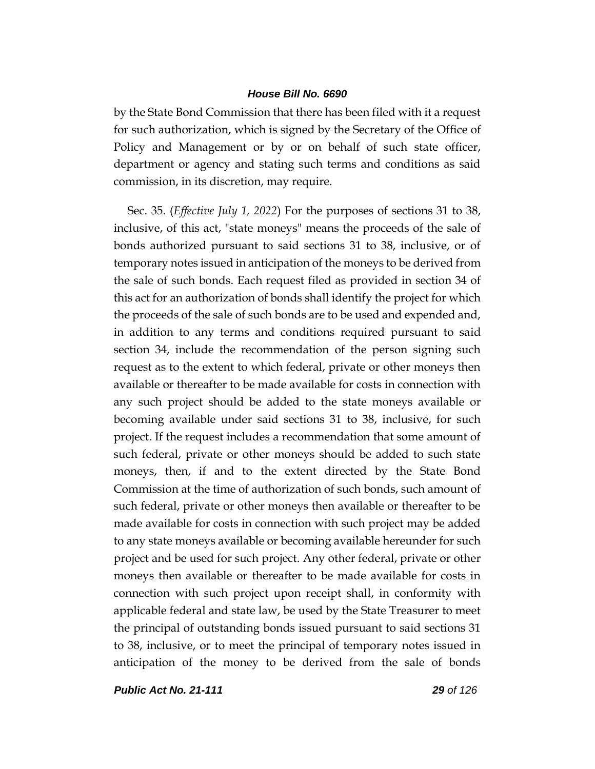by the State Bond Commission that there has been filed with it a request for such authorization, which is signed by the Secretary of the Office of Policy and Management or by or on behalf of such state officer, department or agency and stating such terms and conditions as said commission, in its discretion, may require.

Sec. 35. (*Effective July 1, 2022*) For the purposes of sections 31 to 38, inclusive, of this act, "state moneys" means the proceeds of the sale of bonds authorized pursuant to said sections 31 to 38, inclusive, or of temporary notes issued in anticipation of the moneys to be derived from the sale of such bonds. Each request filed as provided in section 34 of this act for an authorization of bonds shall identify the project for which the proceeds of the sale of such bonds are to be used and expended and, in addition to any terms and conditions required pursuant to said section 34, include the recommendation of the person signing such request as to the extent to which federal, private or other moneys then available or thereafter to be made available for costs in connection with any such project should be added to the state moneys available or becoming available under said sections 31 to 38, inclusive, for such project. If the request includes a recommendation that some amount of such federal, private or other moneys should be added to such state moneys, then, if and to the extent directed by the State Bond Commission at the time of authorization of such bonds, such amount of such federal, private or other moneys then available or thereafter to be made available for costs in connection with such project may be added to any state moneys available or becoming available hereunder for such project and be used for such project. Any other federal, private or other moneys then available or thereafter to be made available for costs in connection with such project upon receipt shall, in conformity with applicable federal and state law, be used by the State Treasurer to meet the principal of outstanding bonds issued pursuant to said sections 31 to 38, inclusive, or to meet the principal of temporary notes issued in anticipation of the money to be derived from the sale of bonds

*Public Act No. 21-111 29 of 126*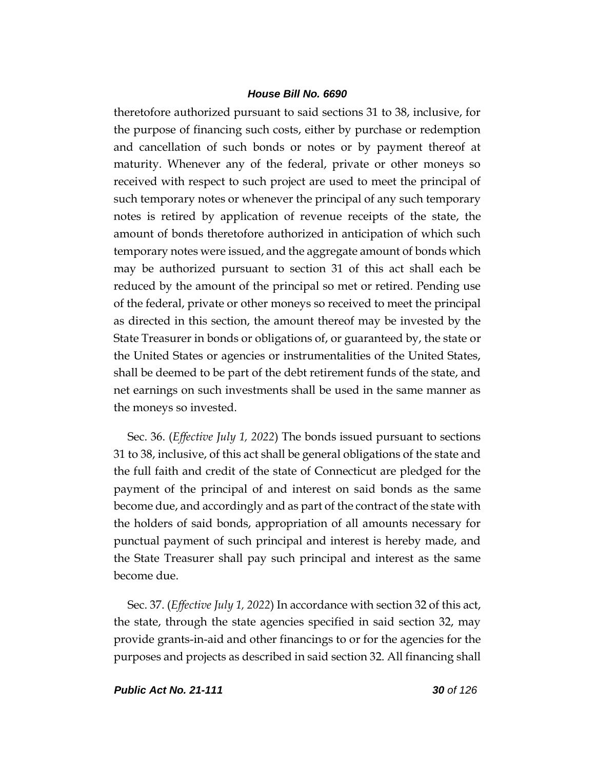theretofore authorized pursuant to said sections 31 to 38, inclusive, for the purpose of financing such costs, either by purchase or redemption and cancellation of such bonds or notes or by payment thereof at maturity. Whenever any of the federal, private or other moneys so received with respect to such project are used to meet the principal of such temporary notes or whenever the principal of any such temporary notes is retired by application of revenue receipts of the state, the amount of bonds theretofore authorized in anticipation of which such temporary notes were issued, and the aggregate amount of bonds which may be authorized pursuant to section 31 of this act shall each be reduced by the amount of the principal so met or retired. Pending use of the federal, private or other moneys so received to meet the principal as directed in this section, the amount thereof may be invested by the State Treasurer in bonds or obligations of, or guaranteed by, the state or the United States or agencies or instrumentalities of the United States, shall be deemed to be part of the debt retirement funds of the state, and net earnings on such investments shall be used in the same manner as the moneys so invested.

Sec. 36. (*Effective July 1, 2022*) The bonds issued pursuant to sections 31 to 38, inclusive, of this act shall be general obligations of the state and the full faith and credit of the state of Connecticut are pledged for the payment of the principal of and interest on said bonds as the same become due, and accordingly and as part of the contract of the state with the holders of said bonds, appropriation of all amounts necessary for punctual payment of such principal and interest is hereby made, and the State Treasurer shall pay such principal and interest as the same become due.

Sec. 37. (*Effective July 1, 2022*) In accordance with section 32 of this act, the state, through the state agencies specified in said section 32, may provide grants-in-aid and other financings to or for the agencies for the purposes and projects as described in said section 32. All financing shall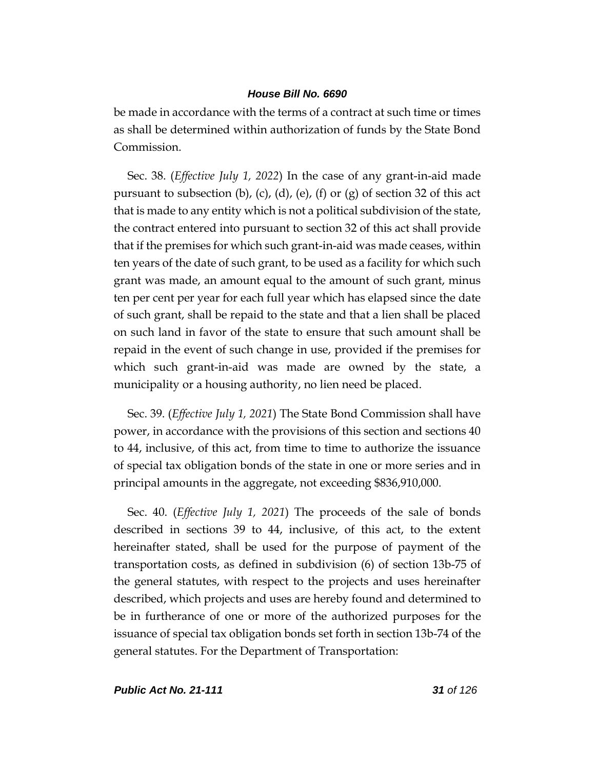be made in accordance with the terms of a contract at such time or times as shall be determined within authorization of funds by the State Bond Commission.

Sec. 38. (*Effective July 1, 2022*) In the case of any grant-in-aid made pursuant to subsection (b), (c), (d), (e), (f) or (g) of section 32 of this act that is made to any entity which is not a political subdivision of the state, the contract entered into pursuant to section 32 of this act shall provide that if the premises for which such grant-in-aid was made ceases, within ten years of the date of such grant, to be used as a facility for which such grant was made, an amount equal to the amount of such grant, minus ten per cent per year for each full year which has elapsed since the date of such grant, shall be repaid to the state and that a lien shall be placed on such land in favor of the state to ensure that such amount shall be repaid in the event of such change in use, provided if the premises for which such grant-in-aid was made are owned by the state, a municipality or a housing authority, no lien need be placed.

Sec. 39. (*Effective July 1, 2021*) The State Bond Commission shall have power, in accordance with the provisions of this section and sections 40 to 44, inclusive, of this act, from time to time to authorize the issuance of special tax obligation bonds of the state in one or more series and in principal amounts in the aggregate, not exceeding \$836,910,000.

Sec. 40. (*Effective July 1, 2021*) The proceeds of the sale of bonds described in sections 39 to 44, inclusive, of this act, to the extent hereinafter stated, shall be used for the purpose of payment of the transportation costs, as defined in subdivision (6) of section 13b-75 of the general statutes, with respect to the projects and uses hereinafter described, which projects and uses are hereby found and determined to be in furtherance of one or more of the authorized purposes for the issuance of special tax obligation bonds set forth in section 13b-74 of the general statutes. For the Department of Transportation: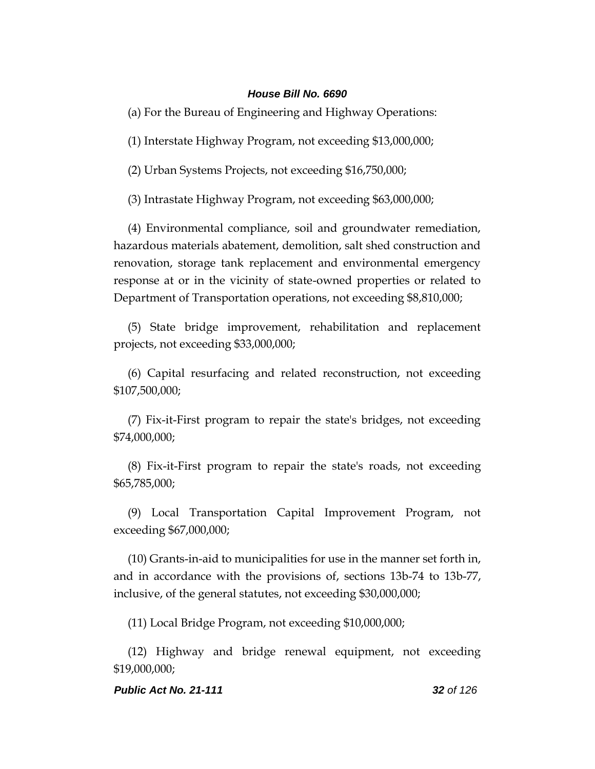(a) For the Bureau of Engineering and Highway Operations:

(1) Interstate Highway Program, not exceeding \$13,000,000;

(2) Urban Systems Projects, not exceeding \$16,750,000;

(3) Intrastate Highway Program, not exceeding \$63,000,000;

(4) Environmental compliance, soil and groundwater remediation, hazardous materials abatement, demolition, salt shed construction and renovation, storage tank replacement and environmental emergency response at or in the vicinity of state-owned properties or related to Department of Transportation operations, not exceeding \$8,810,000;

(5) State bridge improvement, rehabilitation and replacement projects, not exceeding \$33,000,000;

(6) Capital resurfacing and related reconstruction, not exceeding \$107,500,000;

(7) Fix-it-First program to repair the state's bridges, not exceeding \$74,000,000;

(8) Fix-it-First program to repair the state's roads, not exceeding \$65,785,000;

(9) Local Transportation Capital Improvement Program, not exceeding \$67,000,000;

(10) Grants-in-aid to municipalities for use in the manner set forth in, and in accordance with the provisions of, sections 13b-74 to 13b-77, inclusive, of the general statutes, not exceeding \$30,000,000;

(11) Local Bridge Program, not exceeding \$10,000,000;

(12) Highway and bridge renewal equipment, not exceeding \$19,000,000;

*Public Act No. 21-111 32 of 126*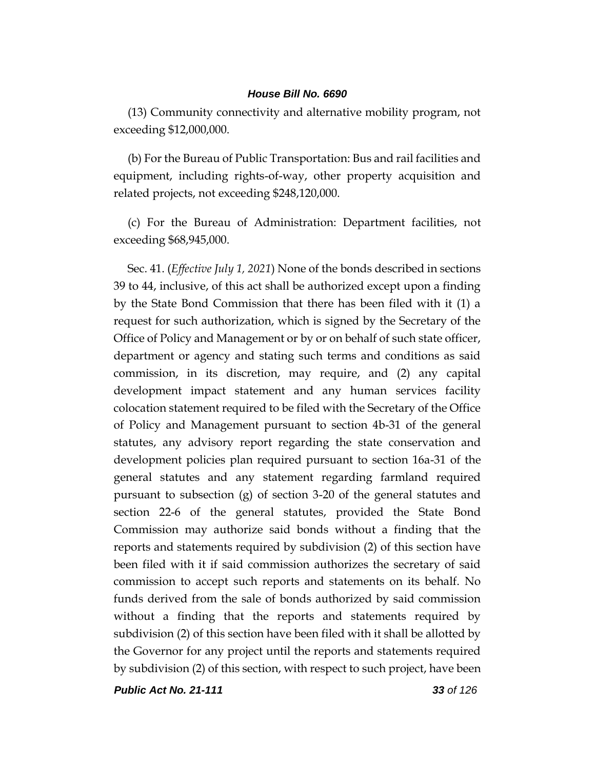(13) Community connectivity and alternative mobility program, not exceeding \$12,000,000.

(b) For the Bureau of Public Transportation: Bus and rail facilities and equipment, including rights-of-way, other property acquisition and related projects, not exceeding \$248,120,000.

(c) For the Bureau of Administration: Department facilities, not exceeding \$68,945,000.

Sec. 41. (*Effective July 1, 2021*) None of the bonds described in sections 39 to 44, inclusive, of this act shall be authorized except upon a finding by the State Bond Commission that there has been filed with it (1) a request for such authorization, which is signed by the Secretary of the Office of Policy and Management or by or on behalf of such state officer, department or agency and stating such terms and conditions as said commission, in its discretion, may require, and (2) any capital development impact statement and any human services facility colocation statement required to be filed with the Secretary of the Office of Policy and Management pursuant to section 4b-31 of the general statutes, any advisory report regarding the state conservation and development policies plan required pursuant to section 16a-31 of the general statutes and any statement regarding farmland required pursuant to subsection (g) of section 3-20 of the general statutes and section 22-6 of the general statutes, provided the State Bond Commission may authorize said bonds without a finding that the reports and statements required by subdivision (2) of this section have been filed with it if said commission authorizes the secretary of said commission to accept such reports and statements on its behalf. No funds derived from the sale of bonds authorized by said commission without a finding that the reports and statements required by subdivision (2) of this section have been filed with it shall be allotted by the Governor for any project until the reports and statements required by subdivision (2) of this section, with respect to such project, have been

*Public Act No. 21-111 33 of 126*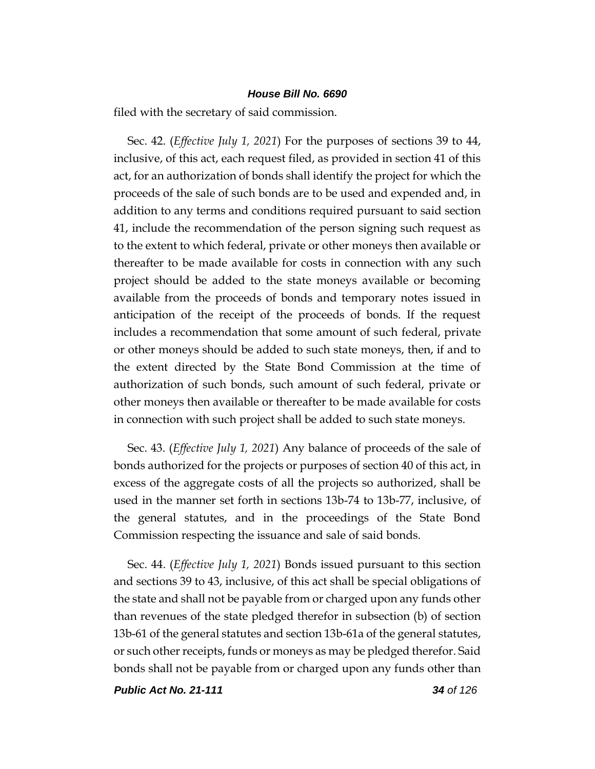filed with the secretary of said commission.

Sec. 42. (*Effective July 1, 2021*) For the purposes of sections 39 to 44, inclusive, of this act, each request filed, as provided in section 41 of this act, for an authorization of bonds shall identify the project for which the proceeds of the sale of such bonds are to be used and expended and, in addition to any terms and conditions required pursuant to said section 41, include the recommendation of the person signing such request as to the extent to which federal, private or other moneys then available or thereafter to be made available for costs in connection with any such project should be added to the state moneys available or becoming available from the proceeds of bonds and temporary notes issued in anticipation of the receipt of the proceeds of bonds. If the request includes a recommendation that some amount of such federal, private or other moneys should be added to such state moneys, then, if and to the extent directed by the State Bond Commission at the time of authorization of such bonds, such amount of such federal, private or other moneys then available or thereafter to be made available for costs in connection with such project shall be added to such state moneys.

Sec. 43. (*Effective July 1, 2021*) Any balance of proceeds of the sale of bonds authorized for the projects or purposes of section 40 of this act, in excess of the aggregate costs of all the projects so authorized, shall be used in the manner set forth in sections 13b-74 to 13b-77, inclusive, of the general statutes, and in the proceedings of the State Bond Commission respecting the issuance and sale of said bonds.

Sec. 44. (*Effective July 1, 2021*) Bonds issued pursuant to this section and sections 39 to 43, inclusive, of this act shall be special obligations of the state and shall not be payable from or charged upon any funds other than revenues of the state pledged therefor in subsection (b) of section 13b-61 of the general statutes and section 13b-61a of the general statutes, or such other receipts, funds or moneys as may be pledged therefor. Said bonds shall not be payable from or charged upon any funds other than

*Public Act No. 21-111 34 of 126*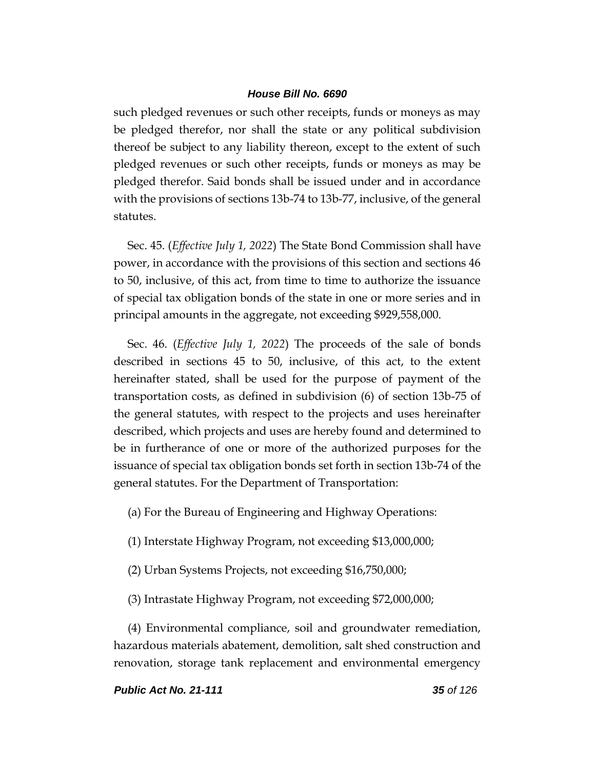such pledged revenues or such other receipts, funds or moneys as may be pledged therefor, nor shall the state or any political subdivision thereof be subject to any liability thereon, except to the extent of such pledged revenues or such other receipts, funds or moneys as may be pledged therefor. Said bonds shall be issued under and in accordance with the provisions of sections 13b-74 to 13b-77, inclusive, of the general statutes.

Sec. 45. (*Effective July 1, 2022*) The State Bond Commission shall have power, in accordance with the provisions of this section and sections 46 to 50, inclusive, of this act, from time to time to authorize the issuance of special tax obligation bonds of the state in one or more series and in principal amounts in the aggregate, not exceeding \$929,558,000.

Sec. 46. (*Effective July 1, 2022*) The proceeds of the sale of bonds described in sections 45 to 50, inclusive, of this act, to the extent hereinafter stated, shall be used for the purpose of payment of the transportation costs, as defined in subdivision (6) of section 13b-75 of the general statutes, with respect to the projects and uses hereinafter described, which projects and uses are hereby found and determined to be in furtherance of one or more of the authorized purposes for the issuance of special tax obligation bonds set forth in section 13b-74 of the general statutes. For the Department of Transportation:

(a) For the Bureau of Engineering and Highway Operations:

- (1) Interstate Highway Program, not exceeding \$13,000,000;
- (2) Urban Systems Projects, not exceeding \$16,750,000;
- (3) Intrastate Highway Program, not exceeding \$72,000,000;

(4) Environmental compliance, soil and groundwater remediation, hazardous materials abatement, demolition, salt shed construction and renovation, storage tank replacement and environmental emergency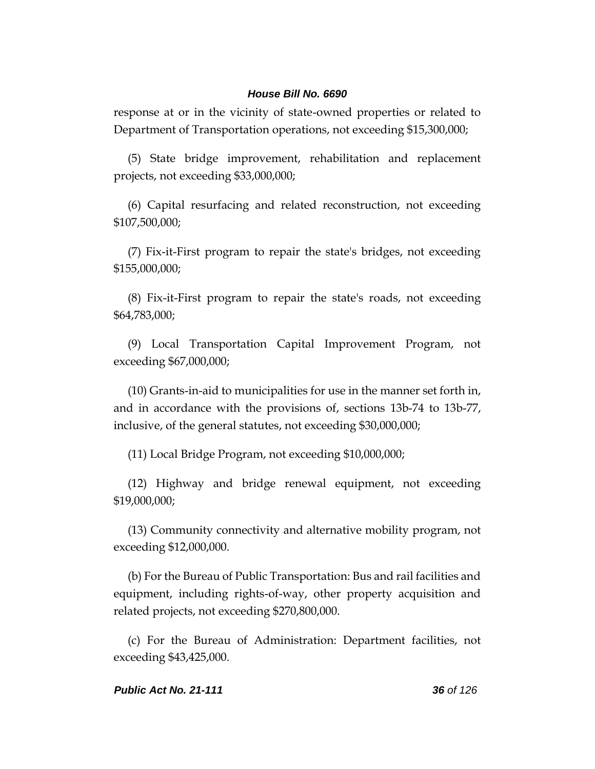response at or in the vicinity of state-owned properties or related to Department of Transportation operations, not exceeding \$15,300,000;

(5) State bridge improvement, rehabilitation and replacement projects, not exceeding \$33,000,000;

(6) Capital resurfacing and related reconstruction, not exceeding \$107,500,000;

(7) Fix-it-First program to repair the state's bridges, not exceeding \$155,000,000;

(8) Fix-it-First program to repair the state's roads, not exceeding \$64,783,000;

(9) Local Transportation Capital Improvement Program, not exceeding \$67,000,000;

(10) Grants-in-aid to municipalities for use in the manner set forth in, and in accordance with the provisions of, sections 13b-74 to 13b-77, inclusive, of the general statutes, not exceeding \$30,000,000;

(11) Local Bridge Program, not exceeding \$10,000,000;

(12) Highway and bridge renewal equipment, not exceeding \$19,000,000;

(13) Community connectivity and alternative mobility program, not exceeding \$12,000,000.

(b) For the Bureau of Public Transportation: Bus and rail facilities and equipment, including rights-of-way, other property acquisition and related projects, not exceeding \$270,800,000.

(c) For the Bureau of Administration: Department facilities, not exceeding \$43,425,000.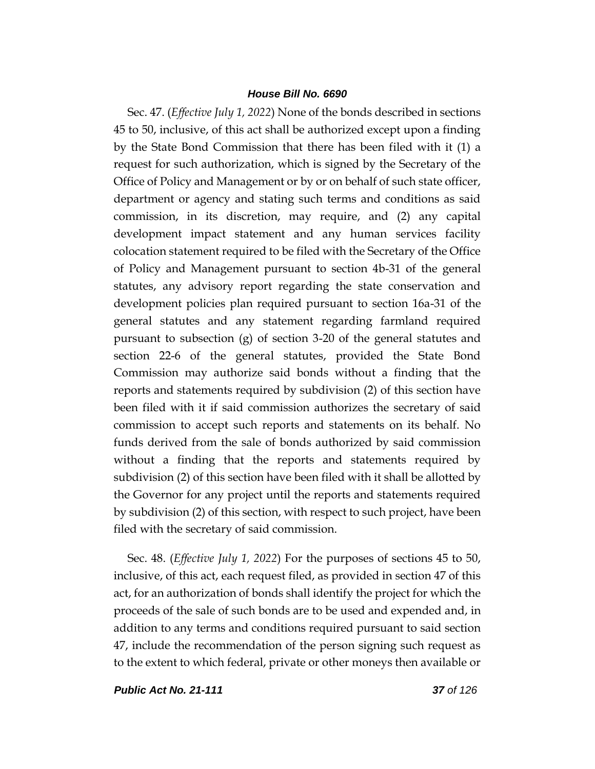Sec. 47. (*Effective July 1, 2022*) None of the bonds described in sections 45 to 50, inclusive, of this act shall be authorized except upon a finding by the State Bond Commission that there has been filed with it (1) a request for such authorization, which is signed by the Secretary of the Office of Policy and Management or by or on behalf of such state officer, department or agency and stating such terms and conditions as said commission, in its discretion, may require, and (2) any capital development impact statement and any human services facility colocation statement required to be filed with the Secretary of the Office of Policy and Management pursuant to section 4b-31 of the general statutes, any advisory report regarding the state conservation and development policies plan required pursuant to section 16a-31 of the general statutes and any statement regarding farmland required pursuant to subsection (g) of section 3-20 of the general statutes and section 22-6 of the general statutes, provided the State Bond Commission may authorize said bonds without a finding that the reports and statements required by subdivision (2) of this section have been filed with it if said commission authorizes the secretary of said commission to accept such reports and statements on its behalf. No funds derived from the sale of bonds authorized by said commission without a finding that the reports and statements required by subdivision (2) of this section have been filed with it shall be allotted by the Governor for any project until the reports and statements required by subdivision (2) of this section, with respect to such project, have been filed with the secretary of said commission.

Sec. 48. (*Effective July 1, 2022*) For the purposes of sections 45 to 50, inclusive, of this act, each request filed, as provided in section 47 of this act, for an authorization of bonds shall identify the project for which the proceeds of the sale of such bonds are to be used and expended and, in addition to any terms and conditions required pursuant to said section 47, include the recommendation of the person signing such request as to the extent to which federal, private or other moneys then available or

*Public Act No. 21-111 37 of 126*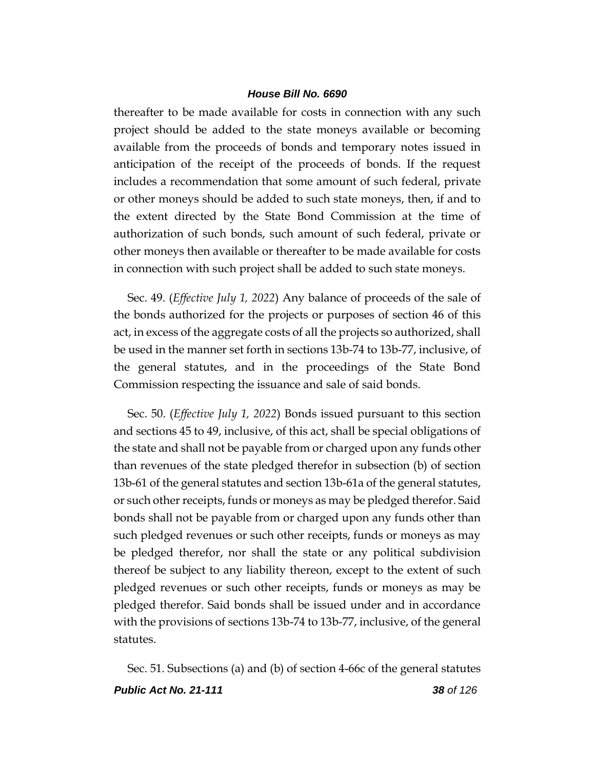thereafter to be made available for costs in connection with any such project should be added to the state moneys available or becoming available from the proceeds of bonds and temporary notes issued in anticipation of the receipt of the proceeds of bonds. If the request includes a recommendation that some amount of such federal, private or other moneys should be added to such state moneys, then, if and to the extent directed by the State Bond Commission at the time of authorization of such bonds, such amount of such federal, private or other moneys then available or thereafter to be made available for costs in connection with such project shall be added to such state moneys.

Sec. 49. (*Effective July 1, 2022*) Any balance of proceeds of the sale of the bonds authorized for the projects or purposes of section 46 of this act, in excess of the aggregate costs of all the projects so authorized, shall be used in the manner set forth in sections 13b-74 to 13b-77, inclusive, of the general statutes, and in the proceedings of the State Bond Commission respecting the issuance and sale of said bonds.

Sec. 50. (*Effective July 1, 2022*) Bonds issued pursuant to this section and sections 45 to 49, inclusive, of this act, shall be special obligations of the state and shall not be payable from or charged upon any funds other than revenues of the state pledged therefor in subsection (b) of section 13b-61 of the general statutes and section 13b-61a of the general statutes, or such other receipts, funds or moneys as may be pledged therefor. Said bonds shall not be payable from or charged upon any funds other than such pledged revenues or such other receipts, funds or moneys as may be pledged therefor, nor shall the state or any political subdivision thereof be subject to any liability thereon, except to the extent of such pledged revenues or such other receipts, funds or moneys as may be pledged therefor. Said bonds shall be issued under and in accordance with the provisions of sections 13b-74 to 13b-77, inclusive, of the general statutes.

*Public Act No. 21-111 38 of 126* Sec. 51. Subsections (a) and (b) of section 4-66c of the general statutes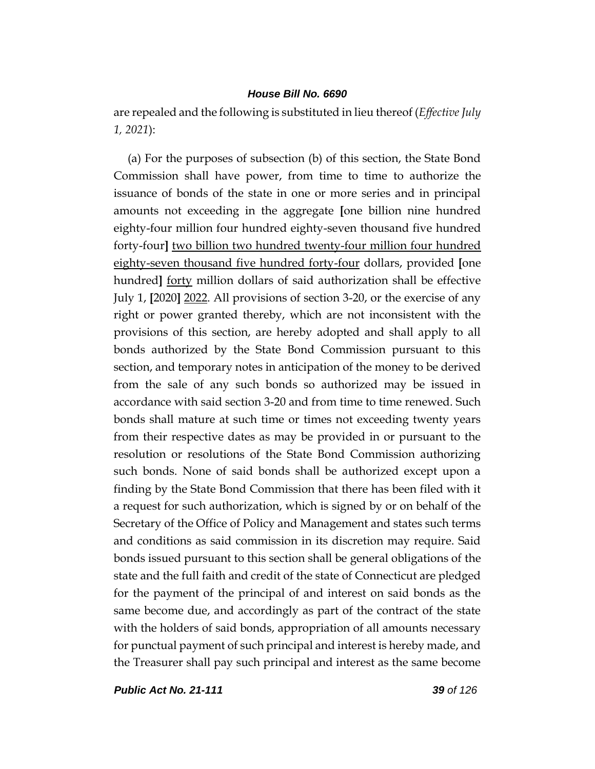are repealed and the following is substituted in lieu thereof (*Effective July 1, 2021*):

(a) For the purposes of subsection (b) of this section, the State Bond Commission shall have power, from time to time to authorize the issuance of bonds of the state in one or more series and in principal amounts not exceeding in the aggregate **[**one billion nine hundred eighty-four million four hundred eighty-seven thousand five hundred forty-four**]** two billion two hundred twenty-four million four hundred eighty-seven thousand five hundred forty-four dollars, provided **[**one hundred**]** forty million dollars of said authorization shall be effective July 1, **[**2020**]** 2022. All provisions of section 3-20, or the exercise of any right or power granted thereby, which are not inconsistent with the provisions of this section, are hereby adopted and shall apply to all bonds authorized by the State Bond Commission pursuant to this section, and temporary notes in anticipation of the money to be derived from the sale of any such bonds so authorized may be issued in accordance with said section 3-20 and from time to time renewed. Such bonds shall mature at such time or times not exceeding twenty years from their respective dates as may be provided in or pursuant to the resolution or resolutions of the State Bond Commission authorizing such bonds. None of said bonds shall be authorized except upon a finding by the State Bond Commission that there has been filed with it a request for such authorization, which is signed by or on behalf of the Secretary of the Office of Policy and Management and states such terms and conditions as said commission in its discretion may require. Said bonds issued pursuant to this section shall be general obligations of the state and the full faith and credit of the state of Connecticut are pledged for the payment of the principal of and interest on said bonds as the same become due, and accordingly as part of the contract of the state with the holders of said bonds, appropriation of all amounts necessary for punctual payment of such principal and interest is hereby made, and the Treasurer shall pay such principal and interest as the same become

*Public Act No. 21-111 39 of 126*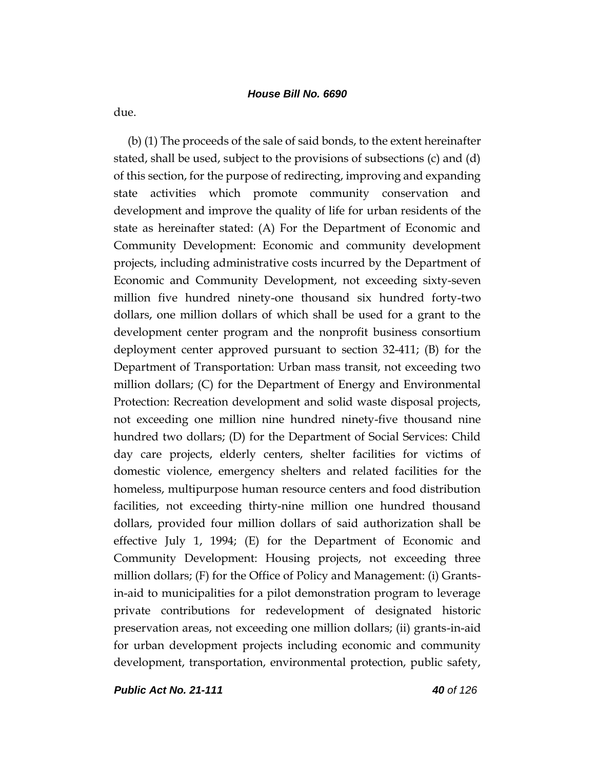due.

(b) (1) The proceeds of the sale of said bonds, to the extent hereinafter stated, shall be used, subject to the provisions of subsections (c) and (d) of this section, for the purpose of redirecting, improving and expanding state activities which promote community conservation and development and improve the quality of life for urban residents of the state as hereinafter stated: (A) For the Department of Economic and Community Development: Economic and community development projects, including administrative costs incurred by the Department of Economic and Community Development, not exceeding sixty-seven million five hundred ninety-one thousand six hundred forty-two dollars, one million dollars of which shall be used for a grant to the development center program and the nonprofit business consortium deployment center approved pursuant to section 32-411; (B) for the Department of Transportation: Urban mass transit, not exceeding two million dollars; (C) for the Department of Energy and Environmental Protection: Recreation development and solid waste disposal projects, not exceeding one million nine hundred ninety-five thousand nine hundred two dollars; (D) for the Department of Social Services: Child day care projects, elderly centers, shelter facilities for victims of domestic violence, emergency shelters and related facilities for the homeless, multipurpose human resource centers and food distribution facilities, not exceeding thirty-nine million one hundred thousand dollars, provided four million dollars of said authorization shall be effective July 1, 1994; (E) for the Department of Economic and Community Development: Housing projects, not exceeding three million dollars; (F) for the Office of Policy and Management: (i) Grantsin-aid to municipalities for a pilot demonstration program to leverage private contributions for redevelopment of designated historic preservation areas, not exceeding one million dollars; (ii) grants-in-aid for urban development projects including economic and community development, transportation, environmental protection, public safety,

*Public Act No. 21-111 40 of 126*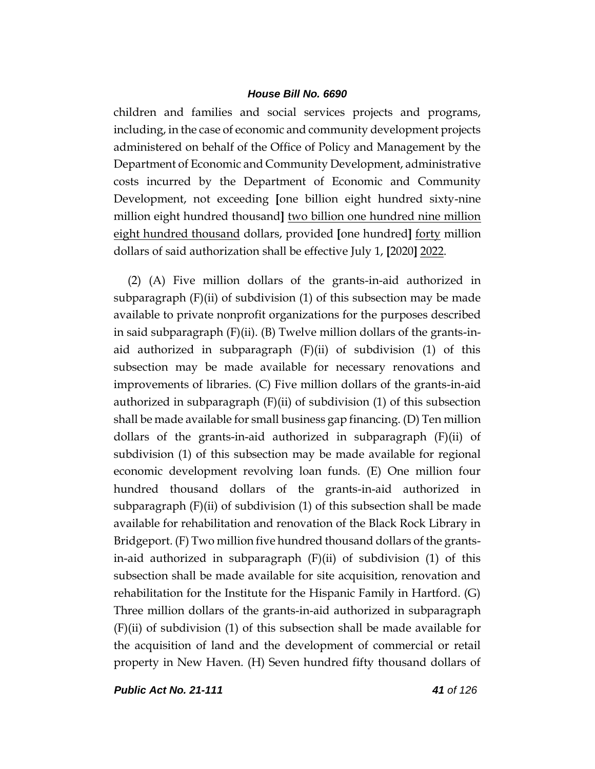children and families and social services projects and programs, including, in the case of economic and community development projects administered on behalf of the Office of Policy and Management by the Department of Economic and Community Development, administrative costs incurred by the Department of Economic and Community Development, not exceeding **[**one billion eight hundred sixty-nine million eight hundred thousand**]** two billion one hundred nine million eight hundred thousand dollars, provided **[**one hundred**]** forty million dollars of said authorization shall be effective July 1, **[**2020**]** 2022.

(2) (A) Five million dollars of the grants-in-aid authorized in subparagraph  $(F)(ii)$  of subdivision  $(1)$  of this subsection may be made available to private nonprofit organizations for the purposes described in said subparagraph (F)(ii). (B) Twelve million dollars of the grants-inaid authorized in subparagraph  $(F)(ii)$  of subdivision (1) of this subsection may be made available for necessary renovations and improvements of libraries. (C) Five million dollars of the grants-in-aid authorized in subparagraph (F)(ii) of subdivision (1) of this subsection shall be made available for small business gap financing. (D) Ten million dollars of the grants-in-aid authorized in subparagraph (F)(ii) of subdivision (1) of this subsection may be made available for regional economic development revolving loan funds. (E) One million four hundred thousand dollars of the grants-in-aid authorized in subparagraph  $(F)(ii)$  of subdivision  $(1)$  of this subsection shall be made available for rehabilitation and renovation of the Black Rock Library in Bridgeport. (F) Two million five hundred thousand dollars of the grantsin-aid authorized in subparagraph  $(F)(ii)$  of subdivision  $(1)$  of this subsection shall be made available for site acquisition, renovation and rehabilitation for the Institute for the Hispanic Family in Hartford. (G) Three million dollars of the grants-in-aid authorized in subparagraph (F)(ii) of subdivision (1) of this subsection shall be made available for the acquisition of land and the development of commercial or retail property in New Haven. (H) Seven hundred fifty thousand dollars of

*Public Act No. 21-111 41 of 126*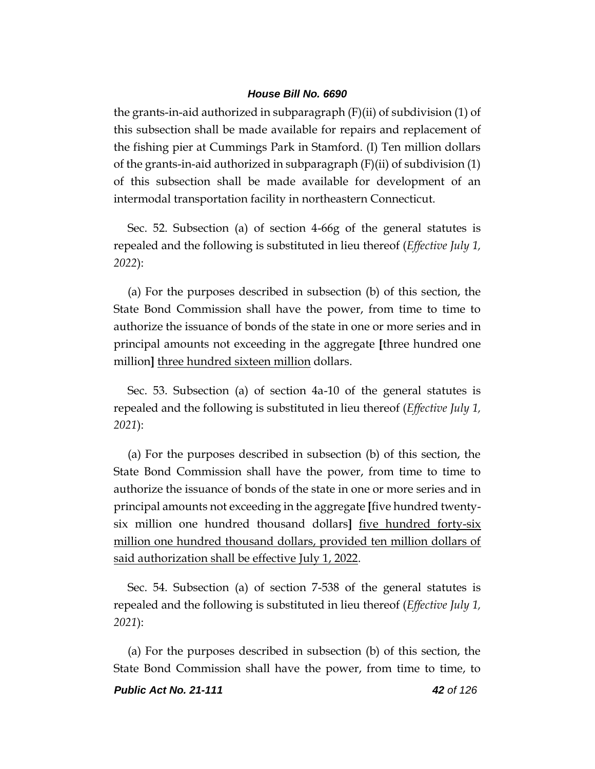the grants-in-aid authorized in subparagraph  $(F)(ii)$  of subdivision (1) of this subsection shall be made available for repairs and replacement of the fishing pier at Cummings Park in Stamford. (I) Ten million dollars of the grants-in-aid authorized in subparagraph  $(F)(ii)$  of subdivision  $(1)$ of this subsection shall be made available for development of an intermodal transportation facility in northeastern Connecticut.

Sec. 52. Subsection (a) of section 4-66g of the general statutes is repealed and the following is substituted in lieu thereof (*Effective July 1, 2022*):

(a) For the purposes described in subsection (b) of this section, the State Bond Commission shall have the power, from time to time to authorize the issuance of bonds of the state in one or more series and in principal amounts not exceeding in the aggregate **[**three hundred one million**]** three hundred sixteen million dollars.

Sec. 53. Subsection (a) of section 4a-10 of the general statutes is repealed and the following is substituted in lieu thereof (*Effective July 1, 2021*):

(a) For the purposes described in subsection (b) of this section, the State Bond Commission shall have the power, from time to time to authorize the issuance of bonds of the state in one or more series and in principal amounts not exceeding in the aggregate **[**five hundred twentysix million one hundred thousand dollars**]** five hundred forty-six million one hundred thousand dollars, provided ten million dollars of said authorization shall be effective July 1, 2022.

Sec. 54. Subsection (a) of section 7-538 of the general statutes is repealed and the following is substituted in lieu thereof (*Effective July 1, 2021*):

(a) For the purposes described in subsection (b) of this section, the State Bond Commission shall have the power, from time to time, to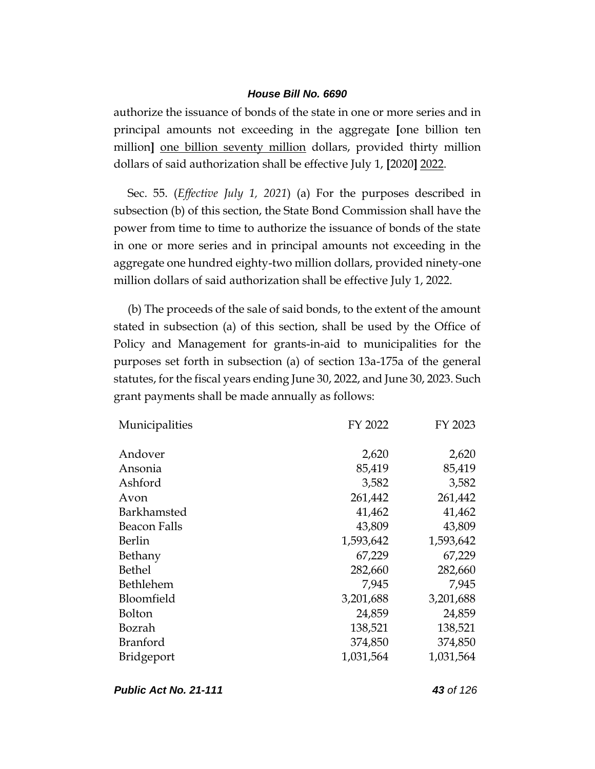authorize the issuance of bonds of the state in one or more series and in principal amounts not exceeding in the aggregate **[**one billion ten million**]** one billion seventy million dollars, provided thirty million dollars of said authorization shall be effective July 1, **[**2020**]** 2022.

Sec. 55. (*Effective July 1, 2021*) (a) For the purposes described in subsection (b) of this section, the State Bond Commission shall have the power from time to time to authorize the issuance of bonds of the state in one or more series and in principal amounts not exceeding in the aggregate one hundred eighty-two million dollars, provided ninety-one million dollars of said authorization shall be effective July 1, 2022.

(b) The proceeds of the sale of said bonds, to the extent of the amount stated in subsection (a) of this section, shall be used by the Office of Policy and Management for grants-in-aid to municipalities for the purposes set forth in subsection (a) of section 13a-175a of the general statutes, for the fiscal years ending June 30, 2022, and June 30, 2023. Such grant payments shall be made annually as follows:

| Municipalities      | FY 2022   | FY 2023   |
|---------------------|-----------|-----------|
| Andover             | 2,620     | 2,620     |
| Ansonia             | 85,419    | 85,419    |
| Ashford             | 3,582     | 3,582     |
| Avon                | 261,442   | 261,442   |
| <b>Barkhamsted</b>  | 41,462    | 41,462    |
| <b>Beacon Falls</b> | 43,809    | 43,809    |
| Berlin              | 1,593,642 | 1,593,642 |
| Bethany             | 67,229    | 67,229    |
| <b>Bethel</b>       | 282,660   | 282,660   |
| Bethlehem           | 7,945     | 7,945     |
| Bloomfield          | 3,201,688 | 3,201,688 |
| <b>Bolton</b>       | 24,859    | 24,859    |
| Bozrah              | 138,521   | 138,521   |
| <b>Branford</b>     | 374,850   | 374,850   |
| Bridgeport          | 1,031,564 | 1,031,564 |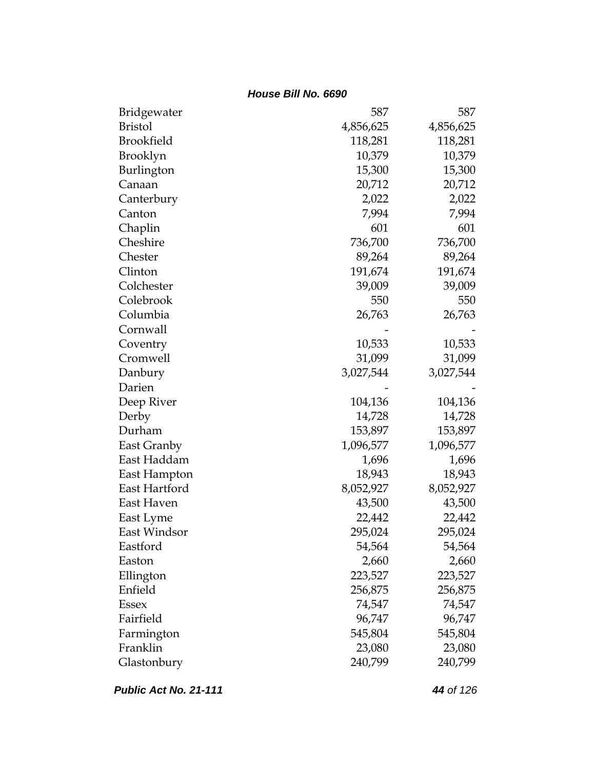| Bridgewater       | 587       | 587       |
|-------------------|-----------|-----------|
| <b>Bristol</b>    | 4,856,625 | 4,856,625 |
| <b>Brookfield</b> | 118,281   | 118,281   |
| Brooklyn          | 10,379    | 10,379    |
| Burlington        | 15,300    | 15,300    |
| Canaan            | 20,712    | 20,712    |
| Canterbury        | 2,022     | 2,022     |
| Canton            | 7,994     | 7,994     |
| Chaplin           | 601       | 601       |
| Cheshire          | 736,700   | 736,700   |
| Chester           | 89,264    | 89,264    |
| Clinton           | 191,674   | 191,674   |
| Colchester        | 39,009    | 39,009    |
| Colebrook         | 550       | 550       |
| Columbia          | 26,763    | 26,763    |
| Cornwall          |           |           |
| Coventry          | 10,533    | 10,533    |
| Cromwell          | 31,099    | 31,099    |
| Danbury           | 3,027,544 | 3,027,544 |
| Darien            |           |           |
| Deep River        | 104,136   | 104,136   |
| Derby             | 14,728    | 14,728    |
| Durham            | 153,897   | 153,897   |
| East Granby       | 1,096,577 | 1,096,577 |
| East Haddam       | 1,696     | 1,696     |
| East Hampton      | 18,943    | 18,943    |
| East Hartford     | 8,052,927 | 8,052,927 |
| East Haven        | 43,500    | 43,500    |
| East Lyme         | 22,442    | 22,442    |
| East Windsor      | 295,024   | 295,024   |
| Eastford          | 54,564    | 54,564    |
| Easton            | 2,660     | 2,660     |
| Ellington         | 223,527   | 223,527   |
| Enfield           | 256,875   | 256,875   |
| <b>Essex</b>      | 74,547    | 74,547    |
| Fairfield         | 96,747    | 96,747    |
| Farmington        | 545,804   | 545,804   |
| Franklin          | 23,080    | 23,080    |
| Glastonbury       | 240,799   | 240,799   |
|                   |           |           |

*Public Act No. 21-111 44 of 126*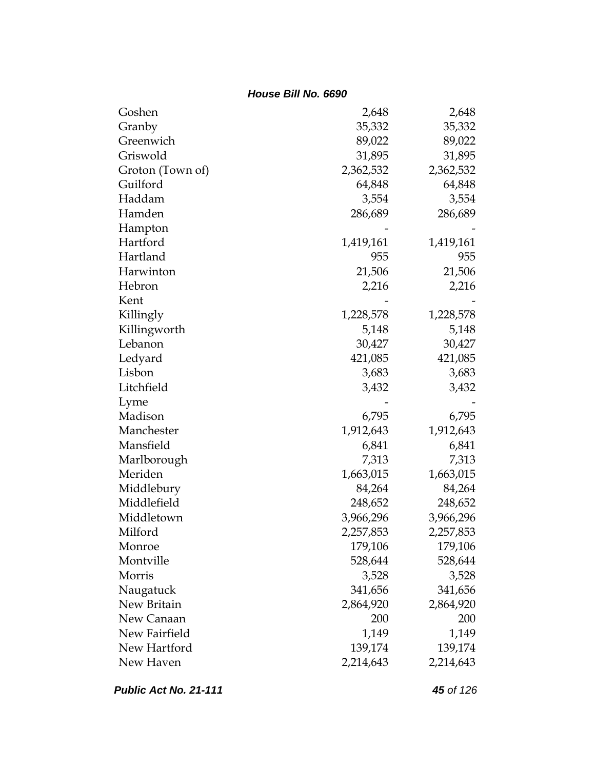| Goshen           | 2,648     | 2,648     |
|------------------|-----------|-----------|
| Granby           | 35,332    | 35,332    |
| Greenwich        | 89,022    | 89,022    |
| Griswold         | 31,895    | 31,895    |
| Groton (Town of) | 2,362,532 | 2,362,532 |
| Guilford         | 64,848    | 64,848    |
| Haddam           | 3,554     | 3,554     |
| Hamden           | 286,689   | 286,689   |
| Hampton          |           |           |
| Hartford         | 1,419,161 | 1,419,161 |
| Hartland         | 955       | 955       |
| Harwinton        | 21,506    | 21,506    |
| Hebron           | 2,216     | 2,216     |
| Kent             |           |           |
| Killingly        | 1,228,578 | 1,228,578 |
| Killingworth     | 5,148     | 5,148     |
| Lebanon          | 30,427    | 30,427    |
| Ledyard          | 421,085   | 421,085   |
| Lisbon           | 3,683     | 3,683     |
| Litchfield       | 3,432     | 3,432     |
| Lyme             |           |           |
| Madison          | 6,795     | 6,795     |
| Manchester       | 1,912,643 | 1,912,643 |
| Mansfield        | 6,841     | 6,841     |
| Marlborough      | 7,313     | 7,313     |
| Meriden          | 1,663,015 | 1,663,015 |
| Middlebury       | 84,264    | 84,264    |
| Middlefield      | 248,652   | 248,652   |
| Middletown       | 3,966,296 | 3,966,296 |
| Milford          | 2,257,853 | 2,257,853 |
| Monroe           | 179,106   | 179,106   |
| Montville        | 528,644   | 528,644   |
| Morris           | 3,528     | 3,528     |
| Naugatuck        | 341,656   | 341,656   |
| New Britain      | 2,864,920 | 2,864,920 |
| New Canaan       | 200       | 200       |
| New Fairfield    | 1,149     | 1,149     |
| New Hartford     | 139,174   | 139,174   |
| New Haven        | 2,214,643 | 2,214,643 |
|                  |           |           |

*Public Act No. 21-111 45 of 126*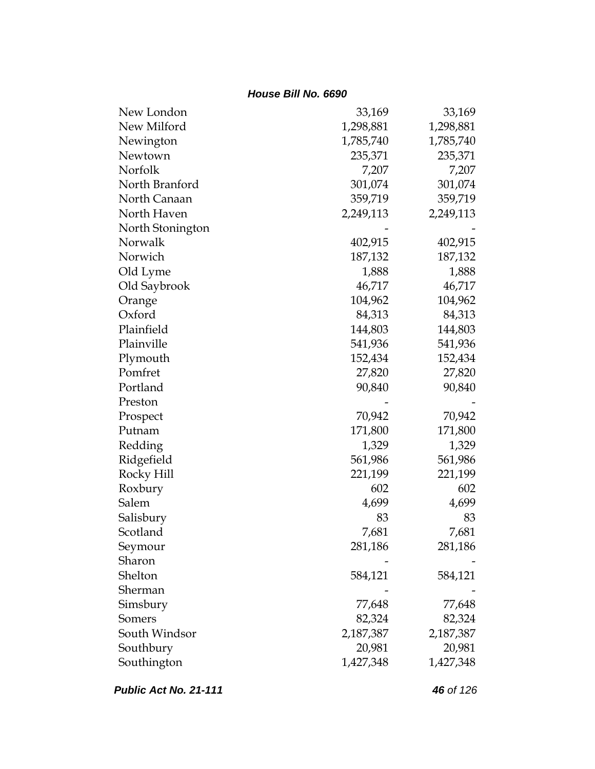| New London       | 33,169    | 33,169    |
|------------------|-----------|-----------|
| New Milford      | 1,298,881 | 1,298,881 |
| Newington        | 1,785,740 | 1,785,740 |
| Newtown          | 235,371   | 235,371   |
| Norfolk          | 7,207     | 7,207     |
| North Branford   | 301,074   | 301,074   |
| North Canaan     | 359,719   | 359,719   |
| North Haven      | 2,249,113 | 2,249,113 |
| North Stonington |           |           |
| Norwalk          | 402,915   | 402,915   |
| Norwich          | 187,132   | 187,132   |
| Old Lyme         | 1,888     | 1,888     |
| Old Saybrook     | 46,717    | 46,717    |
| Orange           | 104,962   | 104,962   |
| Oxford           | 84,313    | 84,313    |
| Plainfield       | 144,803   | 144,803   |
| Plainville       | 541,936   | 541,936   |
| Plymouth         | 152,434   | 152,434   |
| Pomfret          | 27,820    | 27,820    |
| Portland         | 90,840    | 90,840    |
| Preston          |           |           |
| Prospect         | 70,942    | 70,942    |
| Putnam           | 171,800   | 171,800   |
| Redding          | 1,329     | 1,329     |
| Ridgefield       | 561,986   | 561,986   |
| Rocky Hill       | 221,199   | 221,199   |
| Roxbury          | 602       | 602       |
| Salem            | 4,699     | 4,699     |
| Salisbury        | 83        | 83        |
| Scotland         | 7,681     | 7,681     |
| Seymour          | 281,186   | 281,186   |
| Sharon           |           |           |
| Shelton          | 584,121   | 584,121   |
| Sherman          |           |           |
| Simsbury         | 77,648    | 77,648    |
| Somers           | 82,324    | 82,324    |
| South Windsor    | 2,187,387 | 2,187,387 |
| Southbury        | 20,981    | 20,981    |
| Southington      | 1,427,348 | 1,427,348 |
|                  |           |           |

*Public Act No. 21-111 46 of 126*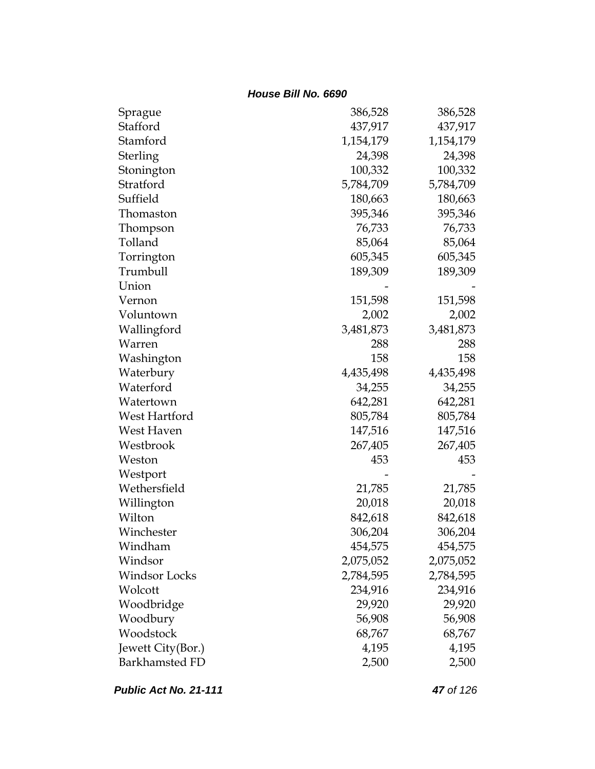| Sprague              | 386,528   | 386,528   |
|----------------------|-----------|-----------|
| Stafford             | 437,917   | 437,917   |
| Stamford             | 1,154,179 | 1,154,179 |
| Sterling             | 24,398    | 24,398    |
| Stonington           | 100,332   | 100,332   |
| Stratford            | 5,784,709 | 5,784,709 |
| Suffield             | 180,663   | 180,663   |
| Thomaston            | 395,346   | 395,346   |
| Thompson             | 76,733    | 76,733    |
| Tolland              | 85,064    | 85,064    |
| Torrington           | 605,345   | 605,345   |
| Trumbull             | 189,309   | 189,309   |
| Union                |           |           |
| Vernon               | 151,598   | 151,598   |
| Voluntown            | 2,002     | 2,002     |
| Wallingford          | 3,481,873 | 3,481,873 |
| Warren               | 288       | 288       |
| Washington           | 158       | 158       |
| Waterbury            | 4,435,498 | 4,435,498 |
| Waterford            | 34,255    | 34,255    |
| Watertown            | 642,281   | 642,281   |
| West Hartford        | 805,784   | 805,784   |
| West Haven           | 147,516   | 147,516   |
| Westbrook            | 267,405   | 267,405   |
| Weston               | 453       | 453       |
| Westport             |           |           |
| Wethersfield         | 21,785    | 21,785    |
| Willington           | 20,018    | 20,018    |
| Wilton               | 842,618   | 842,618   |
| Winchester           | 306,204   | 306,204   |
| Windham              | 454,575   | 454,575   |
| Windsor              | 2,075,052 | 2,075,052 |
| <b>Windsor Locks</b> | 2,784,595 | 2,784,595 |
| Wolcott              | 234,916   | 234,916   |
| Woodbridge           | 29,920    | 29,920    |
| Woodbury             | 56,908    | 56,908    |
| Woodstock            | 68,767    | 68,767    |
| Jewett City(Bor.)    | 4,195     | 4,195     |
| Barkhamsted FD       | 2,500     | 2,500     |

*Public Act No. 21-111 47 of 126*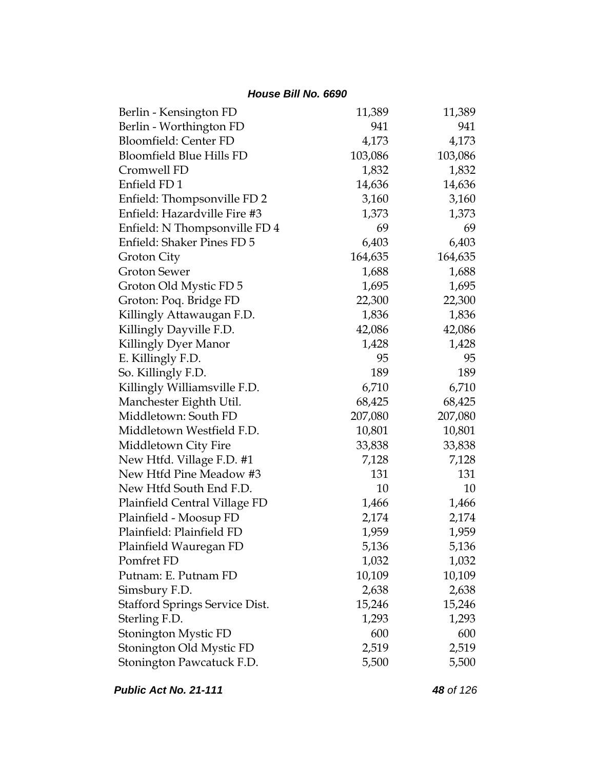| Berlin - Worthington FD<br>941<br>941<br>Bloomfield: Center FD<br>4,173<br>4,173<br><b>Bloomfield Blue Hills FD</b><br>103,086<br>103,086<br>Cromwell FD<br>1,832<br>1,832<br>Enfield FD1<br>14,636<br>14,636<br>Enfield: Thompsonville FD 2<br>3,160<br>3,160<br>Enfield: Hazardville Fire #3<br>1,373<br>1,373<br>Enfield: N Thompsonville FD 4<br>69<br>69<br>Enfield: Shaker Pines FD 5<br>6,403<br>6,403<br>164,635<br>Groton City<br>164,635<br><b>Groton Sewer</b><br>1,688<br>1,688<br>Groton Old Mystic FD 5<br>1,695<br>1,695<br>Groton: Poq. Bridge FD<br>22,300<br>22,300<br>Killingly Attawaugan F.D.<br>1,836<br>1,836<br>Killingly Dayville F.D.<br>42,086<br>42,086<br>Killingly Dyer Manor<br>1,428<br>1,428<br>E. Killingly F.D.<br>95<br>95<br>So. Killingly F.D.<br>189<br>189<br>Killingly Williamsville F.D.<br>6,710<br>6,710<br>Manchester Eighth Util.<br>68,425<br>68,425<br>Middletown: South FD<br>207,080<br>207,080<br>Middletown Westfield F.D.<br>10,801<br>10,801<br>Middletown City Fire<br>33,838<br>33,838<br>New Htfd. Village F.D. #1<br>7,128<br>7,128<br>New Htfd Pine Meadow #3<br>131<br>131<br>New Htfd South End F.D.<br>10<br>10<br>Plainfield Central Village FD<br>1,466<br>1,466<br>Plainfield - Moosup FD<br>2,174<br>2,174<br>Plainfield: Plainfield FD<br>1,959<br>1,959<br>Plainfield Wauregan FD<br>5,136<br>5,136<br>Pomfret FD<br>1,032<br>1,032<br>Putnam: E. Putnam FD<br>10,109<br>10,109<br>Simsbury F.D.<br>2,638<br>2,638<br><b>Stafford Springs Service Dist.</b><br>15,246<br>15,246<br>Sterling F.D.<br>1,293<br>1,293<br>Stonington Mystic FD<br>600<br>600<br>Stonington Old Mystic FD<br>2,519<br>2,519<br>Stonington Pawcatuck F.D.<br>5,500<br>5,500 | Berlin - Kensington FD | 11,389 | 11,389 |
|---------------------------------------------------------------------------------------------------------------------------------------------------------------------------------------------------------------------------------------------------------------------------------------------------------------------------------------------------------------------------------------------------------------------------------------------------------------------------------------------------------------------------------------------------------------------------------------------------------------------------------------------------------------------------------------------------------------------------------------------------------------------------------------------------------------------------------------------------------------------------------------------------------------------------------------------------------------------------------------------------------------------------------------------------------------------------------------------------------------------------------------------------------------------------------------------------------------------------------------------------------------------------------------------------------------------------------------------------------------------------------------------------------------------------------------------------------------------------------------------------------------------------------------------------------------------------------------------------------------------------------------------------------------------------------------------------------------------------|------------------------|--------|--------|
|                                                                                                                                                                                                                                                                                                                                                                                                                                                                                                                                                                                                                                                                                                                                                                                                                                                                                                                                                                                                                                                                                                                                                                                                                                                                                                                                                                                                                                                                                                                                                                                                                                                                                                                           |                        |        |        |
|                                                                                                                                                                                                                                                                                                                                                                                                                                                                                                                                                                                                                                                                                                                                                                                                                                                                                                                                                                                                                                                                                                                                                                                                                                                                                                                                                                                                                                                                                                                                                                                                                                                                                                                           |                        |        |        |
|                                                                                                                                                                                                                                                                                                                                                                                                                                                                                                                                                                                                                                                                                                                                                                                                                                                                                                                                                                                                                                                                                                                                                                                                                                                                                                                                                                                                                                                                                                                                                                                                                                                                                                                           |                        |        |        |
|                                                                                                                                                                                                                                                                                                                                                                                                                                                                                                                                                                                                                                                                                                                                                                                                                                                                                                                                                                                                                                                                                                                                                                                                                                                                                                                                                                                                                                                                                                                                                                                                                                                                                                                           |                        |        |        |
|                                                                                                                                                                                                                                                                                                                                                                                                                                                                                                                                                                                                                                                                                                                                                                                                                                                                                                                                                                                                                                                                                                                                                                                                                                                                                                                                                                                                                                                                                                                                                                                                                                                                                                                           |                        |        |        |
|                                                                                                                                                                                                                                                                                                                                                                                                                                                                                                                                                                                                                                                                                                                                                                                                                                                                                                                                                                                                                                                                                                                                                                                                                                                                                                                                                                                                                                                                                                                                                                                                                                                                                                                           |                        |        |        |
|                                                                                                                                                                                                                                                                                                                                                                                                                                                                                                                                                                                                                                                                                                                                                                                                                                                                                                                                                                                                                                                                                                                                                                                                                                                                                                                                                                                                                                                                                                                                                                                                                                                                                                                           |                        |        |        |
|                                                                                                                                                                                                                                                                                                                                                                                                                                                                                                                                                                                                                                                                                                                                                                                                                                                                                                                                                                                                                                                                                                                                                                                                                                                                                                                                                                                                                                                                                                                                                                                                                                                                                                                           |                        |        |        |
|                                                                                                                                                                                                                                                                                                                                                                                                                                                                                                                                                                                                                                                                                                                                                                                                                                                                                                                                                                                                                                                                                                                                                                                                                                                                                                                                                                                                                                                                                                                                                                                                                                                                                                                           |                        |        |        |
|                                                                                                                                                                                                                                                                                                                                                                                                                                                                                                                                                                                                                                                                                                                                                                                                                                                                                                                                                                                                                                                                                                                                                                                                                                                                                                                                                                                                                                                                                                                                                                                                                                                                                                                           |                        |        |        |
|                                                                                                                                                                                                                                                                                                                                                                                                                                                                                                                                                                                                                                                                                                                                                                                                                                                                                                                                                                                                                                                                                                                                                                                                                                                                                                                                                                                                                                                                                                                                                                                                                                                                                                                           |                        |        |        |
|                                                                                                                                                                                                                                                                                                                                                                                                                                                                                                                                                                                                                                                                                                                                                                                                                                                                                                                                                                                                                                                                                                                                                                                                                                                                                                                                                                                                                                                                                                                                                                                                                                                                                                                           |                        |        |        |
|                                                                                                                                                                                                                                                                                                                                                                                                                                                                                                                                                                                                                                                                                                                                                                                                                                                                                                                                                                                                                                                                                                                                                                                                                                                                                                                                                                                                                                                                                                                                                                                                                                                                                                                           |                        |        |        |
|                                                                                                                                                                                                                                                                                                                                                                                                                                                                                                                                                                                                                                                                                                                                                                                                                                                                                                                                                                                                                                                                                                                                                                                                                                                                                                                                                                                                                                                                                                                                                                                                                                                                                                                           |                        |        |        |
|                                                                                                                                                                                                                                                                                                                                                                                                                                                                                                                                                                                                                                                                                                                                                                                                                                                                                                                                                                                                                                                                                                                                                                                                                                                                                                                                                                                                                                                                                                                                                                                                                                                                                                                           |                        |        |        |
|                                                                                                                                                                                                                                                                                                                                                                                                                                                                                                                                                                                                                                                                                                                                                                                                                                                                                                                                                                                                                                                                                                                                                                                                                                                                                                                                                                                                                                                                                                                                                                                                                                                                                                                           |                        |        |        |
|                                                                                                                                                                                                                                                                                                                                                                                                                                                                                                                                                                                                                                                                                                                                                                                                                                                                                                                                                                                                                                                                                                                                                                                                                                                                                                                                                                                                                                                                                                                                                                                                                                                                                                                           |                        |        |        |
|                                                                                                                                                                                                                                                                                                                                                                                                                                                                                                                                                                                                                                                                                                                                                                                                                                                                                                                                                                                                                                                                                                                                                                                                                                                                                                                                                                                                                                                                                                                                                                                                                                                                                                                           |                        |        |        |
|                                                                                                                                                                                                                                                                                                                                                                                                                                                                                                                                                                                                                                                                                                                                                                                                                                                                                                                                                                                                                                                                                                                                                                                                                                                                                                                                                                                                                                                                                                                                                                                                                                                                                                                           |                        |        |        |
|                                                                                                                                                                                                                                                                                                                                                                                                                                                                                                                                                                                                                                                                                                                                                                                                                                                                                                                                                                                                                                                                                                                                                                                                                                                                                                                                                                                                                                                                                                                                                                                                                                                                                                                           |                        |        |        |
|                                                                                                                                                                                                                                                                                                                                                                                                                                                                                                                                                                                                                                                                                                                                                                                                                                                                                                                                                                                                                                                                                                                                                                                                                                                                                                                                                                                                                                                                                                                                                                                                                                                                                                                           |                        |        |        |
|                                                                                                                                                                                                                                                                                                                                                                                                                                                                                                                                                                                                                                                                                                                                                                                                                                                                                                                                                                                                                                                                                                                                                                                                                                                                                                                                                                                                                                                                                                                                                                                                                                                                                                                           |                        |        |        |
|                                                                                                                                                                                                                                                                                                                                                                                                                                                                                                                                                                                                                                                                                                                                                                                                                                                                                                                                                                                                                                                                                                                                                                                                                                                                                                                                                                                                                                                                                                                                                                                                                                                                                                                           |                        |        |        |
|                                                                                                                                                                                                                                                                                                                                                                                                                                                                                                                                                                                                                                                                                                                                                                                                                                                                                                                                                                                                                                                                                                                                                                                                                                                                                                                                                                                                                                                                                                                                                                                                                                                                                                                           |                        |        |        |
|                                                                                                                                                                                                                                                                                                                                                                                                                                                                                                                                                                                                                                                                                                                                                                                                                                                                                                                                                                                                                                                                                                                                                                                                                                                                                                                                                                                                                                                                                                                                                                                                                                                                                                                           |                        |        |        |
|                                                                                                                                                                                                                                                                                                                                                                                                                                                                                                                                                                                                                                                                                                                                                                                                                                                                                                                                                                                                                                                                                                                                                                                                                                                                                                                                                                                                                                                                                                                                                                                                                                                                                                                           |                        |        |        |
|                                                                                                                                                                                                                                                                                                                                                                                                                                                                                                                                                                                                                                                                                                                                                                                                                                                                                                                                                                                                                                                                                                                                                                                                                                                                                                                                                                                                                                                                                                                                                                                                                                                                                                                           |                        |        |        |
|                                                                                                                                                                                                                                                                                                                                                                                                                                                                                                                                                                                                                                                                                                                                                                                                                                                                                                                                                                                                                                                                                                                                                                                                                                                                                                                                                                                                                                                                                                                                                                                                                                                                                                                           |                        |        |        |
|                                                                                                                                                                                                                                                                                                                                                                                                                                                                                                                                                                                                                                                                                                                                                                                                                                                                                                                                                                                                                                                                                                                                                                                                                                                                                                                                                                                                                                                                                                                                                                                                                                                                                                                           |                        |        |        |
|                                                                                                                                                                                                                                                                                                                                                                                                                                                                                                                                                                                                                                                                                                                                                                                                                                                                                                                                                                                                                                                                                                                                                                                                                                                                                                                                                                                                                                                                                                                                                                                                                                                                                                                           |                        |        |        |
|                                                                                                                                                                                                                                                                                                                                                                                                                                                                                                                                                                                                                                                                                                                                                                                                                                                                                                                                                                                                                                                                                                                                                                                                                                                                                                                                                                                                                                                                                                                                                                                                                                                                                                                           |                        |        |        |
|                                                                                                                                                                                                                                                                                                                                                                                                                                                                                                                                                                                                                                                                                                                                                                                                                                                                                                                                                                                                                                                                                                                                                                                                                                                                                                                                                                                                                                                                                                                                                                                                                                                                                                                           |                        |        |        |
|                                                                                                                                                                                                                                                                                                                                                                                                                                                                                                                                                                                                                                                                                                                                                                                                                                                                                                                                                                                                                                                                                                                                                                                                                                                                                                                                                                                                                                                                                                                                                                                                                                                                                                                           |                        |        |        |
|                                                                                                                                                                                                                                                                                                                                                                                                                                                                                                                                                                                                                                                                                                                                                                                                                                                                                                                                                                                                                                                                                                                                                                                                                                                                                                                                                                                                                                                                                                                                                                                                                                                                                                                           |                        |        |        |
|                                                                                                                                                                                                                                                                                                                                                                                                                                                                                                                                                                                                                                                                                                                                                                                                                                                                                                                                                                                                                                                                                                                                                                                                                                                                                                                                                                                                                                                                                                                                                                                                                                                                                                                           |                        |        |        |
|                                                                                                                                                                                                                                                                                                                                                                                                                                                                                                                                                                                                                                                                                                                                                                                                                                                                                                                                                                                                                                                                                                                                                                                                                                                                                                                                                                                                                                                                                                                                                                                                                                                                                                                           |                        |        |        |
|                                                                                                                                                                                                                                                                                                                                                                                                                                                                                                                                                                                                                                                                                                                                                                                                                                                                                                                                                                                                                                                                                                                                                                                                                                                                                                                                                                                                                                                                                                                                                                                                                                                                                                                           |                        |        |        |
|                                                                                                                                                                                                                                                                                                                                                                                                                                                                                                                                                                                                                                                                                                                                                                                                                                                                                                                                                                                                                                                                                                                                                                                                                                                                                                                                                                                                                                                                                                                                                                                                                                                                                                                           |                        |        |        |

*Public Act No. 21-111 48 of 126*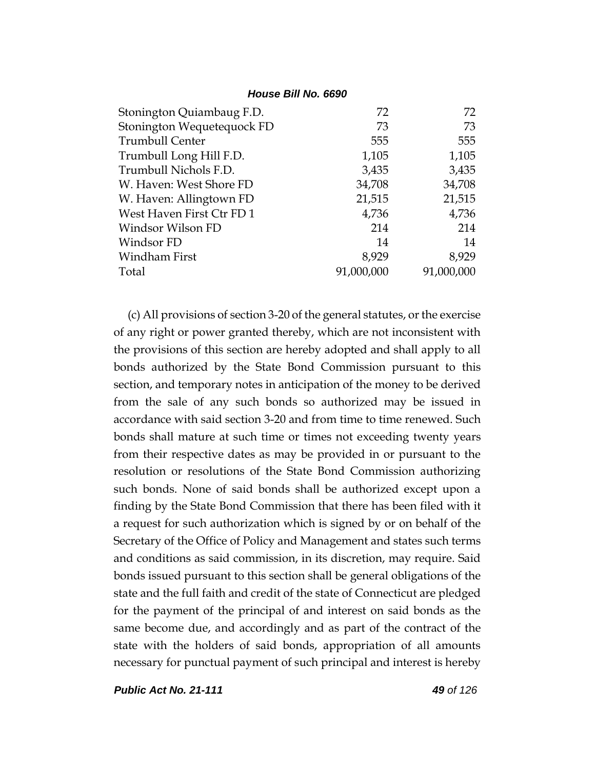| Stonington Quiambaug F.D.  | 72         | 72         |
|----------------------------|------------|------------|
| Stonington Wequetequock FD | 73         | 73         |
| <b>Trumbull Center</b>     | 555        | 555        |
| Trumbull Long Hill F.D.    | 1,105      | 1,105      |
| Trumbull Nichols F.D.      | 3,435      | 3,435      |
| W. Haven: West Shore FD    | 34,708     | 34,708     |
| W. Haven: Allingtown FD    | 21,515     | 21,515     |
| West Haven First Ctr FD 1  | 4,736      | 4,736      |
| Windsor Wilson FD          | 214        | 214        |
| Windsor FD                 | 14         | 14         |
| Windham First              | 8,929      | 8,929      |
| Total                      | 91,000,000 | 91,000,000 |

(c) All provisions of section 3-20 of the general statutes, or the exercise of any right or power granted thereby, which are not inconsistent with the provisions of this section are hereby adopted and shall apply to all bonds authorized by the State Bond Commission pursuant to this section, and temporary notes in anticipation of the money to be derived from the sale of any such bonds so authorized may be issued in accordance with said section 3-20 and from time to time renewed. Such bonds shall mature at such time or times not exceeding twenty years from their respective dates as may be provided in or pursuant to the resolution or resolutions of the State Bond Commission authorizing such bonds. None of said bonds shall be authorized except upon a finding by the State Bond Commission that there has been filed with it a request for such authorization which is signed by or on behalf of the Secretary of the Office of Policy and Management and states such terms and conditions as said commission, in its discretion, may require. Said bonds issued pursuant to this section shall be general obligations of the state and the full faith and credit of the state of Connecticut are pledged for the payment of the principal of and interest on said bonds as the same become due, and accordingly and as part of the contract of the state with the holders of said bonds, appropriation of all amounts necessary for punctual payment of such principal and interest is hereby

*Public Act No. 21-111 49 of 126*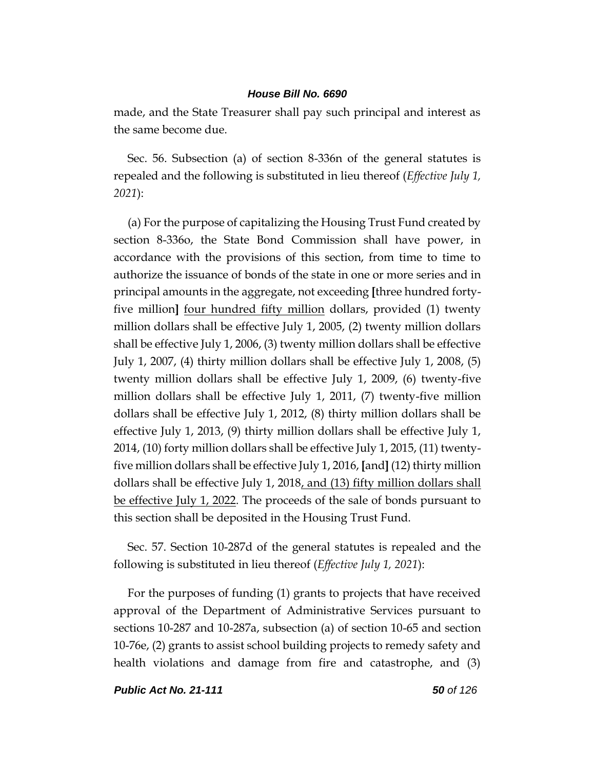made, and the State Treasurer shall pay such principal and interest as the same become due.

Sec. 56. Subsection (a) of section 8-336n of the general statutes is repealed and the following is substituted in lieu thereof (*Effective July 1, 2021*):

(a) For the purpose of capitalizing the Housing Trust Fund created by section 8-336o, the State Bond Commission shall have power, in accordance with the provisions of this section, from time to time to authorize the issuance of bonds of the state in one or more series and in principal amounts in the aggregate, not exceeding **[**three hundred fortyfive million**]** four hundred fifty million dollars, provided (1) twenty million dollars shall be effective July 1, 2005, (2) twenty million dollars shall be effective July 1, 2006, (3) twenty million dollars shall be effective July 1, 2007, (4) thirty million dollars shall be effective July 1, 2008, (5) twenty million dollars shall be effective July 1, 2009, (6) twenty-five million dollars shall be effective July 1, 2011, (7) twenty-five million dollars shall be effective July 1, 2012, (8) thirty million dollars shall be effective July 1, 2013, (9) thirty million dollars shall be effective July 1, 2014, (10) forty million dollars shall be effective July 1, 2015, (11) twentyfive million dollars shall be effective July 1, 2016, **[**and**]** (12) thirty million dollars shall be effective July 1, 2018, and (13) fifty million dollars shall be effective July 1, 2022. The proceeds of the sale of bonds pursuant to this section shall be deposited in the Housing Trust Fund.

Sec. 57. Section 10-287d of the general statutes is repealed and the following is substituted in lieu thereof (*Effective July 1, 2021*):

For the purposes of funding (1) grants to projects that have received approval of the Department of Administrative Services pursuant to sections 10-287 and 10-287a, subsection (a) of section 10-65 and section 10-76e, (2) grants to assist school building projects to remedy safety and health violations and damage from fire and catastrophe, and (3)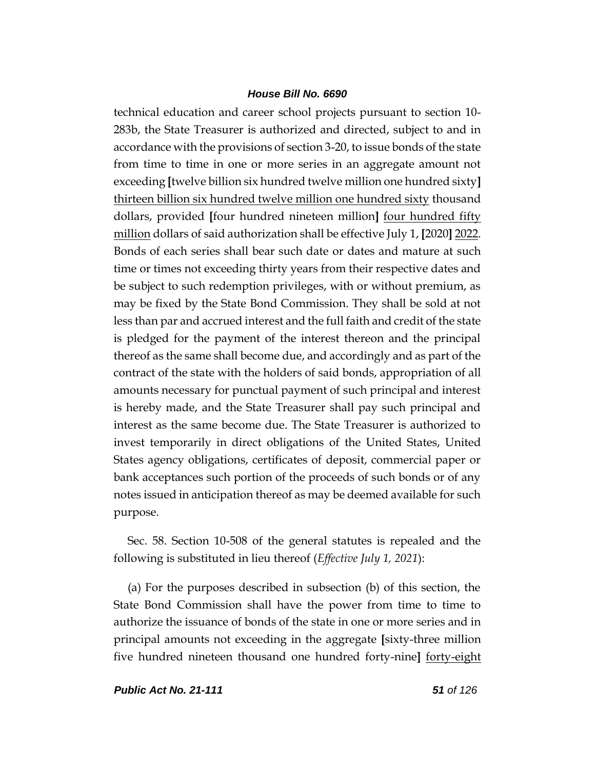technical education and career school projects pursuant to section 10- 283b, the State Treasurer is authorized and directed, subject to and in accordance with the provisions of section 3-20, to issue bonds of the state from time to time in one or more series in an aggregate amount not exceeding **[**twelve billion six hundred twelve million one hundred sixty**]** thirteen billion six hundred twelve million one hundred sixty thousand dollars, provided **[**four hundred nineteen million**]** four hundred fifty million dollars of said authorization shall be effective July 1, **[**2020**]** 2022. Bonds of each series shall bear such date or dates and mature at such time or times not exceeding thirty years from their respective dates and be subject to such redemption privileges, with or without premium, as may be fixed by the State Bond Commission. They shall be sold at not less than par and accrued interest and the full faith and credit of the state is pledged for the payment of the interest thereon and the principal thereof as the same shall become due, and accordingly and as part of the contract of the state with the holders of said bonds, appropriation of all amounts necessary for punctual payment of such principal and interest is hereby made, and the State Treasurer shall pay such principal and interest as the same become due. The State Treasurer is authorized to invest temporarily in direct obligations of the United States, United States agency obligations, certificates of deposit, commercial paper or bank acceptances such portion of the proceeds of such bonds or of any notes issued in anticipation thereof as may be deemed available for such purpose.

Sec. 58. Section 10-508 of the general statutes is repealed and the following is substituted in lieu thereof (*Effective July 1, 2021*):

(a) For the purposes described in subsection (b) of this section, the State Bond Commission shall have the power from time to time to authorize the issuance of bonds of the state in one or more series and in principal amounts not exceeding in the aggregate **[**sixty-three million five hundred nineteen thousand one hundred forty-nine**]** forty-eight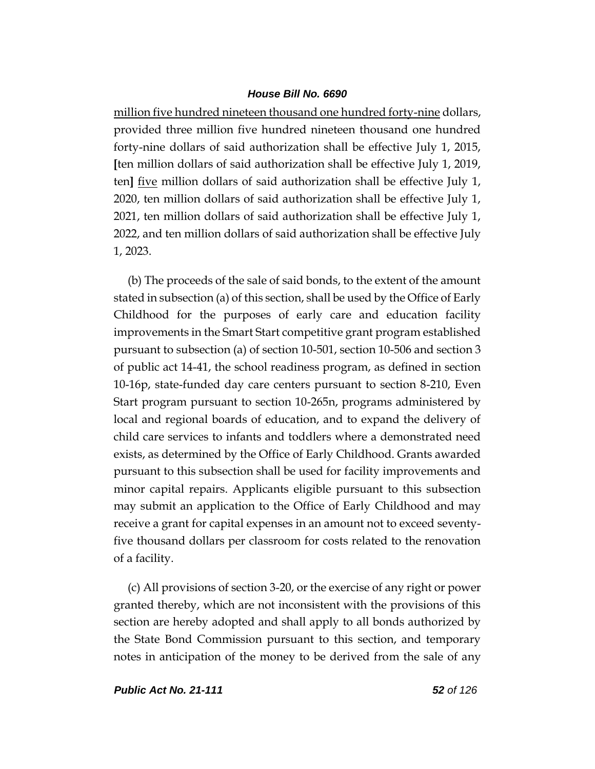million five hundred nineteen thousand one hundred forty-nine dollars, provided three million five hundred nineteen thousand one hundred forty-nine dollars of said authorization shall be effective July 1, 2015, **[**ten million dollars of said authorization shall be effective July 1, 2019, ten**]** five million dollars of said authorization shall be effective July 1, 2020, ten million dollars of said authorization shall be effective July 1, 2021, ten million dollars of said authorization shall be effective July 1, 2022, and ten million dollars of said authorization shall be effective July 1, 2023.

(b) The proceeds of the sale of said bonds, to the extent of the amount stated in subsection (a) of this section, shall be used by the Office of Early Childhood for the purposes of early care and education facility improvements in the Smart Start competitive grant program established pursuant to subsection (a) of section 10-501, section 10-506 and section 3 of public act 14-41, the school readiness program, as defined in section 10-16p, state-funded day care centers pursuant to section 8-210, Even Start program pursuant to section 10-265n, programs administered by local and regional boards of education, and to expand the delivery of child care services to infants and toddlers where a demonstrated need exists, as determined by the Office of Early Childhood. Grants awarded pursuant to this subsection shall be used for facility improvements and minor capital repairs. Applicants eligible pursuant to this subsection may submit an application to the Office of Early Childhood and may receive a grant for capital expenses in an amount not to exceed seventyfive thousand dollars per classroom for costs related to the renovation of a facility.

(c) All provisions of section 3-20, or the exercise of any right or power granted thereby, which are not inconsistent with the provisions of this section are hereby adopted and shall apply to all bonds authorized by the State Bond Commission pursuant to this section, and temporary notes in anticipation of the money to be derived from the sale of any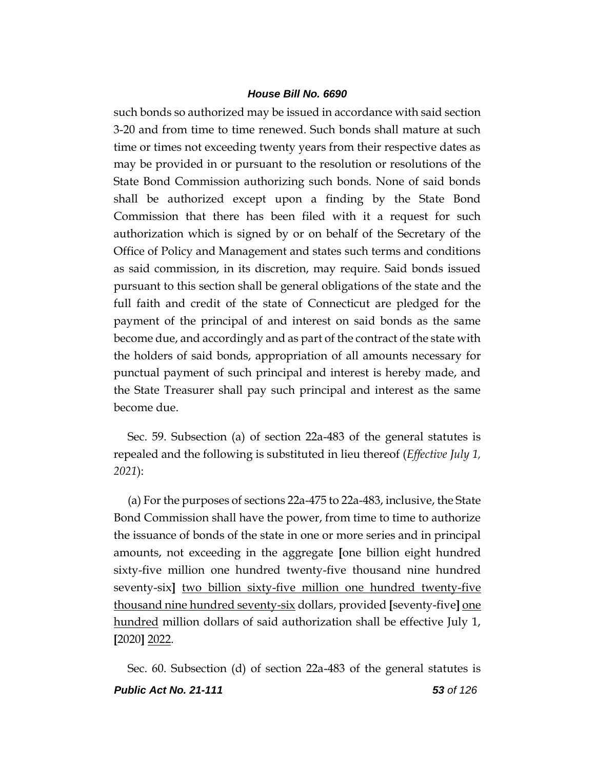such bonds so authorized may be issued in accordance with said section 3-20 and from time to time renewed. Such bonds shall mature at such time or times not exceeding twenty years from their respective dates as may be provided in or pursuant to the resolution or resolutions of the State Bond Commission authorizing such bonds. None of said bonds shall be authorized except upon a finding by the State Bond Commission that there has been filed with it a request for such authorization which is signed by or on behalf of the Secretary of the Office of Policy and Management and states such terms and conditions as said commission, in its discretion, may require. Said bonds issued pursuant to this section shall be general obligations of the state and the full faith and credit of the state of Connecticut are pledged for the payment of the principal of and interest on said bonds as the same become due, and accordingly and as part of the contract of the state with the holders of said bonds, appropriation of all amounts necessary for punctual payment of such principal and interest is hereby made, and the State Treasurer shall pay such principal and interest as the same become due.

Sec. 59. Subsection (a) of section 22a-483 of the general statutes is repealed and the following is substituted in lieu thereof (*Effective July 1, 2021*):

(a) For the purposes of sections 22a-475 to 22a-483, inclusive, the State Bond Commission shall have the power, from time to time to authorize the issuance of bonds of the state in one or more series and in principal amounts, not exceeding in the aggregate **[**one billion eight hundred sixty-five million one hundred twenty-five thousand nine hundred seventy-six**]** two billion sixty-five million one hundred twenty-five thousand nine hundred seventy-six dollars, provided **[**seventy-five**]** one hundred million dollars of said authorization shall be effective July 1, **[**2020**]** 2022.

*Public Act No. 21-111 53 of 126* Sec. 60. Subsection (d) of section 22a-483 of the general statutes is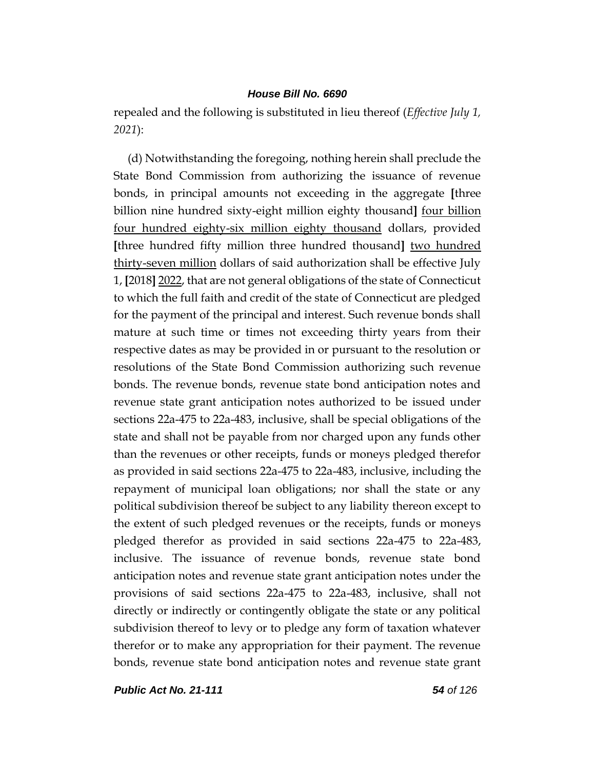repealed and the following is substituted in lieu thereof (*Effective July 1, 2021*):

(d) Notwithstanding the foregoing, nothing herein shall preclude the State Bond Commission from authorizing the issuance of revenue bonds, in principal amounts not exceeding in the aggregate **[**three billion nine hundred sixty-eight million eighty thousand**]** four billion four hundred eighty-six million eighty thousand dollars, provided **[**three hundred fifty million three hundred thousand**]** two hundred thirty-seven million dollars of said authorization shall be effective July 1, **[**2018**]** 2022, that are not general obligations of the state of Connecticut to which the full faith and credit of the state of Connecticut are pledged for the payment of the principal and interest. Such revenue bonds shall mature at such time or times not exceeding thirty years from their respective dates as may be provided in or pursuant to the resolution or resolutions of the State Bond Commission authorizing such revenue bonds. The revenue bonds, revenue state bond anticipation notes and revenue state grant anticipation notes authorized to be issued under sections 22a-475 to 22a-483, inclusive, shall be special obligations of the state and shall not be payable from nor charged upon any funds other than the revenues or other receipts, funds or moneys pledged therefor as provided in said sections 22a-475 to 22a-483, inclusive, including the repayment of municipal loan obligations; nor shall the state or any political subdivision thereof be subject to any liability thereon except to the extent of such pledged revenues or the receipts, funds or moneys pledged therefor as provided in said sections 22a-475 to 22a-483, inclusive. The issuance of revenue bonds, revenue state bond anticipation notes and revenue state grant anticipation notes under the provisions of said sections 22a-475 to 22a-483, inclusive, shall not directly or indirectly or contingently obligate the state or any political subdivision thereof to levy or to pledge any form of taxation whatever therefor or to make any appropriation for their payment. The revenue bonds, revenue state bond anticipation notes and revenue state grant

*Public Act No. 21-111 54 of 126*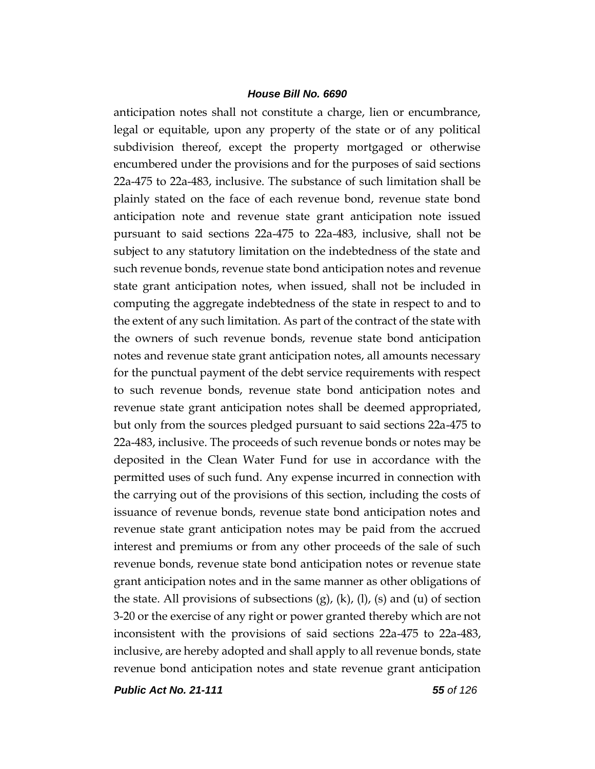anticipation notes shall not constitute a charge, lien or encumbrance, legal or equitable, upon any property of the state or of any political subdivision thereof, except the property mortgaged or otherwise encumbered under the provisions and for the purposes of said sections 22a-475 to 22a-483, inclusive. The substance of such limitation shall be plainly stated on the face of each revenue bond, revenue state bond anticipation note and revenue state grant anticipation note issued pursuant to said sections 22a-475 to 22a-483, inclusive, shall not be subject to any statutory limitation on the indebtedness of the state and such revenue bonds, revenue state bond anticipation notes and revenue state grant anticipation notes, when issued, shall not be included in computing the aggregate indebtedness of the state in respect to and to the extent of any such limitation. As part of the contract of the state with the owners of such revenue bonds, revenue state bond anticipation notes and revenue state grant anticipation notes, all amounts necessary for the punctual payment of the debt service requirements with respect to such revenue bonds, revenue state bond anticipation notes and revenue state grant anticipation notes shall be deemed appropriated, but only from the sources pledged pursuant to said sections 22a-475 to 22a-483, inclusive. The proceeds of such revenue bonds or notes may be deposited in the Clean Water Fund for use in accordance with the permitted uses of such fund. Any expense incurred in connection with the carrying out of the provisions of this section, including the costs of issuance of revenue bonds, revenue state bond anticipation notes and revenue state grant anticipation notes may be paid from the accrued interest and premiums or from any other proceeds of the sale of such revenue bonds, revenue state bond anticipation notes or revenue state grant anticipation notes and in the same manner as other obligations of the state. All provisions of subsections  $(g)$ ,  $(k)$ ,  $(l)$ ,  $(s)$  and  $(u)$  of section 3-20 or the exercise of any right or power granted thereby which are not inconsistent with the provisions of said sections 22a-475 to 22a-483, inclusive, are hereby adopted and shall apply to all revenue bonds, state revenue bond anticipation notes and state revenue grant anticipation

*Public Act No. 21-111 55 of 126*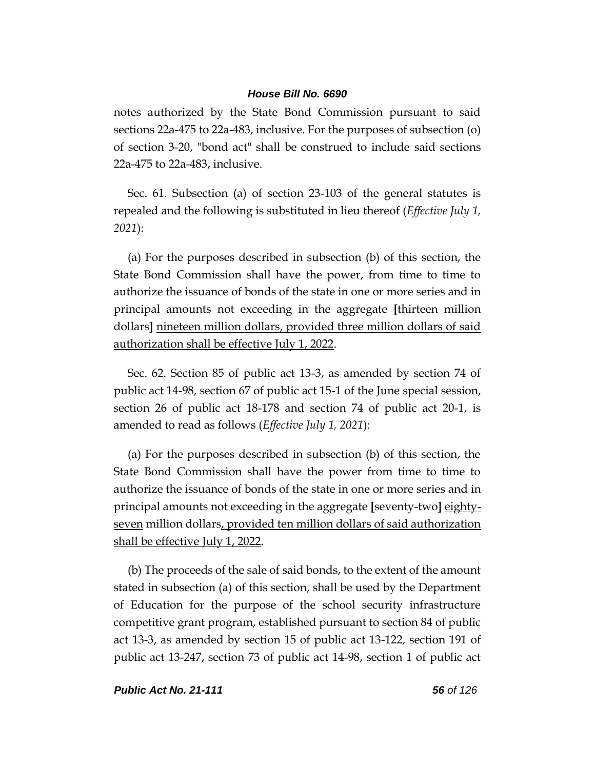notes authorized by the State Bond Commission pursuant to said sections 22a-475 to 22a-483, inclusive. For the purposes of subsection (o) of section 3-20, "bond act" shall be construed to include said sections 22a-475 to 22a-483, inclusive.

Sec. 61. Subsection (a) of section 23-103 of the general statutes is repealed and the following is substituted in lieu thereof (*Effective July 1, 2021*):

(a) For the purposes described in subsection (b) of this section, the State Bond Commission shall have the power, from time to time to authorize the issuance of bonds of the state in one or more series and in principal amounts not exceeding in the aggregate **[**thirteen million dollars**]** nineteen million dollars, provided three million dollars of said authorization shall be effective July 1, 2022.

Sec. 62. Section 85 of public act 13-3, as amended by section 74 of public act 14-98, section 67 of public act 15-1 of the June special session, section 26 of public act 18-178 and section 74 of public act 20-1, is amended to read as follows (*Effective July 1, 2021*):

(a) For the purposes described in subsection (b) of this section, the State Bond Commission shall have the power from time to time to authorize the issuance of bonds of the state in one or more series and in principal amounts not exceeding in the aggregate **[**seventy-two**]** eightyseven million dollars, provided ten million dollars of said authorization shall be effective July 1, 2022.

(b) The proceeds of the sale of said bonds, to the extent of the amount stated in subsection (a) of this section, shall be used by the Department of Education for the purpose of the school security infrastructure competitive grant program, established pursuant to section 84 of public act 13-3, as amended by section 15 of public act 13-122, section 191 of public act 13-247, section 73 of public act 14-98, section 1 of public act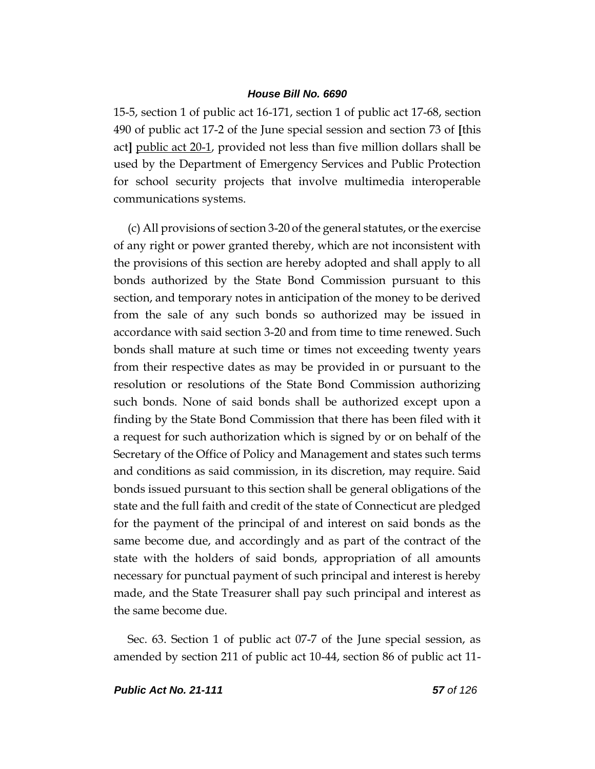15-5, section 1 of public act 16-171, section 1 of public act 17-68, section 490 of public act 17-2 of the June special session and section 73 of **[**this act**]** public act 20-1, provided not less than five million dollars shall be used by the Department of Emergency Services and Public Protection for school security projects that involve multimedia interoperable communications systems.

(c) All provisions of section 3-20 of the general statutes, or the exercise of any right or power granted thereby, which are not inconsistent with the provisions of this section are hereby adopted and shall apply to all bonds authorized by the State Bond Commission pursuant to this section, and temporary notes in anticipation of the money to be derived from the sale of any such bonds so authorized may be issued in accordance with said section 3-20 and from time to time renewed. Such bonds shall mature at such time or times not exceeding twenty years from their respective dates as may be provided in or pursuant to the resolution or resolutions of the State Bond Commission authorizing such bonds. None of said bonds shall be authorized except upon a finding by the State Bond Commission that there has been filed with it a request for such authorization which is signed by or on behalf of the Secretary of the Office of Policy and Management and states such terms and conditions as said commission, in its discretion, may require. Said bonds issued pursuant to this section shall be general obligations of the state and the full faith and credit of the state of Connecticut are pledged for the payment of the principal of and interest on said bonds as the same become due, and accordingly and as part of the contract of the state with the holders of said bonds, appropriation of all amounts necessary for punctual payment of such principal and interest is hereby made, and the State Treasurer shall pay such principal and interest as the same become due.

Sec. 63. Section 1 of public act 07-7 of the June special session, as amended by section 211 of public act 10-44, section 86 of public act 11-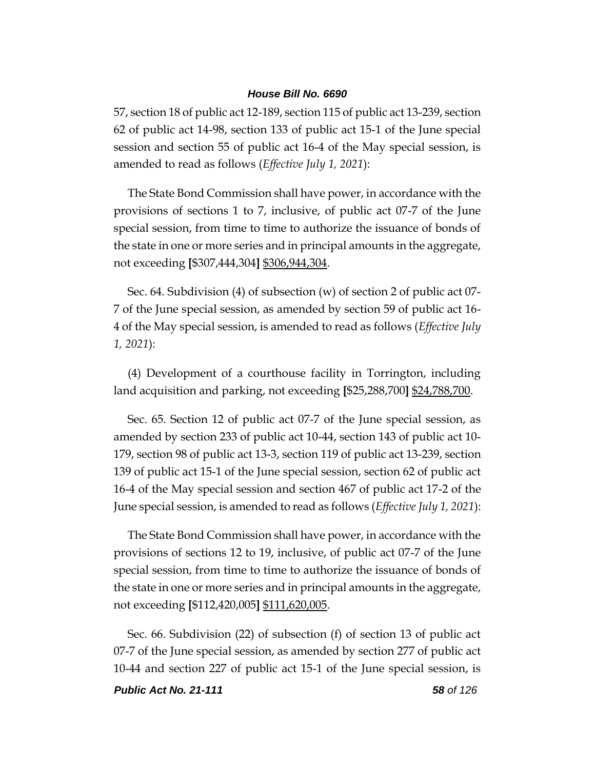57, section 18 of public act 12-189, section 115 of public act 13-239, section 62 of public act 14-98, section 133 of public act 15-1 of the June special session and section 55 of public act 16-4 of the May special session, is amended to read as follows (*Effective July 1, 2021*):

The State Bond Commission shall have power, in accordance with the provisions of sections 1 to 7, inclusive, of public act 07-7 of the June special session, from time to time to authorize the issuance of bonds of the state in one or more series and in principal amounts in the aggregate, not exceeding **[**\$307,444,304**]** \$306,944,304.

Sec. 64. Subdivision (4) of subsection (w) of section 2 of public act 07- 7 of the June special session, as amended by section 59 of public act 16- 4 of the May special session, is amended to read as follows (*Effective July 1, 2021*):

(4) Development of a courthouse facility in Torrington, including land acquisition and parking, not exceeding **[**\$25,288,700**]** \$24,788,700.

Sec. 65. Section 12 of public act 07-7 of the June special session, as amended by section 233 of public act 10-44, section 143 of public act 10- 179, section 98 of public act 13-3, section 119 of public act 13-239, section 139 of public act 15-1 of the June special session, section 62 of public act 16-4 of the May special session and section 467 of public act 17-2 of the June special session, is amended to read as follows (*Effective July 1, 2021*):

The State Bond Commission shall have power, in accordance with the provisions of sections 12 to 19, inclusive, of public act 07-7 of the June special session, from time to time to authorize the issuance of bonds of the state in one or more series and in principal amounts in the aggregate, not exceeding **[**\$112,420,005**]** \$111,620,005.

Sec. 66. Subdivision (22) of subsection (f) of section 13 of public act 07-7 of the June special session, as amended by section 277 of public act 10-44 and section 227 of public act 15-1 of the June special session, is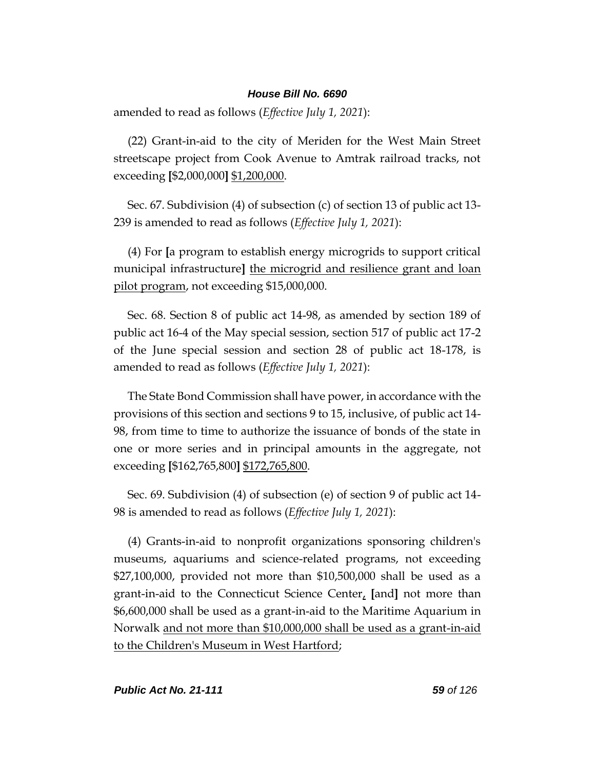amended to read as follows (*Effective July 1, 2021*):

(22) Grant-in-aid to the city of Meriden for the West Main Street streetscape project from Cook Avenue to Amtrak railroad tracks, not exceeding **[**\$2,000,000**]** \$1,200,000.

Sec. 67. Subdivision (4) of subsection (c) of section 13 of public act 13- 239 is amended to read as follows (*Effective July 1, 2021*):

(4) For **[**a program to establish energy microgrids to support critical municipal infrastructure**]** the microgrid and resilience grant and loan pilot program, not exceeding \$15,000,000.

Sec. 68. Section 8 of public act 14-98, as amended by section 189 of public act 16-4 of the May special session, section 517 of public act 17-2 of the June special session and section 28 of public act 18-178, is amended to read as follows (*Effective July 1, 2021*):

The State Bond Commission shall have power, in accordance with the provisions of this section and sections 9 to 15, inclusive, of public act 14- 98, from time to time to authorize the issuance of bonds of the state in one or more series and in principal amounts in the aggregate, not exceeding **[**\$162,765,800**]** \$172,765,800.

Sec. 69. Subdivision (4) of subsection (e) of section 9 of public act 14- 98 is amended to read as follows (*Effective July 1, 2021*):

(4) Grants-in-aid to nonprofit organizations sponsoring children's museums, aquariums and science-related programs, not exceeding \$27,100,000, provided not more than \$10,500,000 shall be used as a grant-in-aid to the Connecticut Science Center, **[**and**]** not more than \$6,600,000 shall be used as a grant-in-aid to the Maritime Aquarium in Norwalk and not more than \$10,000,000 shall be used as a grant-in-aid to the Children's Museum in West Hartford;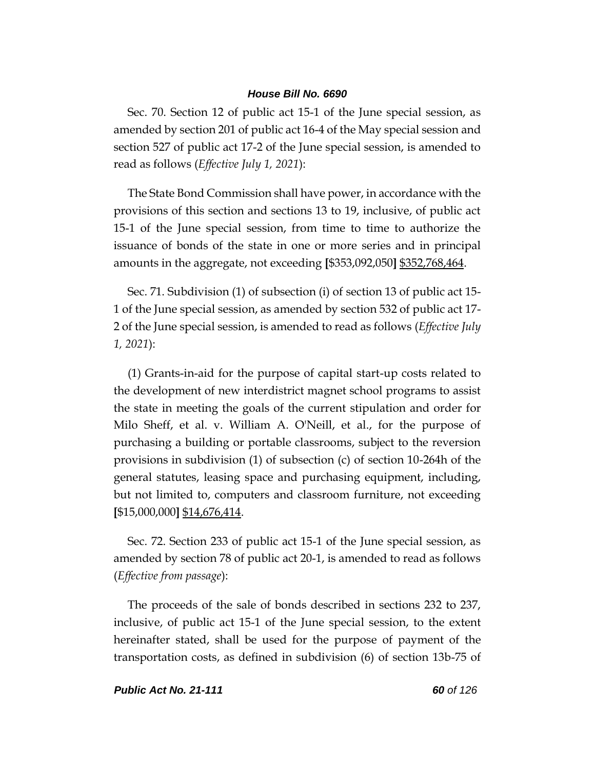Sec. 70. Section 12 of public act 15-1 of the June special session, as amended by section 201 of public act 16-4 of the May special session and section 527 of public act 17-2 of the June special session, is amended to read as follows (*Effective July 1, 2021*):

The State Bond Commission shall have power, in accordance with the provisions of this section and sections 13 to 19, inclusive, of public act 15-1 of the June special session, from time to time to authorize the issuance of bonds of the state in one or more series and in principal amounts in the aggregate, not exceeding **[**\$353,092,050**]** \$352,768,464.

Sec. 71. Subdivision (1) of subsection (i) of section 13 of public act 15- 1 of the June special session, as amended by section 532 of public act 17- 2 of the June special session, is amended to read as follows (*Effective July 1, 2021*):

(1) Grants-in-aid for the purpose of capital start-up costs related to the development of new interdistrict magnet school programs to assist the state in meeting the goals of the current stipulation and order for Milo Sheff, et al. v. William A. O'Neill, et al., for the purpose of purchasing a building or portable classrooms, subject to the reversion provisions in subdivision (1) of subsection (c) of section 10-264h of the general statutes, leasing space and purchasing equipment, including, but not limited to, computers and classroom furniture, not exceeding **[**\$15,000,000**]** \$14,676,414.

Sec. 72. Section 233 of public act 15-1 of the June special session, as amended by section 78 of public act 20-1, is amended to read as follows (*Effective from passage*):

The proceeds of the sale of bonds described in sections 232 to 237, inclusive, of public act 15-1 of the June special session, to the extent hereinafter stated, shall be used for the purpose of payment of the transportation costs, as defined in subdivision (6) of section 13b-75 of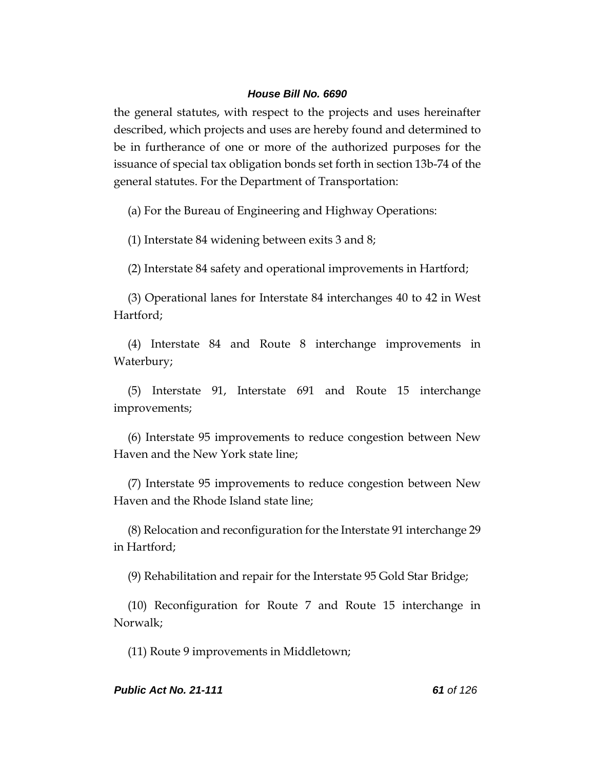the general statutes, with respect to the projects and uses hereinafter described, which projects and uses are hereby found and determined to be in furtherance of one or more of the authorized purposes for the issuance of special tax obligation bonds set forth in section 13b-74 of the general statutes. For the Department of Transportation:

(a) For the Bureau of Engineering and Highway Operations:

(1) Interstate 84 widening between exits 3 and 8;

(2) Interstate 84 safety and operational improvements in Hartford;

(3) Operational lanes for Interstate 84 interchanges 40 to 42 in West Hartford;

(4) Interstate 84 and Route 8 interchange improvements in Waterbury;

(5) Interstate 91, Interstate 691 and Route 15 interchange improvements;

(6) Interstate 95 improvements to reduce congestion between New Haven and the New York state line;

(7) Interstate 95 improvements to reduce congestion between New Haven and the Rhode Island state line;

(8) Relocation and reconfiguration for the Interstate 91 interchange 29 in Hartford;

(9) Rehabilitation and repair for the Interstate 95 Gold Star Bridge;

(10) Reconfiguration for Route 7 and Route 15 interchange in Norwalk;

(11) Route 9 improvements in Middletown;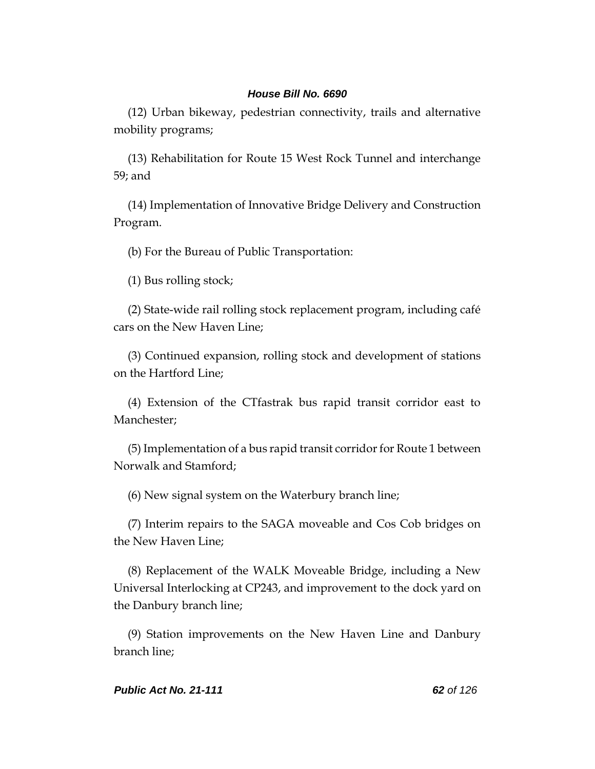(12) Urban bikeway, pedestrian connectivity, trails and alternative mobility programs;

(13) Rehabilitation for Route 15 West Rock Tunnel and interchange 59; and

(14) Implementation of Innovative Bridge Delivery and Construction Program.

(b) For the Bureau of Public Transportation:

(1) Bus rolling stock;

(2) State-wide rail rolling stock replacement program, including café cars on the New Haven Line;

(3) Continued expansion, rolling stock and development of stations on the Hartford Line;

(4) Extension of the CTfastrak bus rapid transit corridor east to Manchester;

(5) Implementation of a bus rapid transit corridor for Route 1 between Norwalk and Stamford;

(6) New signal system on the Waterbury branch line;

(7) Interim repairs to the SAGA moveable and Cos Cob bridges on the New Haven Line;

(8) Replacement of the WALK Moveable Bridge, including a New Universal Interlocking at CP243, and improvement to the dock yard on the Danbury branch line;

(9) Station improvements on the New Haven Line and Danbury branch line;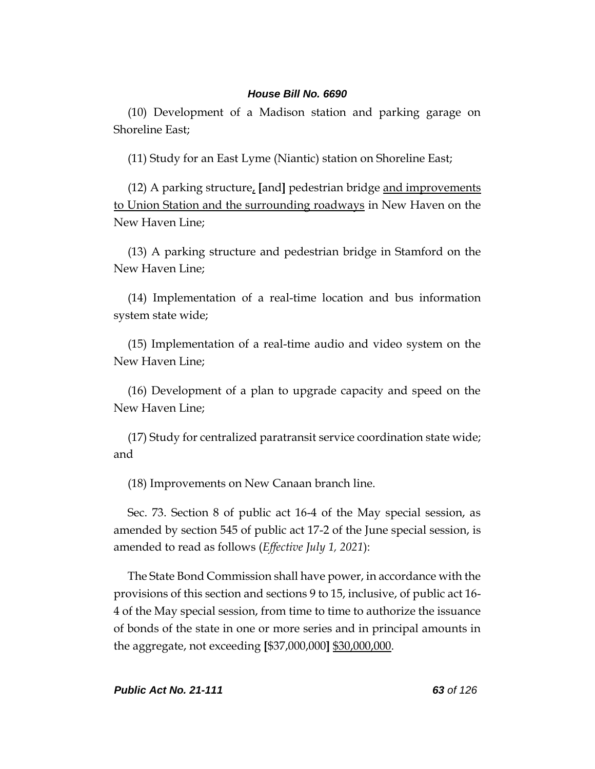(10) Development of a Madison station and parking garage on Shoreline East;

(11) Study for an East Lyme (Niantic) station on Shoreline East;

(12) A parking structure, **[**and**]** pedestrian bridge and improvements to Union Station and the surrounding roadways in New Haven on the New Haven Line;

(13) A parking structure and pedestrian bridge in Stamford on the New Haven Line;

(14) Implementation of a real-time location and bus information system state wide;

(15) Implementation of a real-time audio and video system on the New Haven Line;

(16) Development of a plan to upgrade capacity and speed on the New Haven Line;

(17) Study for centralized paratransit service coordination state wide; and

(18) Improvements on New Canaan branch line.

Sec. 73. Section 8 of public act 16-4 of the May special session, as amended by section 545 of public act 17-2 of the June special session, is amended to read as follows (*Effective July 1, 2021*):

The State Bond Commission shall have power, in accordance with the provisions of this section and sections 9 to 15, inclusive, of public act 16- 4 of the May special session, from time to time to authorize the issuance of bonds of the state in one or more series and in principal amounts in the aggregate, not exceeding **[**\$37,000,000**]** \$30,000,000.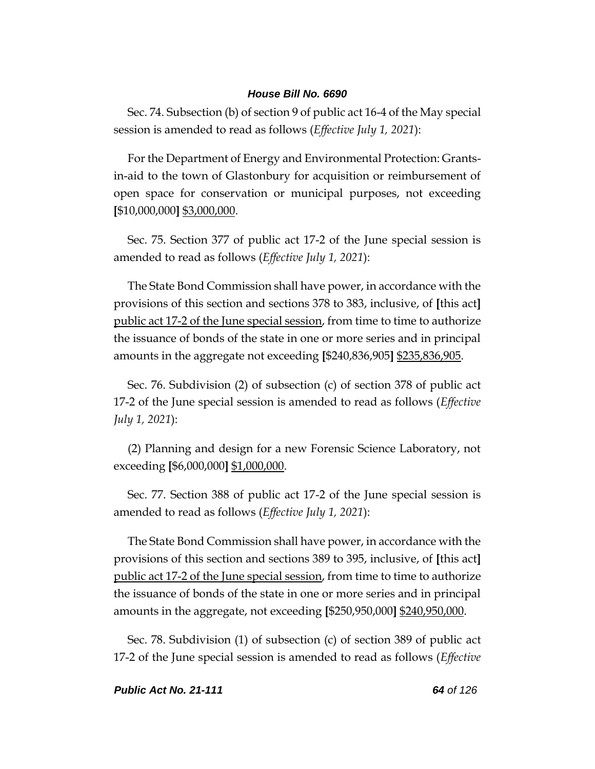Sec. 74. Subsection (b) of section 9 of public act 16-4 of the May special session is amended to read as follows (*Effective July 1, 2021*):

For the Department of Energy and Environmental Protection: Grantsin-aid to the town of Glastonbury for acquisition or reimbursement of open space for conservation or municipal purposes, not exceeding **[**\$10,000,000**]** \$3,000,000.

Sec. 75. Section 377 of public act 17-2 of the June special session is amended to read as follows (*Effective July 1, 2021*):

The State Bond Commission shall have power, in accordance with the provisions of this section and sections 378 to 383, inclusive, of **[**this act**]** public act 17-2 of the June special session, from time to time to authorize the issuance of bonds of the state in one or more series and in principal amounts in the aggregate not exceeding **[**\$240,836,905**]** \$235,836,905.

Sec. 76. Subdivision (2) of subsection (c) of section 378 of public act 17-2 of the June special session is amended to read as follows (*Effective July 1, 2021*):

(2) Planning and design for a new Forensic Science Laboratory, not exceeding **[**\$6,000,000**]** \$1,000,000.

Sec. 77. Section 388 of public act 17-2 of the June special session is amended to read as follows (*Effective July 1, 2021*):

The State Bond Commission shall have power, in accordance with the provisions of this section and sections 389 to 395, inclusive, of **[**this act**]** public act 17-2 of the June special session, from time to time to authorize the issuance of bonds of the state in one or more series and in principal amounts in the aggregate, not exceeding **[**\$250,950,000**]** \$240,950,000.

Sec. 78. Subdivision (1) of subsection (c) of section 389 of public act 17-2 of the June special session is amended to read as follows (*Effective*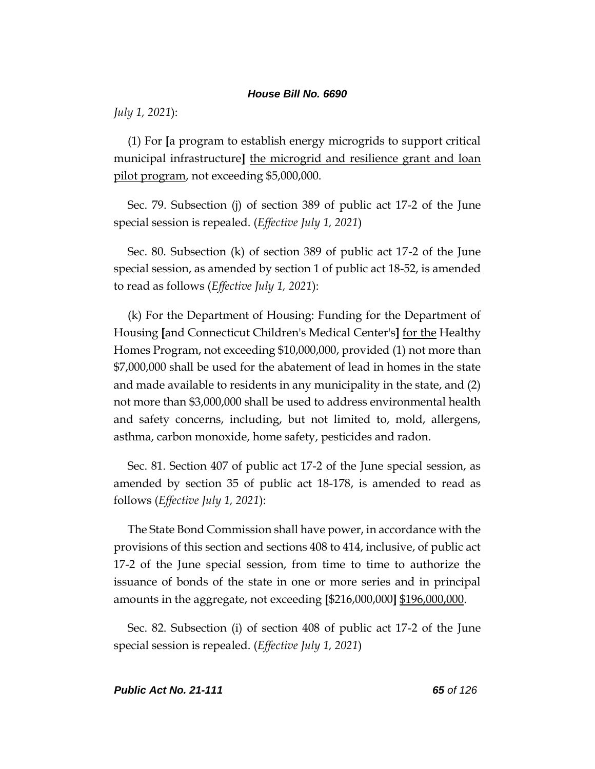*July 1, 2021*):

(1) For **[**a program to establish energy microgrids to support critical municipal infrastructure**]** the microgrid and resilience grant and loan pilot program, not exceeding \$5,000,000.

Sec. 79. Subsection (j) of section 389 of public act 17-2 of the June special session is repealed. (*Effective July 1, 2021*)

Sec. 80. Subsection (k) of section 389 of public act 17-2 of the June special session, as amended by section 1 of public act 18-52, is amended to read as follows (*Effective July 1, 2021*):

(k) For the Department of Housing: Funding for the Department of Housing **[**and Connecticut Children's Medical Center's**]** for the Healthy Homes Program, not exceeding \$10,000,000, provided (1) not more than \$7,000,000 shall be used for the abatement of lead in homes in the state and made available to residents in any municipality in the state, and (2) not more than \$3,000,000 shall be used to address environmental health and safety concerns, including, but not limited to, mold, allergens, asthma, carbon monoxide, home safety, pesticides and radon.

Sec. 81. Section 407 of public act 17-2 of the June special session, as amended by section 35 of public act 18-178, is amended to read as follows (*Effective July 1, 2021*):

The State Bond Commission shall have power, in accordance with the provisions of this section and sections 408 to 414, inclusive, of public act 17-2 of the June special session, from time to time to authorize the issuance of bonds of the state in one or more series and in principal amounts in the aggregate, not exceeding **[**\$216,000,000**]** \$196,000,000.

Sec. 82. Subsection (i) of section 408 of public act 17-2 of the June special session is repealed. (*Effective July 1, 2021*)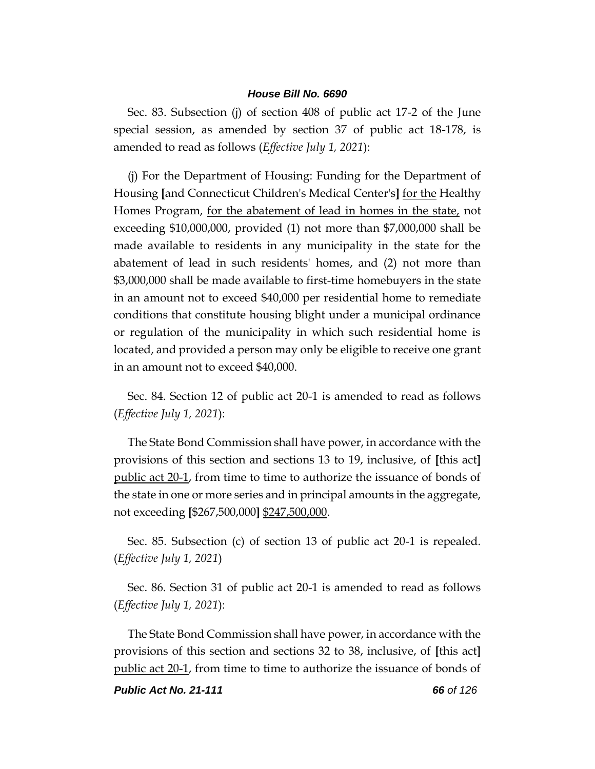Sec. 83. Subsection (j) of section 408 of public act 17-2 of the June special session, as amended by section 37 of public act 18-178, is amended to read as follows (*Effective July 1, 2021*):

(j) For the Department of Housing: Funding for the Department of Housing **[**and Connecticut Children's Medical Center's**]** for the Healthy Homes Program, for the abatement of lead in homes in the state, not exceeding \$10,000,000, provided (1) not more than \$7,000,000 shall be made available to residents in any municipality in the state for the abatement of lead in such residents' homes, and (2) not more than \$3,000,000 shall be made available to first-time homebuyers in the state in an amount not to exceed \$40,000 per residential home to remediate conditions that constitute housing blight under a municipal ordinance or regulation of the municipality in which such residential home is located, and provided a person may only be eligible to receive one grant in an amount not to exceed \$40,000.

Sec. 84. Section 12 of public act 20-1 is amended to read as follows (*Effective July 1, 2021*):

The State Bond Commission shall have power, in accordance with the provisions of this section and sections 13 to 19, inclusive, of **[**this act**]** public act 20-1, from time to time to authorize the issuance of bonds of the state in one or more series and in principal amounts in the aggregate, not exceeding **[**\$267,500,000**]** \$247,500,000.

Sec. 85. Subsection (c) of section 13 of public act 20-1 is repealed. (*Effective July 1, 2021*)

Sec. 86. Section 31 of public act 20-1 is amended to read as follows (*Effective July 1, 2021*):

The State Bond Commission shall have power, in accordance with the provisions of this section and sections 32 to 38, inclusive, of **[**this act**]**  public act 20-1, from time to time to authorize the issuance of bonds of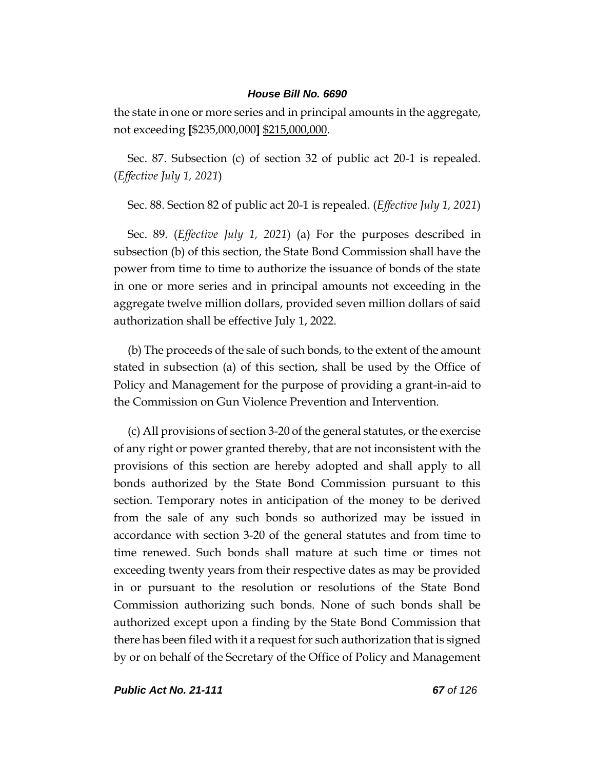the state in one or more series and in principal amounts in the aggregate, not exceeding **[**\$235,000,000**]** \$215,000,000.

Sec. 87. Subsection (c) of section 32 of public act 20-1 is repealed. (*Effective July 1, 2021*)

Sec. 88. Section 82 of public act 20-1 is repealed. (*Effective July 1, 2021*)

Sec. 89. (*Effective July 1, 2021*) (a) For the purposes described in subsection (b) of this section, the State Bond Commission shall have the power from time to time to authorize the issuance of bonds of the state in one or more series and in principal amounts not exceeding in the aggregate twelve million dollars, provided seven million dollars of said authorization shall be effective July 1, 2022.

(b) The proceeds of the sale of such bonds, to the extent of the amount stated in subsection (a) of this section, shall be used by the Office of Policy and Management for the purpose of providing a grant-in-aid to the Commission on Gun Violence Prevention and Intervention.

(c) All provisions of section 3-20 of the general statutes, or the exercise of any right or power granted thereby, that are not inconsistent with the provisions of this section are hereby adopted and shall apply to all bonds authorized by the State Bond Commission pursuant to this section. Temporary notes in anticipation of the money to be derived from the sale of any such bonds so authorized may be issued in accordance with section 3-20 of the general statutes and from time to time renewed. Such bonds shall mature at such time or times not exceeding twenty years from their respective dates as may be provided in or pursuant to the resolution or resolutions of the State Bond Commission authorizing such bonds. None of such bonds shall be authorized except upon a finding by the State Bond Commission that there has been filed with it a request for such authorization that is signed by or on behalf of the Secretary of the Office of Policy and Management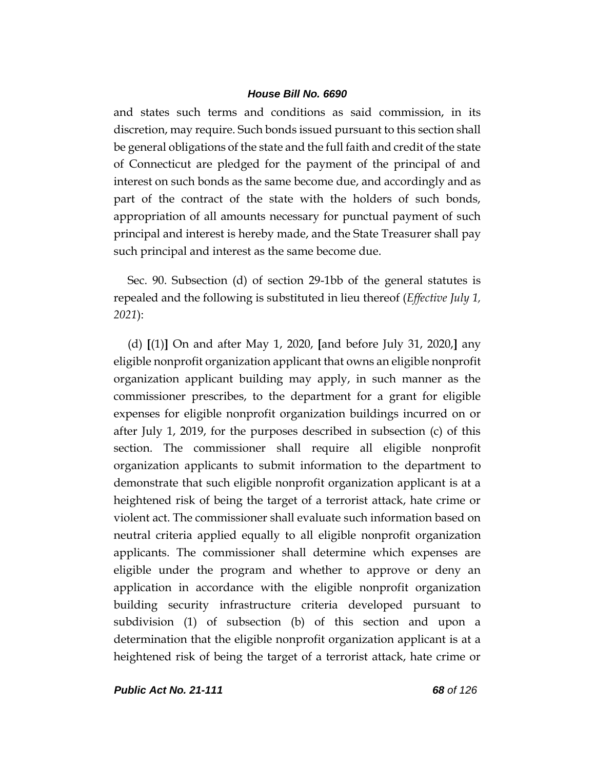and states such terms and conditions as said commission, in its discretion, may require. Such bonds issued pursuant to this section shall be general obligations of the state and the full faith and credit of the state of Connecticut are pledged for the payment of the principal of and interest on such bonds as the same become due, and accordingly and as part of the contract of the state with the holders of such bonds, appropriation of all amounts necessary for punctual payment of such principal and interest is hereby made, and the State Treasurer shall pay such principal and interest as the same become due.

Sec. 90. Subsection (d) of section 29-1bb of the general statutes is repealed and the following is substituted in lieu thereof (*Effective July 1, 2021*):

(d) **[**(1)**]** On and after May 1, 2020, **[**and before July 31, 2020,**]** any eligible nonprofit organization applicant that owns an eligible nonprofit organization applicant building may apply, in such manner as the commissioner prescribes, to the department for a grant for eligible expenses for eligible nonprofit organization buildings incurred on or after July 1, 2019, for the purposes described in subsection (c) of this section. The commissioner shall require all eligible nonprofit organization applicants to submit information to the department to demonstrate that such eligible nonprofit organization applicant is at a heightened risk of being the target of a terrorist attack, hate crime or violent act. The commissioner shall evaluate such information based on neutral criteria applied equally to all eligible nonprofit organization applicants. The commissioner shall determine which expenses are eligible under the program and whether to approve or deny an application in accordance with the eligible nonprofit organization building security infrastructure criteria developed pursuant to subdivision (1) of subsection (b) of this section and upon a determination that the eligible nonprofit organization applicant is at a heightened risk of being the target of a terrorist attack, hate crime or

*Public Act No. 21-111 68 of 126*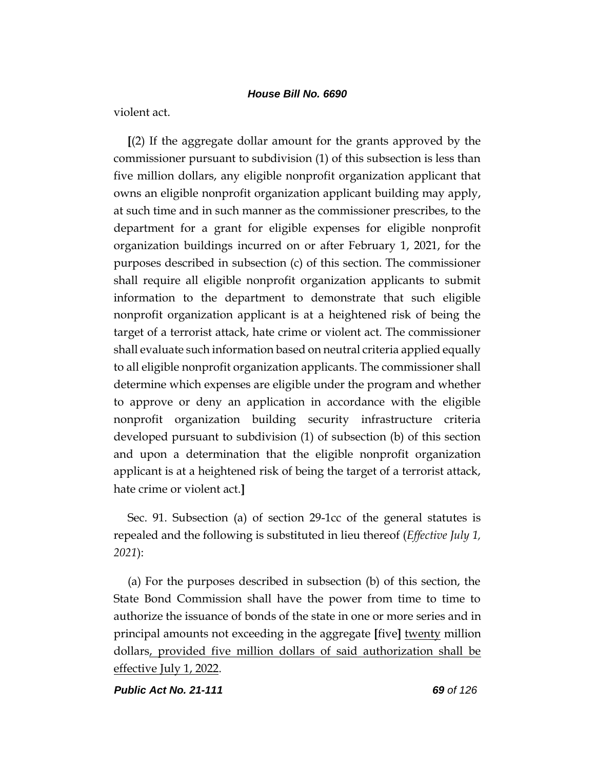violent act.

**[**(2) If the aggregate dollar amount for the grants approved by the commissioner pursuant to subdivision (1) of this subsection is less than five million dollars, any eligible nonprofit organization applicant that owns an eligible nonprofit organization applicant building may apply, at such time and in such manner as the commissioner prescribes, to the department for a grant for eligible expenses for eligible nonprofit organization buildings incurred on or after February 1, 2021, for the purposes described in subsection (c) of this section. The commissioner shall require all eligible nonprofit organization applicants to submit information to the department to demonstrate that such eligible nonprofit organization applicant is at a heightened risk of being the target of a terrorist attack, hate crime or violent act. The commissioner shall evaluate such information based on neutral criteria applied equally to all eligible nonprofit organization applicants. The commissioner shall determine which expenses are eligible under the program and whether to approve or deny an application in accordance with the eligible nonprofit organization building security infrastructure criteria developed pursuant to subdivision (1) of subsection (b) of this section and upon a determination that the eligible nonprofit organization applicant is at a heightened risk of being the target of a terrorist attack, hate crime or violent act.**]**

Sec. 91. Subsection (a) of section 29-1cc of the general statutes is repealed and the following is substituted in lieu thereof (*Effective July 1, 2021*):

(a) For the purposes described in subsection (b) of this section, the State Bond Commission shall have the power from time to time to authorize the issuance of bonds of the state in one or more series and in principal amounts not exceeding in the aggregate **[**five**]** twenty million dollars, provided five million dollars of said authorization shall be effective July 1, 2022.

*Public Act No. 21-111 69 of 126*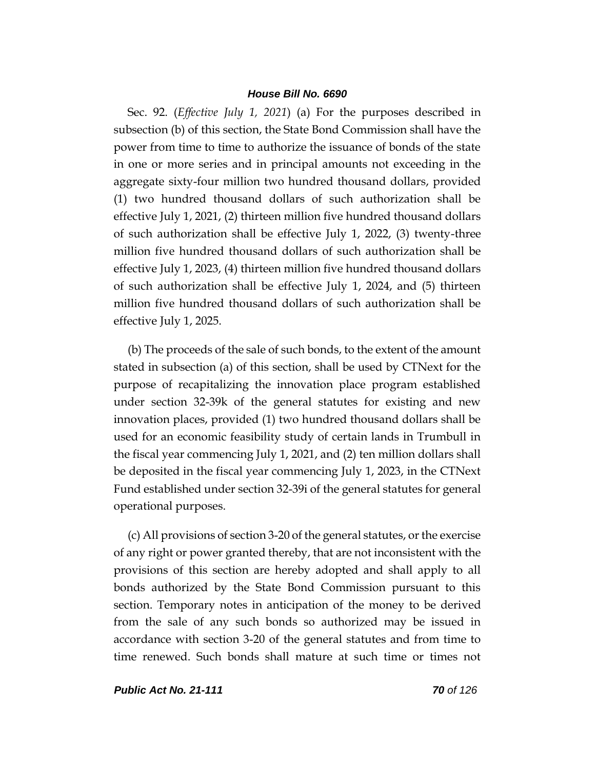Sec. 92. (*Effective July 1, 2021*) (a) For the purposes described in subsection (b) of this section, the State Bond Commission shall have the power from time to time to authorize the issuance of bonds of the state in one or more series and in principal amounts not exceeding in the aggregate sixty-four million two hundred thousand dollars, provided (1) two hundred thousand dollars of such authorization shall be effective July 1, 2021, (2) thirteen million five hundred thousand dollars of such authorization shall be effective July 1, 2022, (3) twenty-three million five hundred thousand dollars of such authorization shall be effective July 1, 2023, (4) thirteen million five hundred thousand dollars of such authorization shall be effective July 1, 2024, and (5) thirteen million five hundred thousand dollars of such authorization shall be effective July 1, 2025.

(b) The proceeds of the sale of such bonds, to the extent of the amount stated in subsection (a) of this section, shall be used by CTNext for the purpose of recapitalizing the innovation place program established under section 32-39k of the general statutes for existing and new innovation places, provided (1) two hundred thousand dollars shall be used for an economic feasibility study of certain lands in Trumbull in the fiscal year commencing July 1, 2021, and (2) ten million dollars shall be deposited in the fiscal year commencing July 1, 2023, in the CTNext Fund established under section 32-39i of the general statutes for general operational purposes.

(c) All provisions of section 3-20 of the general statutes, or the exercise of any right or power granted thereby, that are not inconsistent with the provisions of this section are hereby adopted and shall apply to all bonds authorized by the State Bond Commission pursuant to this section. Temporary notes in anticipation of the money to be derived from the sale of any such bonds so authorized may be issued in accordance with section 3-20 of the general statutes and from time to time renewed. Such bonds shall mature at such time or times not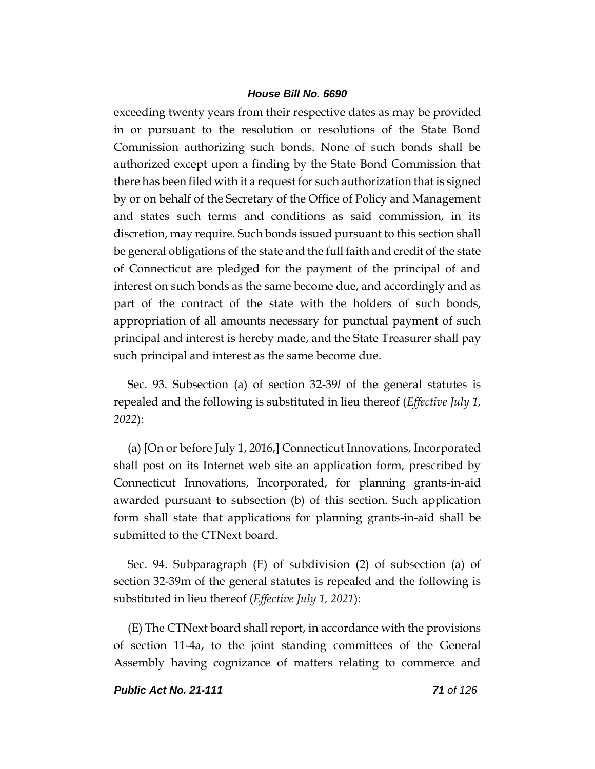exceeding twenty years from their respective dates as may be provided in or pursuant to the resolution or resolutions of the State Bond Commission authorizing such bonds. None of such bonds shall be authorized except upon a finding by the State Bond Commission that there has been filed with it a request for such authorization that is signed by or on behalf of the Secretary of the Office of Policy and Management and states such terms and conditions as said commission, in its discretion, may require. Such bonds issued pursuant to this section shall be general obligations of the state and the full faith and credit of the state of Connecticut are pledged for the payment of the principal of and interest on such bonds as the same become due, and accordingly and as part of the contract of the state with the holders of such bonds, appropriation of all amounts necessary for punctual payment of such principal and interest is hereby made, and the State Treasurer shall pay such principal and interest as the same become due.

Sec. 93. Subsection (a) of section 32-39*l* of the general statutes is repealed and the following is substituted in lieu thereof (*Effective July 1, 2022*):

(a) **[**On or before July 1, 2016,**]** Connecticut Innovations, Incorporated shall post on its Internet web site an application form, prescribed by Connecticut Innovations, Incorporated, for planning grants-in-aid awarded pursuant to subsection (b) of this section. Such application form shall state that applications for planning grants-in-aid shall be submitted to the CTNext board.

Sec. 94. Subparagraph (E) of subdivision (2) of subsection (a) of section 32-39m of the general statutes is repealed and the following is substituted in lieu thereof (*Effective July 1, 2021*):

(E) The CTNext board shall report, in accordance with the provisions of section 11-4a, to the joint standing committees of the General Assembly having cognizance of matters relating to commerce and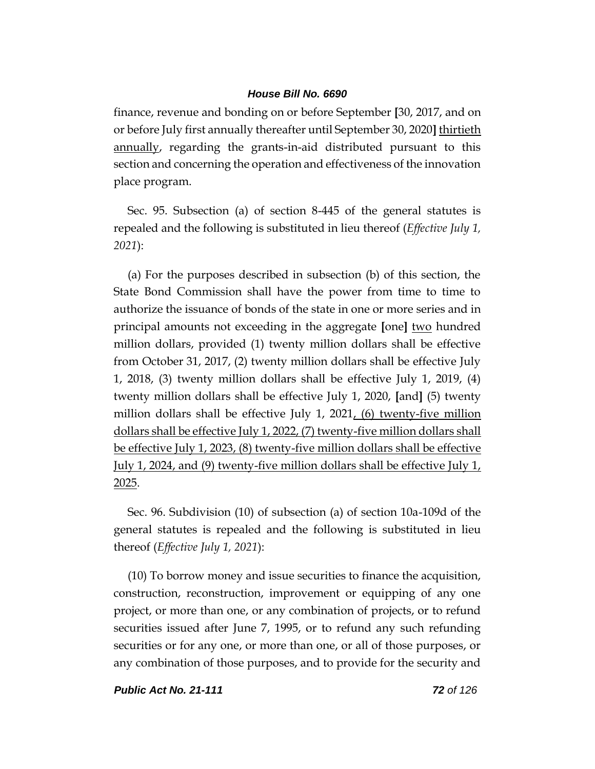finance, revenue and bonding on or before September **[**30, 2017, and on or before July first annually thereafter until September 30, 2020**]** thirtieth annually, regarding the grants-in-aid distributed pursuant to this section and concerning the operation and effectiveness of the innovation place program.

Sec. 95. Subsection (a) of section 8-445 of the general statutes is repealed and the following is substituted in lieu thereof (*Effective July 1, 2021*):

(a) For the purposes described in subsection (b) of this section, the State Bond Commission shall have the power from time to time to authorize the issuance of bonds of the state in one or more series and in principal amounts not exceeding in the aggregate **[**one**]** two hundred million dollars, provided (1) twenty million dollars shall be effective from October 31, 2017, (2) twenty million dollars shall be effective July 1, 2018, (3) twenty million dollars shall be effective July 1, 2019, (4) twenty million dollars shall be effective July 1, 2020, **[**and**]** (5) twenty million dollars shall be effective July 1, 2021, (6) twenty-five million dollars shall be effective July 1, 2022, (7) twenty-five million dollars shall be effective July 1, 2023, (8) twenty-five million dollars shall be effective July 1, 2024, and (9) twenty-five million dollars shall be effective July 1, 2025.

Sec. 96. Subdivision (10) of subsection (a) of section 10a-109d of the general statutes is repealed and the following is substituted in lieu thereof (*Effective July 1, 2021*):

(10) To borrow money and issue securities to finance the acquisition, construction, reconstruction, improvement or equipping of any one project, or more than one, or any combination of projects, or to refund securities issued after June 7, 1995, or to refund any such refunding securities or for any one, or more than one, or all of those purposes, or any combination of those purposes, and to provide for the security and

*Public Act No. 21-111 72 of 126*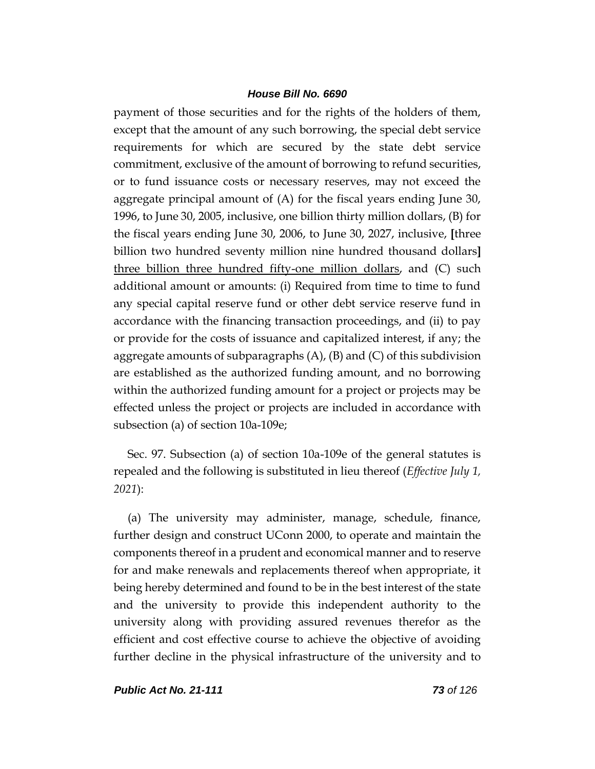payment of those securities and for the rights of the holders of them, except that the amount of any such borrowing, the special debt service requirements for which are secured by the state debt service commitment, exclusive of the amount of borrowing to refund securities, or to fund issuance costs or necessary reserves, may not exceed the aggregate principal amount of (A) for the fiscal years ending June 30, 1996, to June 30, 2005, inclusive, one billion thirty million dollars, (B) for the fiscal years ending June 30, 2006, to June 30, 2027, inclusive, **[**three billion two hundred seventy million nine hundred thousand dollars**]**  three billion three hundred fifty-one million dollars, and (C) such additional amount or amounts: (i) Required from time to time to fund any special capital reserve fund or other debt service reserve fund in accordance with the financing transaction proceedings, and (ii) to pay or provide for the costs of issuance and capitalized interest, if any; the aggregate amounts of subparagraphs (A), (B) and (C) of this subdivision are established as the authorized funding amount, and no borrowing within the authorized funding amount for a project or projects may be effected unless the project or projects are included in accordance with subsection (a) of section 10a-109e;

Sec. 97. Subsection (a) of section 10a-109e of the general statutes is repealed and the following is substituted in lieu thereof (*Effective July 1, 2021*):

(a) The university may administer, manage, schedule, finance, further design and construct UConn 2000, to operate and maintain the components thereof in a prudent and economical manner and to reserve for and make renewals and replacements thereof when appropriate, it being hereby determined and found to be in the best interest of the state and the university to provide this independent authority to the university along with providing assured revenues therefor as the efficient and cost effective course to achieve the objective of avoiding further decline in the physical infrastructure of the university and to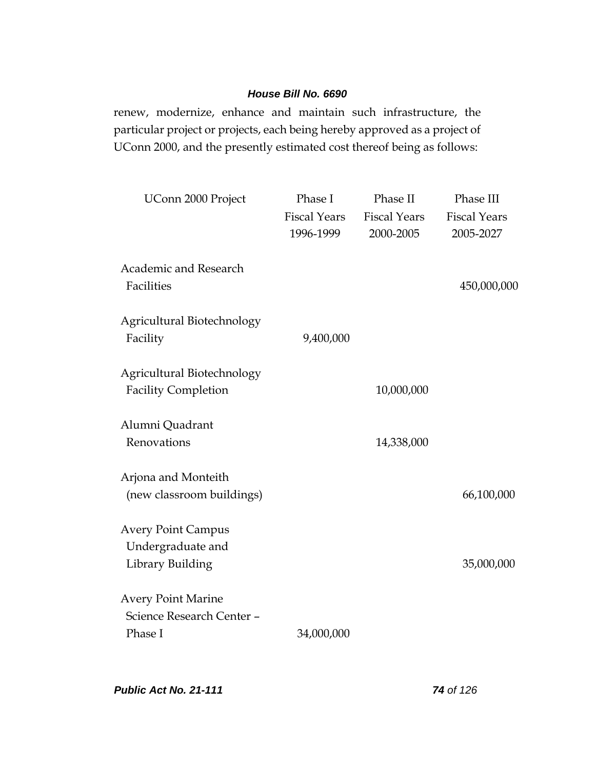renew, modernize, enhance and maintain such infrastructure, the particular project or projects, each being hereby approved as a project of UConn 2000, and the presently estimated cost thereof being as follows:

| UConn 2000 Project                                                 | Phase I<br><b>Fiscal Years</b><br>1996-1999 | Phase II<br><b>Fiscal Years</b><br>2000-2005 | Phase III<br><b>Fiscal Years</b><br>2005-2027 |
|--------------------------------------------------------------------|---------------------------------------------|----------------------------------------------|-----------------------------------------------|
| Academic and Research<br>Facilities                                |                                             |                                              | 450,000,000                                   |
| <b>Agricultural Biotechnology</b><br>Facility                      | 9,400,000                                   |                                              |                                               |
| <b>Agricultural Biotechnology</b><br><b>Facility Completion</b>    |                                             | 10,000,000                                   |                                               |
| Alumni Quadrant<br>Renovations                                     |                                             | 14,338,000                                   |                                               |
| Arjona and Monteith<br>(new classroom buildings)                   |                                             |                                              | 66,100,000                                    |
| <b>Avery Point Campus</b><br>Undergraduate and<br>Library Building |                                             |                                              | 35,000,000                                    |
| <b>Avery Point Marine</b><br>Science Research Center -<br>Phase I  | 34,000,000                                  |                                              |                                               |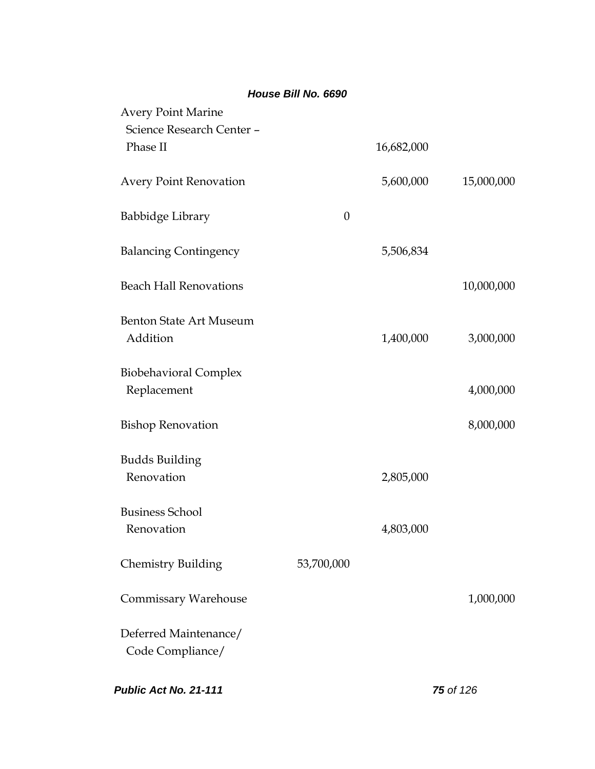|                                                        | House Bill No. 6690 |            |                  |
|--------------------------------------------------------|---------------------|------------|------------------|
| <b>Avery Point Marine</b><br>Science Research Center - |                     |            |                  |
| Phase II                                               |                     | 16,682,000 |                  |
| <b>Avery Point Renovation</b>                          |                     | 5,600,000  | 15,000,000       |
| Babbidge Library                                       | $\theta$            |            |                  |
| <b>Balancing Contingency</b>                           |                     | 5,506,834  |                  |
| <b>Beach Hall Renovations</b>                          |                     |            | 10,000,000       |
| <b>Benton State Art Museum</b><br>Addition             |                     | 1,400,000  | 3,000,000        |
| <b>Biobehavioral Complex</b><br>Replacement            |                     |            | 4,000,000        |
| <b>Bishop Renovation</b>                               |                     |            | 8,000,000        |
| <b>Budds Building</b><br>Renovation                    |                     | 2,805,000  |                  |
| <b>Business School</b><br>Renovation                   |                     | 4,803,000  |                  |
| <b>Chemistry Building</b>                              | 53,700,000          |            |                  |
| <b>Commissary Warehouse</b>                            |                     |            | 1,000,000        |
| Deferred Maintenance/<br>Code Compliance/              |                     |            |                  |
| Public Act No. 21-111                                  |                     |            | <b>75</b> of 126 |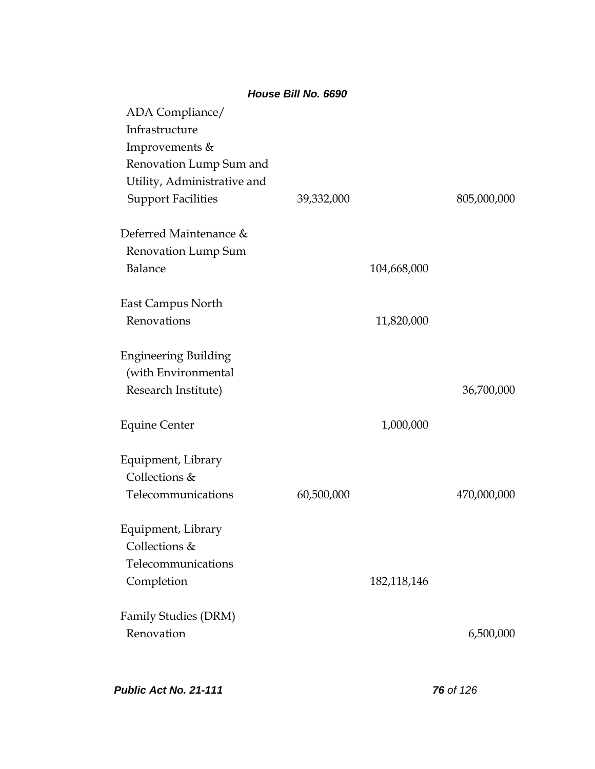|                             | House Bill No. 6690 |             |             |
|-----------------------------|---------------------|-------------|-------------|
| ADA Compliance/             |                     |             |             |
| Infrastructure              |                     |             |             |
| Improvements &              |                     |             |             |
| Renovation Lump Sum and     |                     |             |             |
| Utility, Administrative and |                     |             |             |
| <b>Support Facilities</b>   | 39,332,000          |             | 805,000,000 |
| Deferred Maintenance &      |                     |             |             |
| Renovation Lump Sum         |                     |             |             |
| Balance                     |                     | 104,668,000 |             |
| East Campus North           |                     |             |             |
| Renovations                 |                     | 11,820,000  |             |
| <b>Engineering Building</b> |                     |             |             |
| (with Environmental         |                     |             |             |
| Research Institute)         |                     |             | 36,700,000  |
| <b>Equine Center</b>        |                     | 1,000,000   |             |
| Equipment, Library          |                     |             |             |
| Collections &               |                     |             |             |
| Telecommunications          | 60,500,000          |             | 470,000,000 |
| Equipment, Library          |                     |             |             |
| Collections &               |                     |             |             |
| Telecommunications          |                     |             |             |
| Completion                  |                     | 182,118,146 |             |
| Family Studies (DRM)        |                     |             |             |
| Renovation                  |                     |             | 6,500,000   |
|                             |                     |             |             |

*Public Act No. 21-111 76 of 126*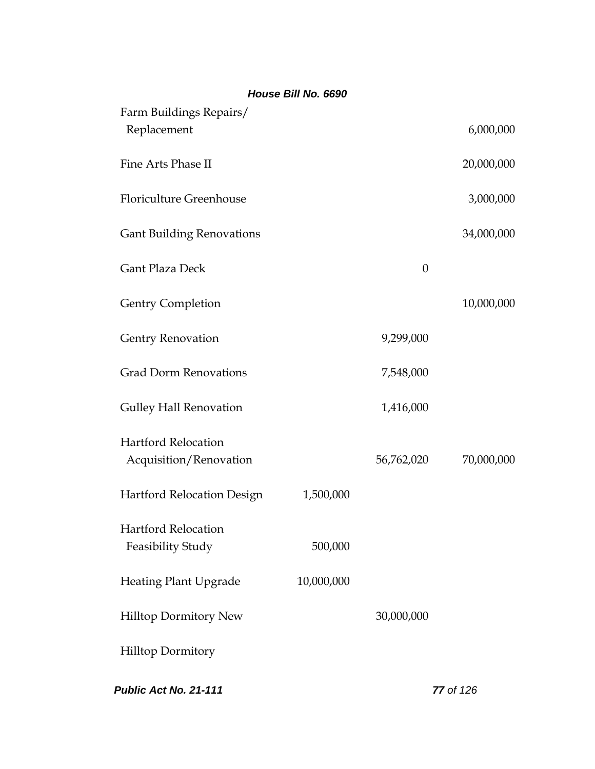|                                                        | House Bill No. 6690 |                  |            |
|--------------------------------------------------------|---------------------|------------------|------------|
| Farm Buildings Repairs/<br>Replacement                 |                     |                  | 6,000,000  |
| Fine Arts Phase II                                     |                     |                  | 20,000,000 |
| <b>Floriculture Greenhouse</b>                         |                     |                  | 3,000,000  |
| <b>Gant Building Renovations</b>                       |                     |                  | 34,000,000 |
| Gant Plaza Deck                                        |                     | $\boldsymbol{0}$ |            |
| <b>Gentry Completion</b>                               |                     |                  | 10,000,000 |
| <b>Gentry Renovation</b>                               |                     | 9,299,000        |            |
| <b>Grad Dorm Renovations</b>                           |                     | 7,548,000        |            |
| <b>Gulley Hall Renovation</b>                          |                     | 1,416,000        |            |
| <b>Hartford Relocation</b><br>Acquisition/Renovation   |                     | 56,762,020       | 70,000,000 |
| <b>Hartford Relocation Design</b>                      | 1,500,000           |                  |            |
| <b>Hartford Relocation</b><br><b>Feasibility Study</b> | 500,000             |                  |            |
| <b>Heating Plant Upgrade</b>                           | 10,000,000          |                  |            |
| <b>Hilltop Dormitory New</b>                           |                     | 30,000,000       |            |
| <b>Hilltop Dormitory</b>                               |                     |                  |            |
| Public Act No. 21-111                                  |                     |                  | 77 of 126  |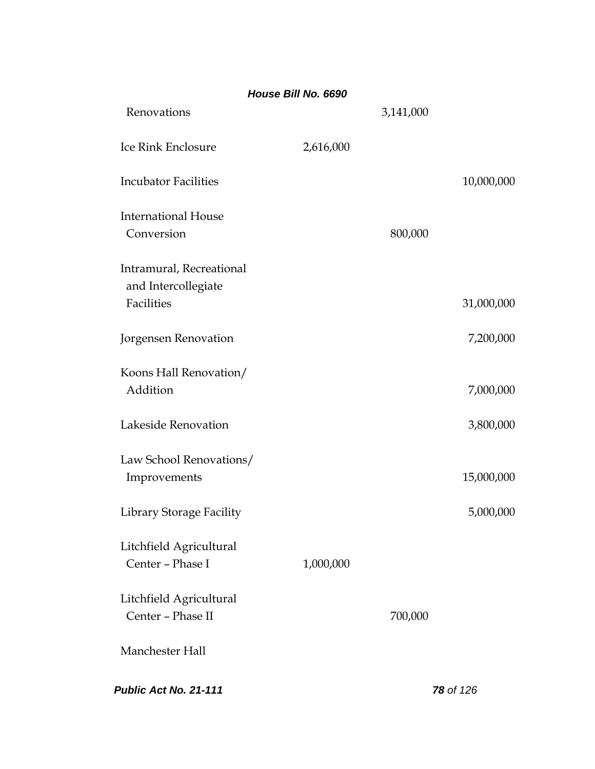| Renovations                                                   |           | 3,141,000 |                  |
|---------------------------------------------------------------|-----------|-----------|------------------|
| Ice Rink Enclosure                                            | 2,616,000 |           |                  |
| <b>Incubator Facilities</b>                                   |           |           | 10,000,000       |
| <b>International House</b><br>Conversion                      |           | 800,000   |                  |
| Intramural, Recreational<br>and Intercollegiate<br>Facilities |           |           | 31,000,000       |
|                                                               |           |           |                  |
| Jorgensen Renovation                                          |           |           | 7,200,000        |
| Koons Hall Renovation/<br>Addition                            |           |           | 7,000,000        |
| Lakeside Renovation                                           |           |           | 3,800,000        |
| Law School Renovations/<br>Improvements                       |           |           | 15,000,000       |
| Library Storage Facility                                      |           |           | 5,000,000        |
| Litchfield Agricultural<br>Center - Phase I                   | 1,000,000 |           |                  |
| Litchfield Agricultural<br>Center - Phase II                  |           | 700,000   |                  |
| Manchester Hall                                               |           |           |                  |
| Public Act No. 21-111                                         |           |           | <b>78</b> of 126 |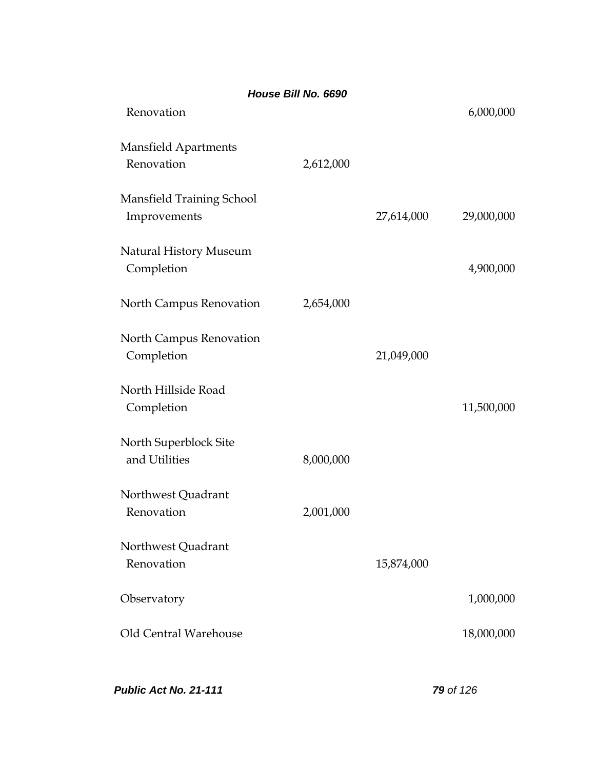|                                                  | House Bill No. 6690 |            |            |
|--------------------------------------------------|---------------------|------------|------------|
| Renovation                                       |                     |            | 6,000,000  |
| Mansfield Apartments<br>Renovation               | 2,612,000           |            |            |
| <b>Mansfield Training School</b><br>Improvements |                     | 27,614,000 | 29,000,000 |
| <b>Natural History Museum</b><br>Completion      |                     |            | 4,900,000  |
| North Campus Renovation                          | 2,654,000           |            |            |
| North Campus Renovation<br>Completion            |                     | 21,049,000 |            |
| North Hillside Road<br>Completion                |                     |            | 11,500,000 |
| North Superblock Site<br>and Utilities           | 8,000,000           |            |            |
| Northwest Quadrant<br>Renovation                 | 2,001,000           |            |            |
| Northwest Quadrant<br>Renovation                 |                     | 15,874,000 |            |
| Observatory                                      |                     |            | 1,000,000  |
| Old Central Warehouse                            |                     |            | 18,000,000 |
|                                                  |                     |            |            |

*Public Act No. 21-111 79 of 126*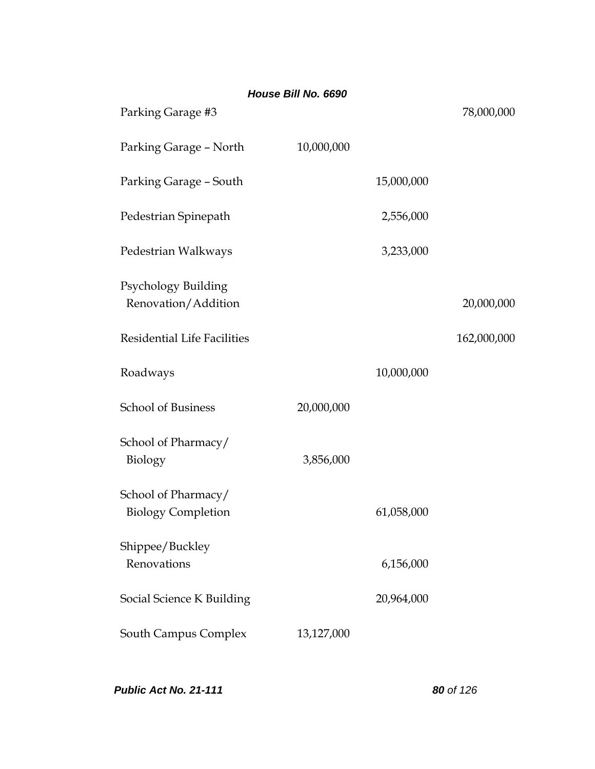|            |            | 78,000,000  |
|------------|------------|-------------|
| 10,000,000 |            |             |
|            | 15,000,000 |             |
|            | 2,556,000  |             |
|            | 3,233,000  |             |
|            |            | 20,000,000  |
|            |            | 162,000,000 |
|            | 10,000,000 |             |
| 20,000,000 |            |             |
| 3,856,000  |            |             |
|            | 61,058,000 |             |
|            | 6,156,000  |             |
|            | 20,964,000 |             |
| 13,127,000 |            |             |
|            |            |             |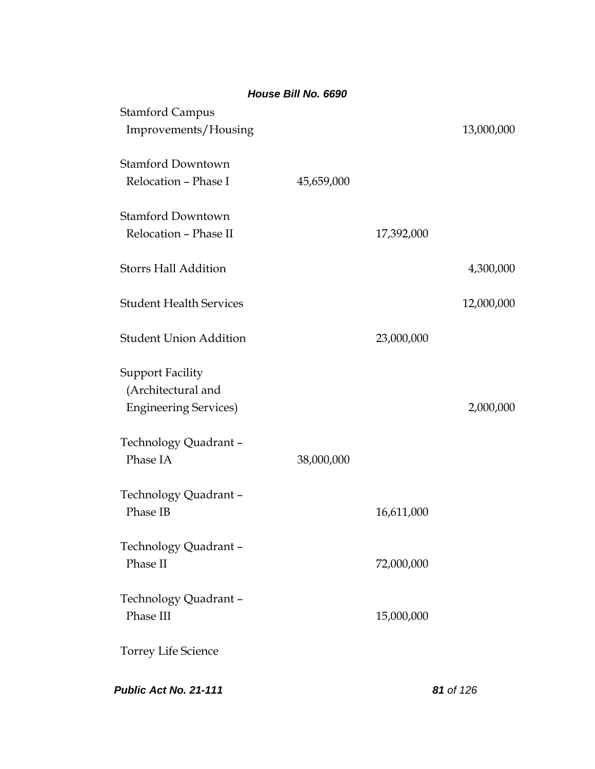|                                   | House Bill No. 6690 |            |            |
|-----------------------------------|---------------------|------------|------------|
| <b>Stamford Campus</b>            |                     |            |            |
| Improvements/Housing              |                     |            | 13,000,000 |
| <b>Stamford Downtown</b>          |                     |            |            |
| Relocation - Phase I              | 45,659,000          |            |            |
|                                   |                     |            |            |
| <b>Stamford Downtown</b>          |                     |            |            |
| Relocation - Phase II             |                     | 17,392,000 |            |
|                                   |                     |            |            |
| <b>Storrs Hall Addition</b>       |                     |            | 4,300,000  |
|                                   |                     |            |            |
| <b>Student Health Services</b>    |                     |            | 12,000,000 |
|                                   |                     |            |            |
| <b>Student Union Addition</b>     |                     | 23,000,000 |            |
|                                   |                     |            |            |
| <b>Support Facility</b>           |                     |            |            |
| (Architectural and                |                     |            |            |
| <b>Engineering Services)</b>      |                     |            | 2,000,000  |
|                                   |                     |            |            |
| Technology Quadrant -             |                     |            |            |
| Phase IA                          | 38,000,000          |            |            |
|                                   |                     |            |            |
| Technology Quadrant -<br>Phase IB |                     |            |            |
|                                   |                     | 16,611,000 |            |
| Technology Quadrant -             |                     |            |            |
| Phase II                          |                     | 72,000,000 |            |
|                                   |                     |            |            |
| Technology Quadrant -             |                     |            |            |
| Phase III                         |                     | 15,000,000 |            |
|                                   |                     |            |            |
| Torrey Life Science               |                     |            |            |
|                                   |                     |            |            |
| Public Act No. 21-111             |                     |            | 81 of 126  |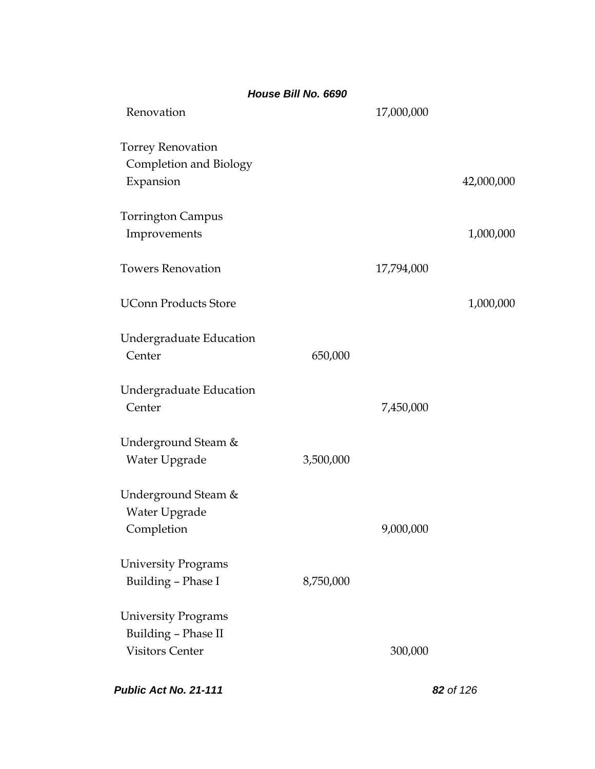|                                                                             | House Bill No. 6690 |            |            |
|-----------------------------------------------------------------------------|---------------------|------------|------------|
| Renovation                                                                  |                     | 17,000,000 |            |
| <b>Torrey Renovation</b><br>Completion and Biology<br>Expansion             |                     |            | 42,000,000 |
|                                                                             |                     |            |            |
| <b>Torrington Campus</b><br>Improvements                                    |                     |            | 1,000,000  |
| <b>Towers Renovation</b>                                                    |                     | 17,794,000 |            |
| <b>UConn Products Store</b>                                                 |                     |            | 1,000,000  |
| Undergraduate Education<br>Center                                           | 650,000             |            |            |
| Undergraduate Education<br>Center                                           |                     | 7,450,000  |            |
| Underground Steam &<br>Water Upgrade                                        | 3,500,000           |            |            |
| Underground Steam &<br>Water Upgrade<br>Completion                          |                     | 9,000,000  |            |
| <b>University Programs</b><br>Building - Phase I                            | 8,750,000           |            |            |
| <b>University Programs</b><br>Building - Phase II<br><b>Visitors Center</b> |                     | 300,000    |            |
| Public Act No. 21-111                                                       |                     |            | 82 of 126  |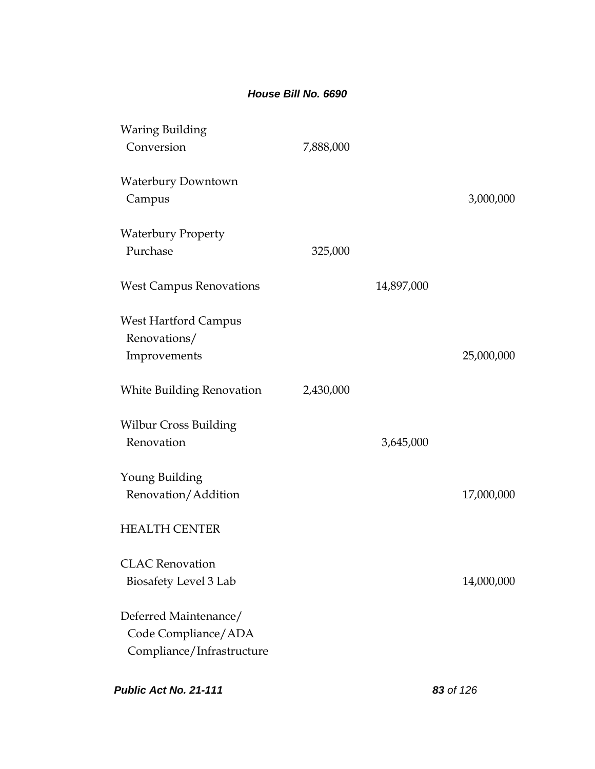| Public Act No. 21-111                                                     |           |            | 83 of 126  |
|---------------------------------------------------------------------------|-----------|------------|------------|
| Deferred Maintenance/<br>Code Compliance/ADA<br>Compliance/Infrastructure |           |            |            |
| <b>CLAC</b> Renovation<br><b>Biosafety Level 3 Lab</b>                    |           |            | 14,000,000 |
| <b>HEALTH CENTER</b>                                                      |           |            |            |
| Young Building<br>Renovation/Addition                                     |           |            | 17,000,000 |
| <b>Wilbur Cross Building</b><br>Renovation                                |           | 3,645,000  |            |
| <b>White Building Renovation</b>                                          | 2,430,000 |            |            |
| <b>West Hartford Campus</b><br>Renovations/<br>Improvements               |           |            | 25,000,000 |
| <b>West Campus Renovations</b>                                            |           | 14,897,000 |            |
| <b>Waterbury Property</b><br>Purchase                                     | 325,000   |            |            |
| <b>Waterbury Downtown</b><br>Campus                                       |           |            | 3,000,000  |
| <b>Waring Building</b><br>Conversion                                      | 7,888,000 |            |            |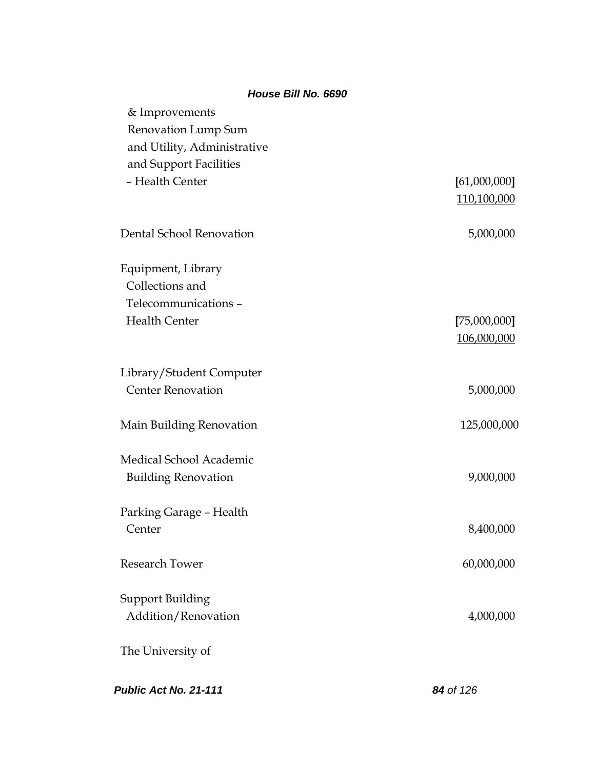| & Improvements              |              |
|-----------------------------|--------------|
| Renovation Lump Sum         |              |
| and Utility, Administrative |              |
| and Support Facilities      |              |
| - Health Center             | [61,000,000] |
|                             | 110,100,000  |
| Dental School Renovation    | 5,000,000    |
| Equipment, Library          |              |
| Collections and             |              |
| Telecommunications -        |              |
| <b>Health Center</b>        | [75,000,000] |
|                             | 106,000,000  |
| Library/Student Computer    |              |
| <b>Center Renovation</b>    | 5,000,000    |
| Main Building Renovation    | 125,000,000  |
| Medical School Academic     |              |
| <b>Building Renovation</b>  | 9,000,000    |
| Parking Garage - Health     |              |
| Center                      | 8,400,000    |
| <b>Research Tower</b>       | 60,000,000   |
| Support Building            |              |
| Addition/Renovation         | 4,000,000    |
| The University of           |              |
| Public Act No. 21-111       | 84 of 126    |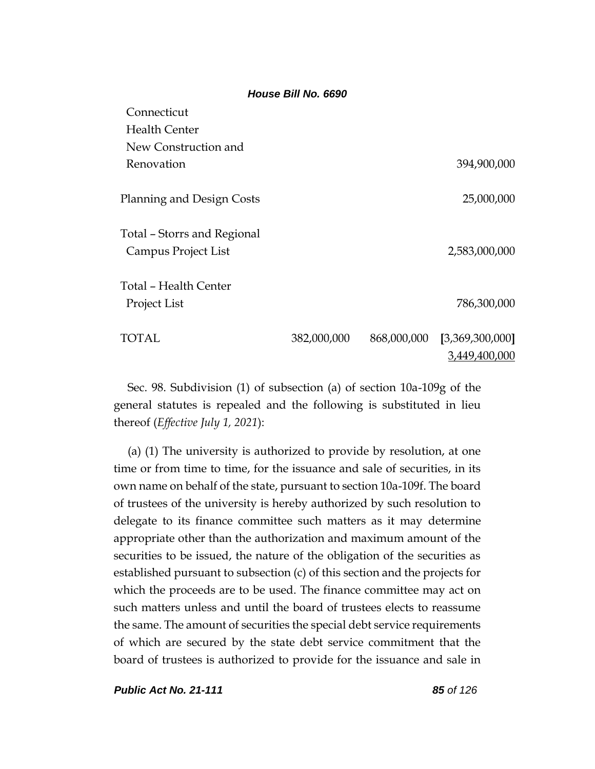| Connecticut                 |             |                             |
|-----------------------------|-------------|-----------------------------|
| <b>Health Center</b>        |             |                             |
| New Construction and        |             |                             |
| Renovation                  |             | 394,900,000                 |
|                             |             |                             |
| Planning and Design Costs   |             | 25,000,000                  |
|                             |             |                             |
| Total – Storrs and Regional |             |                             |
| Campus Project List         |             | 2,583,000,000               |
|                             |             |                             |
| Total - Health Center       |             |                             |
| Project List                |             | 786,300,000                 |
|                             |             |                             |
| TOTAL                       | 382,000,000 | 868,000,000 [3,369,300,000] |
|                             |             | 3,449,400,000               |
|                             |             |                             |

Sec. 98. Subdivision (1) of subsection (a) of section 10a-109g of the general statutes is repealed and the following is substituted in lieu thereof (*Effective July 1, 2021*):

(a) (1) The university is authorized to provide by resolution, at one time or from time to time, for the issuance and sale of securities, in its own name on behalf of the state, pursuant to section 10a-109f. The board of trustees of the university is hereby authorized by such resolution to delegate to its finance committee such matters as it may determine appropriate other than the authorization and maximum amount of the securities to be issued, the nature of the obligation of the securities as established pursuant to subsection (c) of this section and the projects for which the proceeds are to be used. The finance committee may act on such matters unless and until the board of trustees elects to reassume the same. The amount of securities the special debt service requirements of which are secured by the state debt service commitment that the board of trustees is authorized to provide for the issuance and sale in

*Public Act No. 21-111 85 of 126*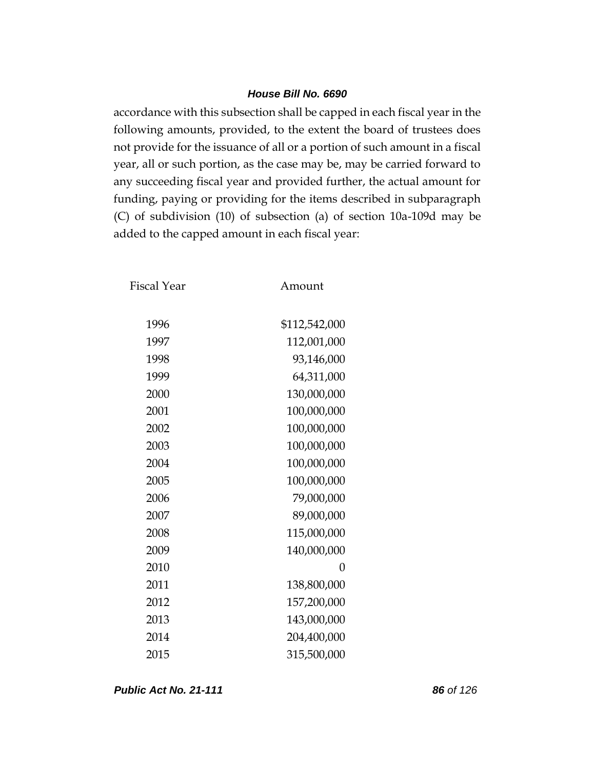accordance with this subsection shall be capped in each fiscal year in the following amounts, provided, to the extent the board of trustees does not provide for the issuance of all or a portion of such amount in a fiscal year, all or such portion, as the case may be, may be carried forward to any succeeding fiscal year and provided further, the actual amount for funding, paying or providing for the items described in subparagraph (C) of subdivision (10) of subsection (a) of section 10a-109d may be added to the capped amount in each fiscal year:

| Fiscal Year | Amount        |
|-------------|---------------|
| 1996        | \$112,542,000 |
| 1997        | 112,001,000   |
| 1998        | 93,146,000    |
| 1999        | 64,311,000    |
| 2000        | 130,000,000   |
| 2001        | 100,000,000   |
| 2002        | 100,000,000   |
| 2003        | 100,000,000   |
| 2004        | 100,000,000   |
| 2005        | 100,000,000   |
| 2006        | 79,000,000    |
| 2007        | 89,000,000    |
| 2008        | 115,000,000   |
| 2009        | 140,000,000   |
| 2010        | $\Omega$      |
| 2011        | 138,800,000   |
| 2012        | 157,200,000   |
| 2013        | 143,000,000   |
| 2014        | 204,400,000   |
| 2015        | 315,500,000   |

*Public Act No. 21-111 86 of 126*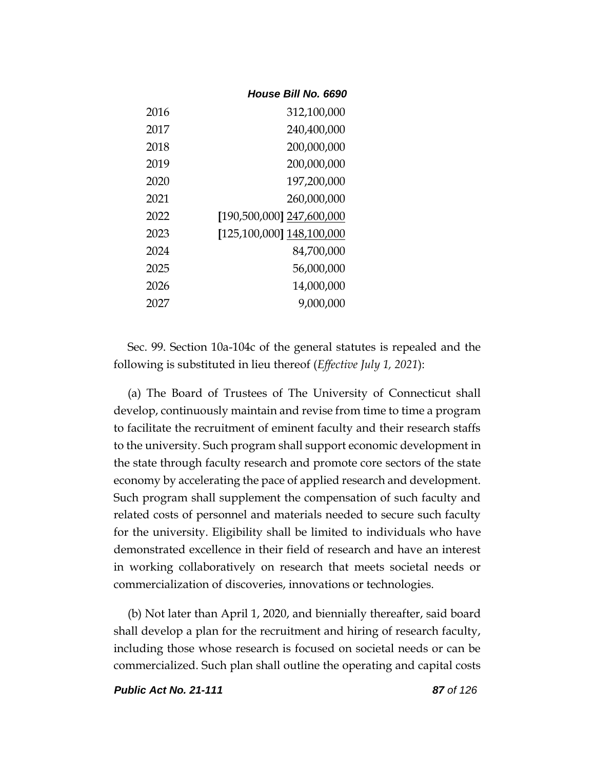|      | <b>House Bill No. 6690</b> |
|------|----------------------------|
| 2016 | 312,100,000                |
| 2017 | 240,400,000                |
| 2018 | 200,000,000                |
| 2019 | 200,000,000                |
| 2020 | 197,200,000                |
| 2021 | 260,000,000                |
| 2022 | [190,500,000] 247,600,000  |
| 2023 | [125,100,000] 148,100,000  |
| 2024 | 84,700,000                 |
| 2025 | 56,000,000                 |
| 2026 | 14,000,000                 |
| 2027 | 9,000,000                  |

Sec. 99. Section 10a-104c of the general statutes is repealed and the following is substituted in lieu thereof (*Effective July 1, 2021*):

(a) The Board of Trustees of The University of Connecticut shall develop, continuously maintain and revise from time to time a program to facilitate the recruitment of eminent faculty and their research staffs to the university. Such program shall support economic development in the state through faculty research and promote core sectors of the state economy by accelerating the pace of applied research and development. Such program shall supplement the compensation of such faculty and related costs of personnel and materials needed to secure such faculty for the university. Eligibility shall be limited to individuals who have demonstrated excellence in their field of research and have an interest in working collaboratively on research that meets societal needs or commercialization of discoveries, innovations or technologies.

(b) Not later than April 1, 2020, and biennially thereafter, said board shall develop a plan for the recruitment and hiring of research faculty, including those whose research is focused on societal needs or can be commercialized. Such plan shall outline the operating and capital costs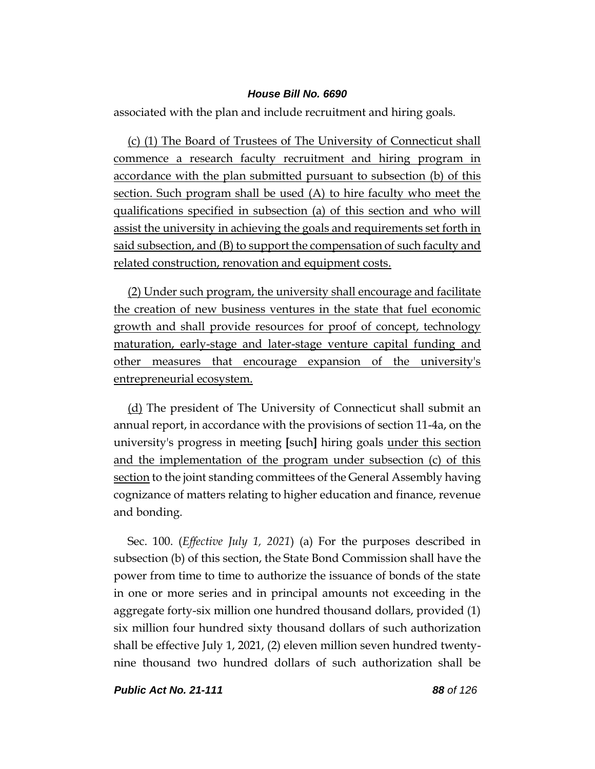associated with the plan and include recruitment and hiring goals.

(c) (1) The Board of Trustees of The University of Connecticut shall commence a research faculty recruitment and hiring program in accordance with the plan submitted pursuant to subsection (b) of this section. Such program shall be used (A) to hire faculty who meet the qualifications specified in subsection (a) of this section and who will assist the university in achieving the goals and requirements set forth in said subsection, and (B) to support the compensation of such faculty and related construction, renovation and equipment costs.

(2) Under such program, the university shall encourage and facilitate the creation of new business ventures in the state that fuel economic growth and shall provide resources for proof of concept, technology maturation, early-stage and later-stage venture capital funding and other measures that encourage expansion of the university's entrepreneurial ecosystem.

(d) The president of The University of Connecticut shall submit an annual report, in accordance with the provisions of section 11-4a, on the university's progress in meeting **[**such**]** hiring goals under this section and the implementation of the program under subsection (c) of this section to the joint standing committees of the General Assembly having cognizance of matters relating to higher education and finance, revenue and bonding.

Sec. 100. (*Effective July 1, 2021*) (a) For the purposes described in subsection (b) of this section, the State Bond Commission shall have the power from time to time to authorize the issuance of bonds of the state in one or more series and in principal amounts not exceeding in the aggregate forty-six million one hundred thousand dollars, provided (1) six million four hundred sixty thousand dollars of such authorization shall be effective July 1, 2021, (2) eleven million seven hundred twentynine thousand two hundred dollars of such authorization shall be

*Public Act No. 21-111 88 of 126*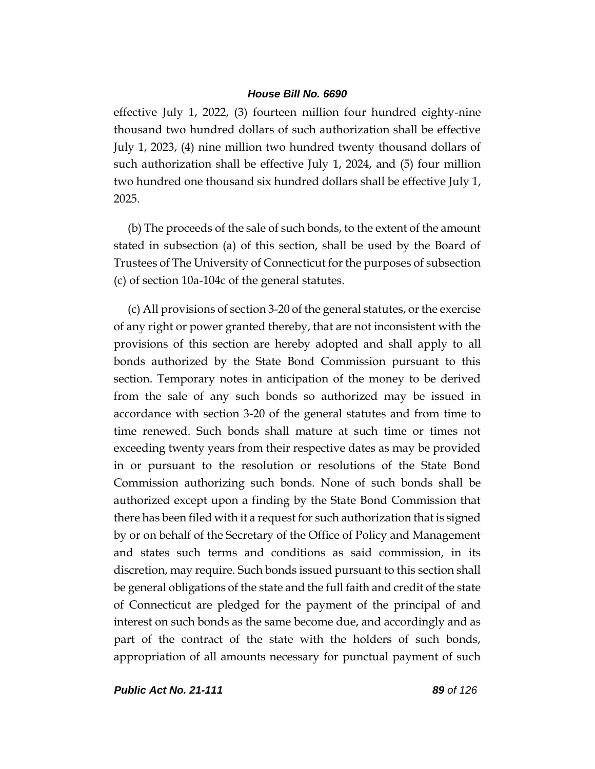effective July 1, 2022, (3) fourteen million four hundred eighty-nine thousand two hundred dollars of such authorization shall be effective July 1, 2023, (4) nine million two hundred twenty thousand dollars of such authorization shall be effective July 1, 2024, and (5) four million two hundred one thousand six hundred dollars shall be effective July 1, 2025.

(b) The proceeds of the sale of such bonds, to the extent of the amount stated in subsection (a) of this section, shall be used by the Board of Trustees of The University of Connecticut for the purposes of subsection (c) of section 10a-104c of the general statutes.

(c) All provisions of section 3-20 of the general statutes, or the exercise of any right or power granted thereby, that are not inconsistent with the provisions of this section are hereby adopted and shall apply to all bonds authorized by the State Bond Commission pursuant to this section. Temporary notes in anticipation of the money to be derived from the sale of any such bonds so authorized may be issued in accordance with section 3-20 of the general statutes and from time to time renewed. Such bonds shall mature at such time or times not exceeding twenty years from their respective dates as may be provided in or pursuant to the resolution or resolutions of the State Bond Commission authorizing such bonds. None of such bonds shall be authorized except upon a finding by the State Bond Commission that there has been filed with it a request for such authorization that is signed by or on behalf of the Secretary of the Office of Policy and Management and states such terms and conditions as said commission, in its discretion, may require. Such bonds issued pursuant to this section shall be general obligations of the state and the full faith and credit of the state of Connecticut are pledged for the payment of the principal of and interest on such bonds as the same become due, and accordingly and as part of the contract of the state with the holders of such bonds, appropriation of all amounts necessary for punctual payment of such

*Public Act No. 21-111 89 of 126*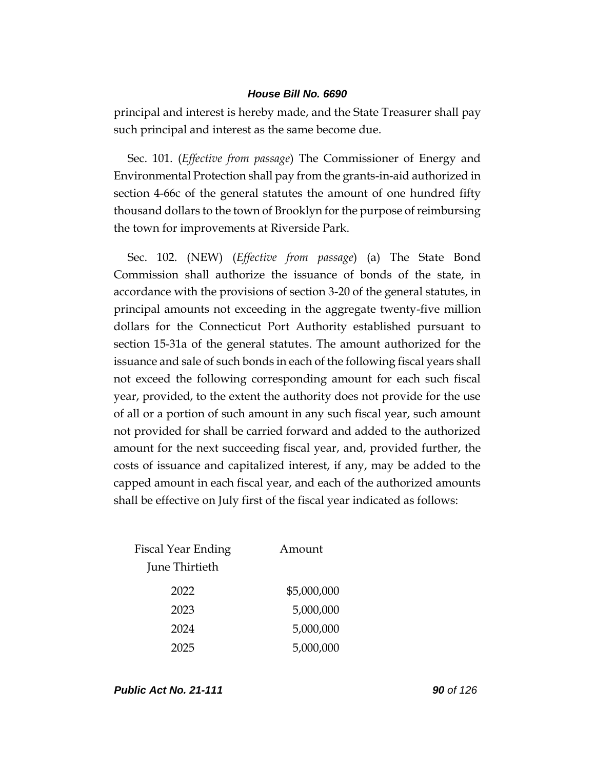principal and interest is hereby made, and the State Treasurer shall pay such principal and interest as the same become due.

Sec. 101. (*Effective from passage*) The Commissioner of Energy and Environmental Protection shall pay from the grants-in-aid authorized in section 4-66c of the general statutes the amount of one hundred fifty thousand dollars to the town of Brooklyn for the purpose of reimbursing the town for improvements at Riverside Park.

Sec. 102. (NEW) (*Effective from passage*) (a) The State Bond Commission shall authorize the issuance of bonds of the state, in accordance with the provisions of section 3-20 of the general statutes, in principal amounts not exceeding in the aggregate twenty-five million dollars for the Connecticut Port Authority established pursuant to section 15-31a of the general statutes. The amount authorized for the issuance and sale of such bonds in each of the following fiscal years shall not exceed the following corresponding amount for each such fiscal year, provided, to the extent the authority does not provide for the use of all or a portion of such amount in any such fiscal year, such amount not provided for shall be carried forward and added to the authorized amount for the next succeeding fiscal year, and, provided further, the costs of issuance and capitalized interest, if any, may be added to the capped amount in each fiscal year, and each of the authorized amounts shall be effective on July first of the fiscal year indicated as follows:

| Fiscal Year Ending | Amount      |
|--------------------|-------------|
| June Thirtieth     |             |
| 2022               | \$5,000,000 |
| 2023               | 5,000,000   |
| 2024               | 5,000,000   |
| 2025               | 5,000,000   |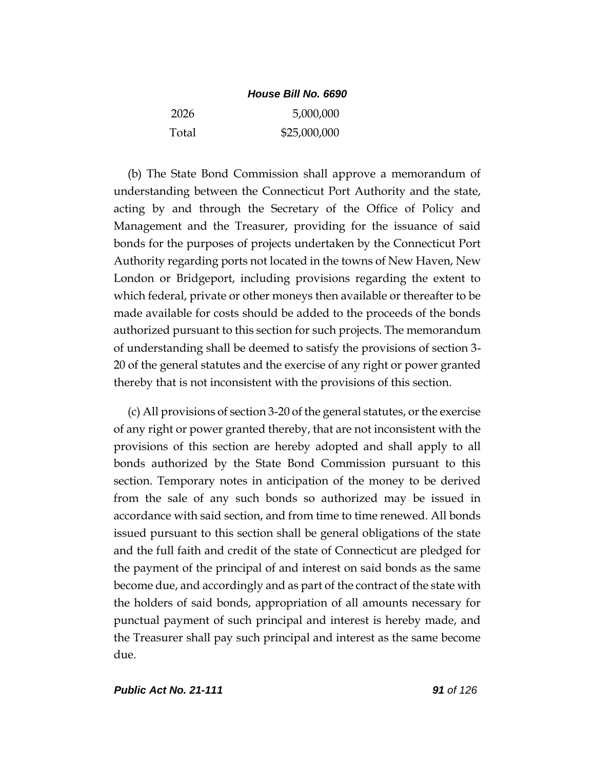|       | <b>House Bill No. 6690</b> |
|-------|----------------------------|
| 2026  | 5,000,000                  |
| Total | \$25,000,000               |

(b) The State Bond Commission shall approve a memorandum of understanding between the Connecticut Port Authority and the state, acting by and through the Secretary of the Office of Policy and Management and the Treasurer, providing for the issuance of said bonds for the purposes of projects undertaken by the Connecticut Port Authority regarding ports not located in the towns of New Haven, New London or Bridgeport, including provisions regarding the extent to which federal, private or other moneys then available or thereafter to be made available for costs should be added to the proceeds of the bonds authorized pursuant to this section for such projects. The memorandum of understanding shall be deemed to satisfy the provisions of section 3- 20 of the general statutes and the exercise of any right or power granted thereby that is not inconsistent with the provisions of this section.

(c) All provisions of section 3-20 of the general statutes, or the exercise of any right or power granted thereby, that are not inconsistent with the provisions of this section are hereby adopted and shall apply to all bonds authorized by the State Bond Commission pursuant to this section. Temporary notes in anticipation of the money to be derived from the sale of any such bonds so authorized may be issued in accordance with said section, and from time to time renewed. All bonds issued pursuant to this section shall be general obligations of the state and the full faith and credit of the state of Connecticut are pledged for the payment of the principal of and interest on said bonds as the same become due, and accordingly and as part of the contract of the state with the holders of said bonds, appropriation of all amounts necessary for punctual payment of such principal and interest is hereby made, and the Treasurer shall pay such principal and interest as the same become due.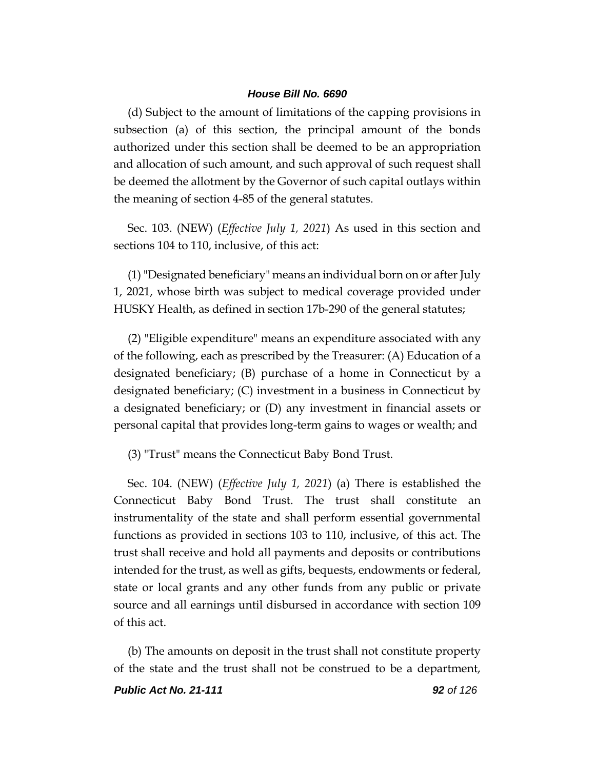(d) Subject to the amount of limitations of the capping provisions in subsection (a) of this section, the principal amount of the bonds authorized under this section shall be deemed to be an appropriation and allocation of such amount, and such approval of such request shall be deemed the allotment by the Governor of such capital outlays within the meaning of section 4-85 of the general statutes.

Sec. 103. (NEW) (*Effective July 1, 2021*) As used in this section and sections 104 to 110, inclusive, of this act:

(1) "Designated beneficiary" means an individual born on or after July 1, 2021, whose birth was subject to medical coverage provided under HUSKY Health, as defined in section 17b-290 of the general statutes;

(2) "Eligible expenditure" means an expenditure associated with any of the following, each as prescribed by the Treasurer: (A) Education of a designated beneficiary; (B) purchase of a home in Connecticut by a designated beneficiary; (C) investment in a business in Connecticut by a designated beneficiary; or (D) any investment in financial assets or personal capital that provides long-term gains to wages or wealth; and

(3) "Trust" means the Connecticut Baby Bond Trust.

Sec. 104. (NEW) (*Effective July 1, 2021*) (a) There is established the Connecticut Baby Bond Trust. The trust shall constitute an instrumentality of the state and shall perform essential governmental functions as provided in sections 103 to 110, inclusive, of this act. The trust shall receive and hold all payments and deposits or contributions intended for the trust, as well as gifts, bequests, endowments or federal, state or local grants and any other funds from any public or private source and all earnings until disbursed in accordance with section 109 of this act.

(b) The amounts on deposit in the trust shall not constitute property of the state and the trust shall not be construed to be a department,

*Public Act No. 21-111 92 of 126*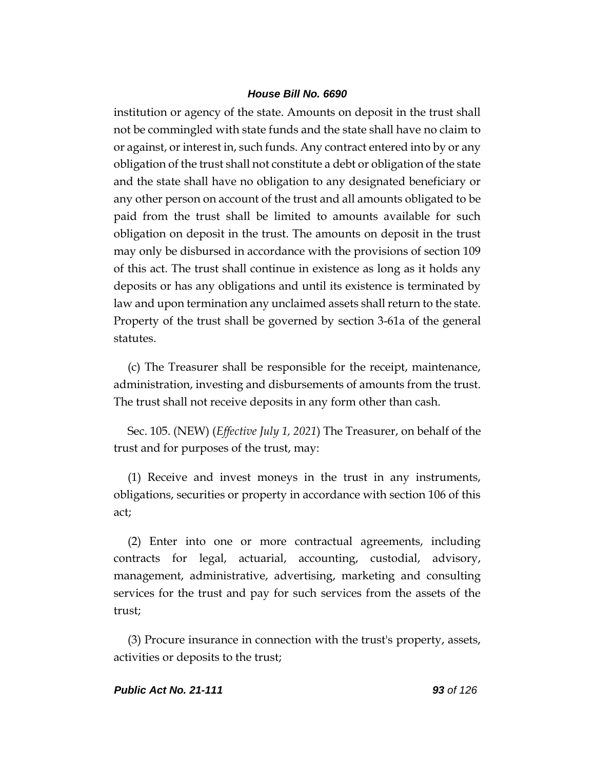institution or agency of the state. Amounts on deposit in the trust shall not be commingled with state funds and the state shall have no claim to or against, or interest in, such funds. Any contract entered into by or any obligation of the trust shall not constitute a debt or obligation of the state and the state shall have no obligation to any designated beneficiary or any other person on account of the trust and all amounts obligated to be paid from the trust shall be limited to amounts available for such obligation on deposit in the trust. The amounts on deposit in the trust may only be disbursed in accordance with the provisions of section 109 of this act. The trust shall continue in existence as long as it holds any deposits or has any obligations and until its existence is terminated by law and upon termination any unclaimed assets shall return to the state. Property of the trust shall be governed by section 3-61a of the general statutes.

(c) The Treasurer shall be responsible for the receipt, maintenance, administration, investing and disbursements of amounts from the trust. The trust shall not receive deposits in any form other than cash.

Sec. 105. (NEW) (*Effective July 1, 2021*) The Treasurer, on behalf of the trust and for purposes of the trust, may:

(1) Receive and invest moneys in the trust in any instruments, obligations, securities or property in accordance with section 106 of this act;

(2) Enter into one or more contractual agreements, including contracts for legal, actuarial, accounting, custodial, advisory, management, administrative, advertising, marketing and consulting services for the trust and pay for such services from the assets of the trust;

(3) Procure insurance in connection with the trust's property, assets, activities or deposits to the trust;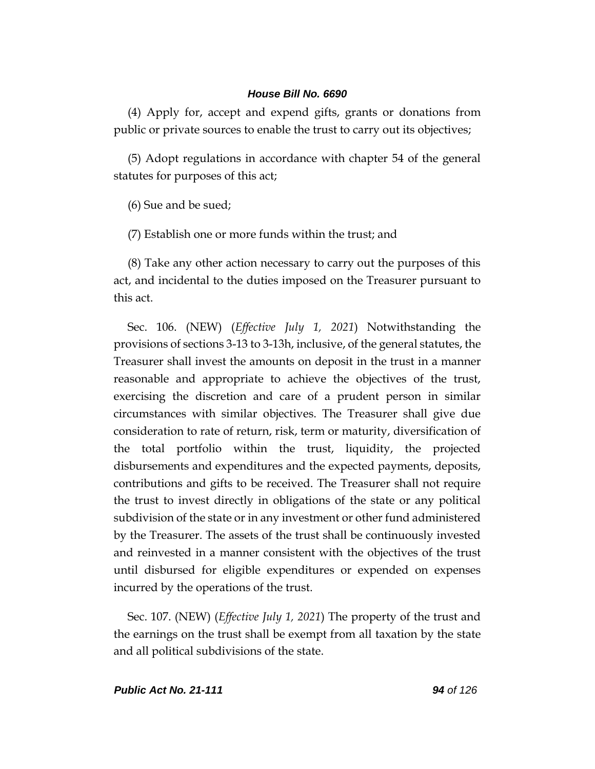(4) Apply for, accept and expend gifts, grants or donations from public or private sources to enable the trust to carry out its objectives;

(5) Adopt regulations in accordance with chapter 54 of the general statutes for purposes of this act;

(6) Sue and be sued;

(7) Establish one or more funds within the trust; and

(8) Take any other action necessary to carry out the purposes of this act, and incidental to the duties imposed on the Treasurer pursuant to this act.

Sec. 106. (NEW) (*Effective July 1, 2021*) Notwithstanding the provisions of sections 3-13 to 3-13h, inclusive, of the general statutes, the Treasurer shall invest the amounts on deposit in the trust in a manner reasonable and appropriate to achieve the objectives of the trust, exercising the discretion and care of a prudent person in similar circumstances with similar objectives. The Treasurer shall give due consideration to rate of return, risk, term or maturity, diversification of the total portfolio within the trust, liquidity, the projected disbursements and expenditures and the expected payments, deposits, contributions and gifts to be received. The Treasurer shall not require the trust to invest directly in obligations of the state or any political subdivision of the state or in any investment or other fund administered by the Treasurer. The assets of the trust shall be continuously invested and reinvested in a manner consistent with the objectives of the trust until disbursed for eligible expenditures or expended on expenses incurred by the operations of the trust.

Sec. 107. (NEW) (*Effective July 1, 2021*) The property of the trust and the earnings on the trust shall be exempt from all taxation by the state and all political subdivisions of the state.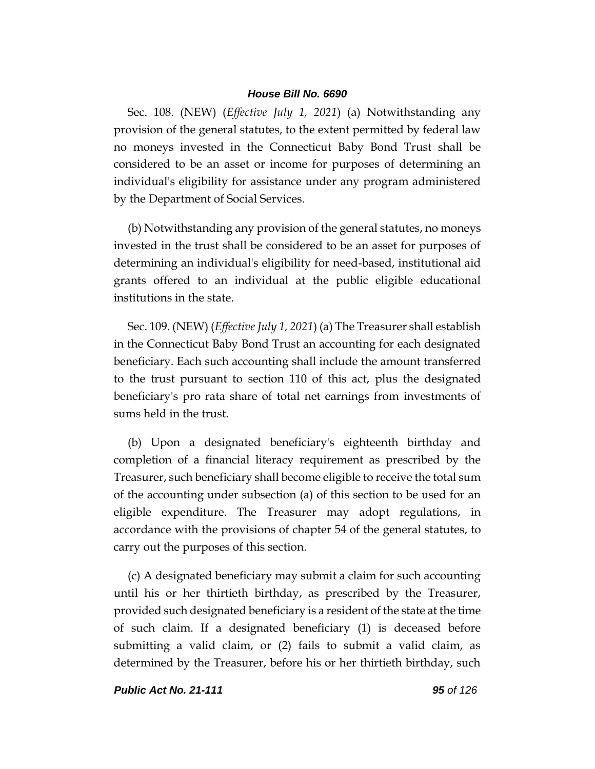Sec. 108. (NEW) (*Effective July 1, 2021*) (a) Notwithstanding any provision of the general statutes, to the extent permitted by federal law no moneys invested in the Connecticut Baby Bond Trust shall be considered to be an asset or income for purposes of determining an individual's eligibility for assistance under any program administered by the Department of Social Services.

(b) Notwithstanding any provision of the general statutes, no moneys invested in the trust shall be considered to be an asset for purposes of determining an individual's eligibility for need-based, institutional aid grants offered to an individual at the public eligible educational institutions in the state.

Sec. 109. (NEW) (*Effective July 1, 2021*) (a) The Treasurer shall establish in the Connecticut Baby Bond Trust an accounting for each designated beneficiary. Each such accounting shall include the amount transferred to the trust pursuant to section 110 of this act, plus the designated beneficiary's pro rata share of total net earnings from investments of sums held in the trust.

(b) Upon a designated beneficiary's eighteenth birthday and completion of a financial literacy requirement as prescribed by the Treasurer, such beneficiary shall become eligible to receive the total sum of the accounting under subsection (a) of this section to be used for an eligible expenditure. The Treasurer may adopt regulations, in accordance with the provisions of chapter 54 of the general statutes, to carry out the purposes of this section.

(c) A designated beneficiary may submit a claim for such accounting until his or her thirtieth birthday, as prescribed by the Treasurer, provided such designated beneficiary is a resident of the state at the time of such claim. If a designated beneficiary (1) is deceased before submitting a valid claim, or (2) fails to submit a valid claim, as determined by the Treasurer, before his or her thirtieth birthday, such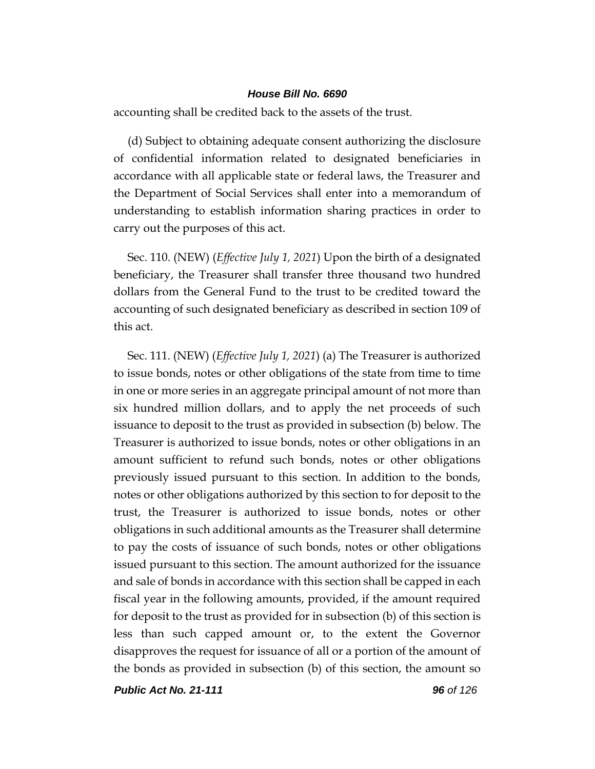accounting shall be credited back to the assets of the trust.

(d) Subject to obtaining adequate consent authorizing the disclosure of confidential information related to designated beneficiaries in accordance with all applicable state or federal laws, the Treasurer and the Department of Social Services shall enter into a memorandum of understanding to establish information sharing practices in order to carry out the purposes of this act.

Sec. 110. (NEW) (*Effective July 1, 2021*) Upon the birth of a designated beneficiary, the Treasurer shall transfer three thousand two hundred dollars from the General Fund to the trust to be credited toward the accounting of such designated beneficiary as described in section 109 of this act.

Sec. 111. (NEW) (*Effective July 1, 2021*) (a) The Treasurer is authorized to issue bonds, notes or other obligations of the state from time to time in one or more series in an aggregate principal amount of not more than six hundred million dollars, and to apply the net proceeds of such issuance to deposit to the trust as provided in subsection (b) below. The Treasurer is authorized to issue bonds, notes or other obligations in an amount sufficient to refund such bonds, notes or other obligations previously issued pursuant to this section. In addition to the bonds, notes or other obligations authorized by this section to for deposit to the trust, the Treasurer is authorized to issue bonds, notes or other obligations in such additional amounts as the Treasurer shall determine to pay the costs of issuance of such bonds, notes or other obligations issued pursuant to this section. The amount authorized for the issuance and sale of bonds in accordance with this section shall be capped in each fiscal year in the following amounts, provided, if the amount required for deposit to the trust as provided for in subsection (b) of this section is less than such capped amount or, to the extent the Governor disapproves the request for issuance of all or a portion of the amount of the bonds as provided in subsection (b) of this section, the amount so

*Public Act No. 21-111 96 of 126*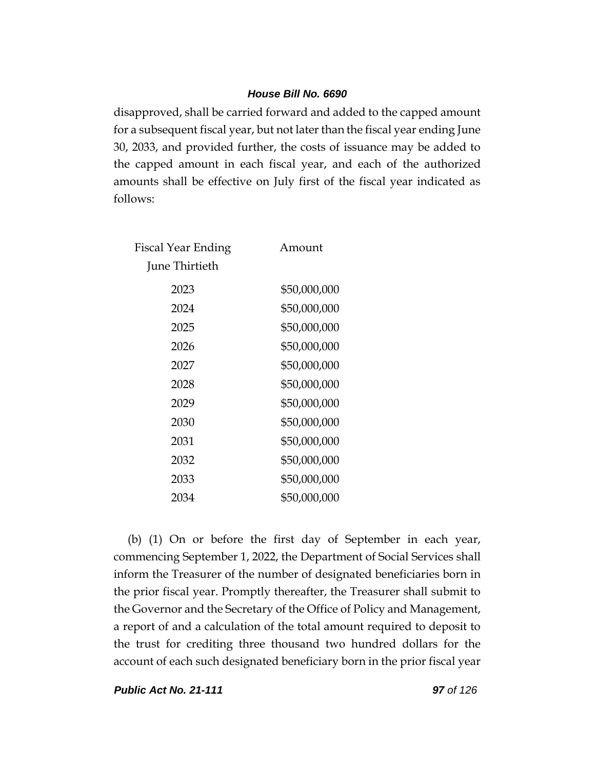disapproved, shall be carried forward and added to the capped amount for a subsequent fiscal year, but not later than the fiscal year ending June 30, 2033, and provided further, the costs of issuance may be added to the capped amount in each fiscal year, and each of the authorized amounts shall be effective on July first of the fiscal year indicated as follows:

| Fiscal Year Ending | Amount       |
|--------------------|--------------|
| June Thirtieth     |              |
| 2023               | \$50,000,000 |
| 2024               | \$50,000,000 |
| 2025               | \$50,000,000 |
| 2026               | \$50,000,000 |
| 2027               | \$50,000,000 |
| 2028               | \$50,000,000 |
| 2029               | \$50,000,000 |
| 2030               | \$50,000,000 |
| 2031               | \$50,000,000 |
| 2032               | \$50,000,000 |
| 2033               | \$50,000,000 |
| 2034               | \$50,000,000 |
|                    |              |

(b) (1) On or before the first day of September in each year, commencing September 1, 2022, the Department of Social Services shall inform the Treasurer of the number of designated beneficiaries born in the prior fiscal year. Promptly thereafter, the Treasurer shall submit to the Governor and the Secretary of the Office of Policy and Management, a report of and a calculation of the total amount required to deposit to the trust for crediting three thousand two hundred dollars for the account of each such designated beneficiary born in the prior fiscal year

*Public Act No. 21-111 97 of 126*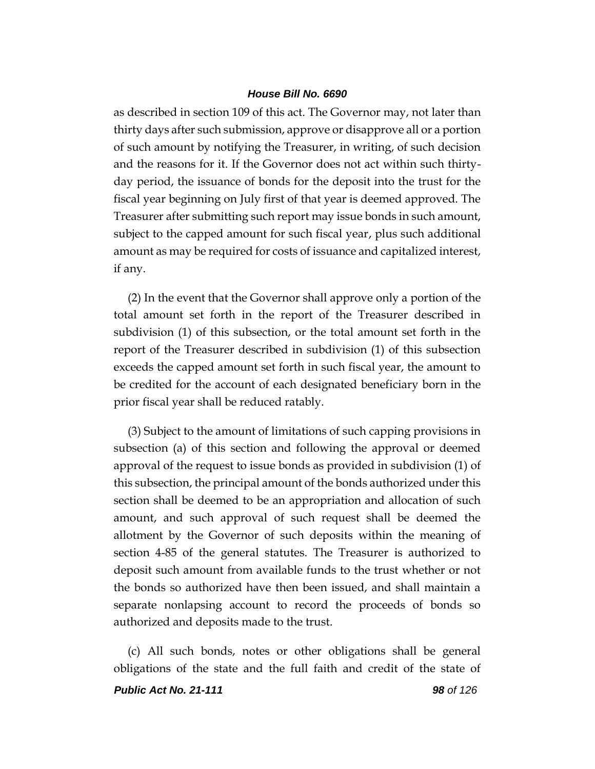as described in section 109 of this act. The Governor may, not later than thirty days after such submission, approve or disapprove all or a portion of such amount by notifying the Treasurer, in writing, of such decision and the reasons for it. If the Governor does not act within such thirtyday period, the issuance of bonds for the deposit into the trust for the fiscal year beginning on July first of that year is deemed approved. The Treasurer after submitting such report may issue bonds in such amount, subject to the capped amount for such fiscal year, plus such additional amount as may be required for costs of issuance and capitalized interest, if any.

(2) In the event that the Governor shall approve only a portion of the total amount set forth in the report of the Treasurer described in subdivision (1) of this subsection, or the total amount set forth in the report of the Treasurer described in subdivision (1) of this subsection exceeds the capped amount set forth in such fiscal year, the amount to be credited for the account of each designated beneficiary born in the prior fiscal year shall be reduced ratably.

(3) Subject to the amount of limitations of such capping provisions in subsection (a) of this section and following the approval or deemed approval of the request to issue bonds as provided in subdivision (1) of this subsection, the principal amount of the bonds authorized under this section shall be deemed to be an appropriation and allocation of such amount, and such approval of such request shall be deemed the allotment by the Governor of such deposits within the meaning of section 4-85 of the general statutes. The Treasurer is authorized to deposit such amount from available funds to the trust whether or not the bonds so authorized have then been issued, and shall maintain a separate nonlapsing account to record the proceeds of bonds so authorized and deposits made to the trust.

(c) All such bonds, notes or other obligations shall be general obligations of the state and the full faith and credit of the state of

*Public Act No. 21-111 98 of 126*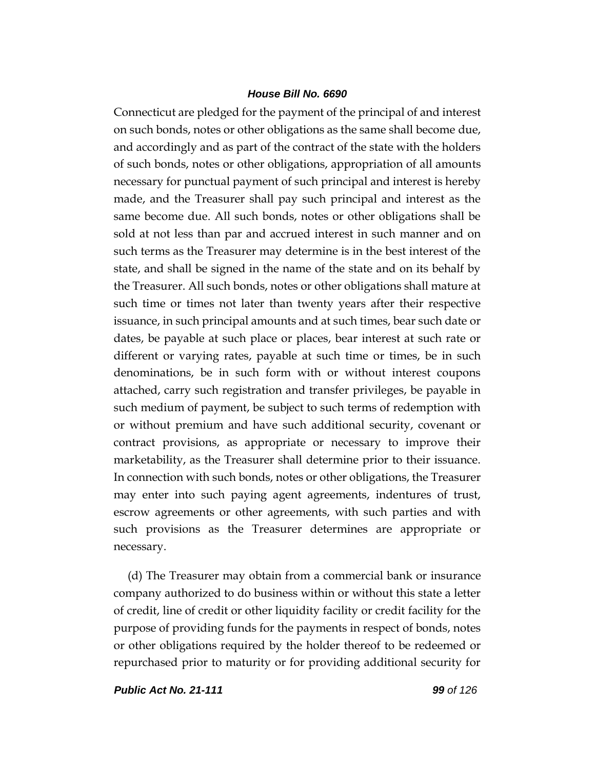Connecticut are pledged for the payment of the principal of and interest on such bonds, notes or other obligations as the same shall become due, and accordingly and as part of the contract of the state with the holders of such bonds, notes or other obligations, appropriation of all amounts necessary for punctual payment of such principal and interest is hereby made, and the Treasurer shall pay such principal and interest as the same become due. All such bonds, notes or other obligations shall be sold at not less than par and accrued interest in such manner and on such terms as the Treasurer may determine is in the best interest of the state, and shall be signed in the name of the state and on its behalf by the Treasurer. All such bonds, notes or other obligations shall mature at such time or times not later than twenty years after their respective issuance, in such principal amounts and at such times, bear such date or dates, be payable at such place or places, bear interest at such rate or different or varying rates, payable at such time or times, be in such denominations, be in such form with or without interest coupons attached, carry such registration and transfer privileges, be payable in such medium of payment, be subject to such terms of redemption with or without premium and have such additional security, covenant or contract provisions, as appropriate or necessary to improve their marketability, as the Treasurer shall determine prior to their issuance. In connection with such bonds, notes or other obligations, the Treasurer may enter into such paying agent agreements, indentures of trust, escrow agreements or other agreements, with such parties and with such provisions as the Treasurer determines are appropriate or necessary.

(d) The Treasurer may obtain from a commercial bank or insurance company authorized to do business within or without this state a letter of credit, line of credit or other liquidity facility or credit facility for the purpose of providing funds for the payments in respect of bonds, notes or other obligations required by the holder thereof to be redeemed or repurchased prior to maturity or for providing additional security for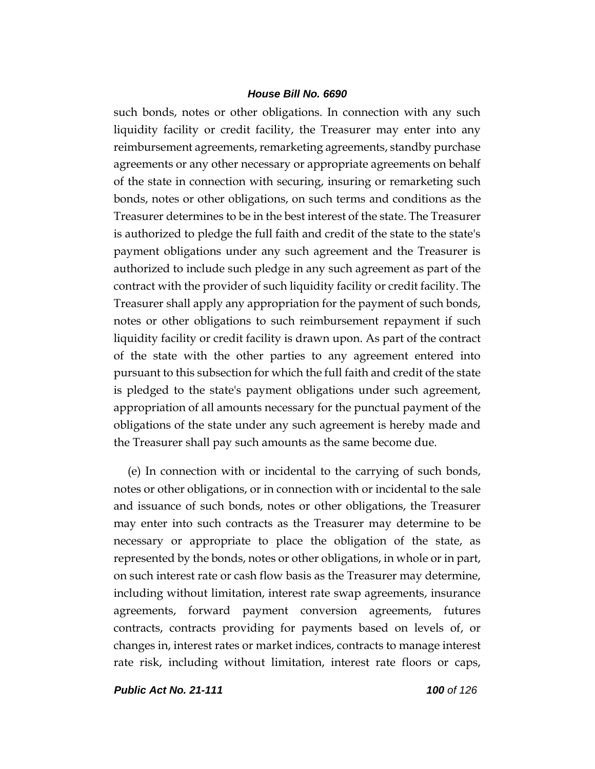such bonds, notes or other obligations. In connection with any such liquidity facility or credit facility, the Treasurer may enter into any reimbursement agreements, remarketing agreements, standby purchase agreements or any other necessary or appropriate agreements on behalf of the state in connection with securing, insuring or remarketing such bonds, notes or other obligations, on such terms and conditions as the Treasurer determines to be in the best interest of the state. The Treasurer is authorized to pledge the full faith and credit of the state to the state's payment obligations under any such agreement and the Treasurer is authorized to include such pledge in any such agreement as part of the contract with the provider of such liquidity facility or credit facility. The Treasurer shall apply any appropriation for the payment of such bonds, notes or other obligations to such reimbursement repayment if such liquidity facility or credit facility is drawn upon. As part of the contract of the state with the other parties to any agreement entered into pursuant to this subsection for which the full faith and credit of the state is pledged to the state's payment obligations under such agreement, appropriation of all amounts necessary for the punctual payment of the obligations of the state under any such agreement is hereby made and the Treasurer shall pay such amounts as the same become due.

(e) In connection with or incidental to the carrying of such bonds, notes or other obligations, or in connection with or incidental to the sale and issuance of such bonds, notes or other obligations, the Treasurer may enter into such contracts as the Treasurer may determine to be necessary or appropriate to place the obligation of the state, as represented by the bonds, notes or other obligations, in whole or in part, on such interest rate or cash flow basis as the Treasurer may determine, including without limitation, interest rate swap agreements, insurance agreements, forward payment conversion agreements, futures contracts, contracts providing for payments based on levels of, or changes in, interest rates or market indices, contracts to manage interest rate risk, including without limitation, interest rate floors or caps,

*Public Act No. 21-111 100 of 126*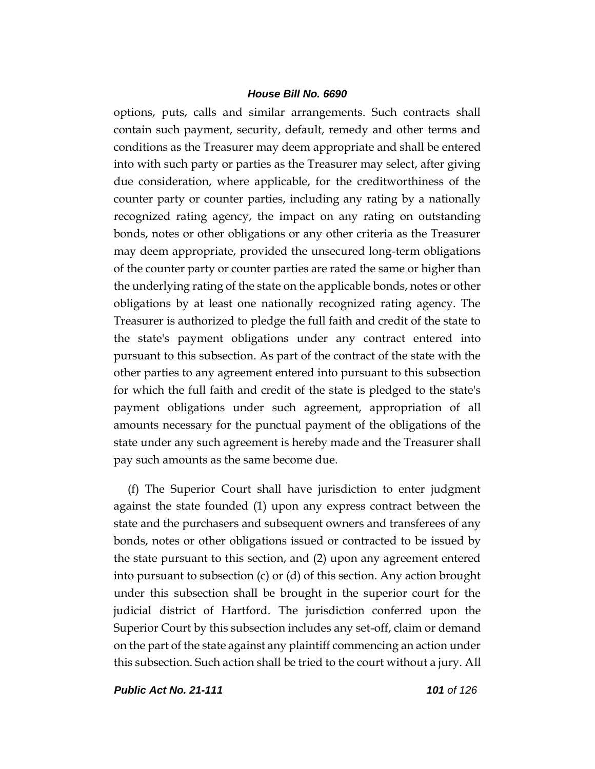options, puts, calls and similar arrangements. Such contracts shall contain such payment, security, default, remedy and other terms and conditions as the Treasurer may deem appropriate and shall be entered into with such party or parties as the Treasurer may select, after giving due consideration, where applicable, for the creditworthiness of the counter party or counter parties, including any rating by a nationally recognized rating agency, the impact on any rating on outstanding bonds, notes or other obligations or any other criteria as the Treasurer may deem appropriate, provided the unsecured long-term obligations of the counter party or counter parties are rated the same or higher than the underlying rating of the state on the applicable bonds, notes or other obligations by at least one nationally recognized rating agency. The Treasurer is authorized to pledge the full faith and credit of the state to the state's payment obligations under any contract entered into pursuant to this subsection. As part of the contract of the state with the other parties to any agreement entered into pursuant to this subsection for which the full faith and credit of the state is pledged to the state's payment obligations under such agreement, appropriation of all amounts necessary for the punctual payment of the obligations of the state under any such agreement is hereby made and the Treasurer shall pay such amounts as the same become due.

(f) The Superior Court shall have jurisdiction to enter judgment against the state founded (1) upon any express contract between the state and the purchasers and subsequent owners and transferees of any bonds, notes or other obligations issued or contracted to be issued by the state pursuant to this section, and (2) upon any agreement entered into pursuant to subsection (c) or (d) of this section. Any action brought under this subsection shall be brought in the superior court for the judicial district of Hartford. The jurisdiction conferred upon the Superior Court by this subsection includes any set-off, claim or demand on the part of the state against any plaintiff commencing an action under this subsection. Such action shall be tried to the court without a jury. All

*Public Act No. 21-111 101 of 126*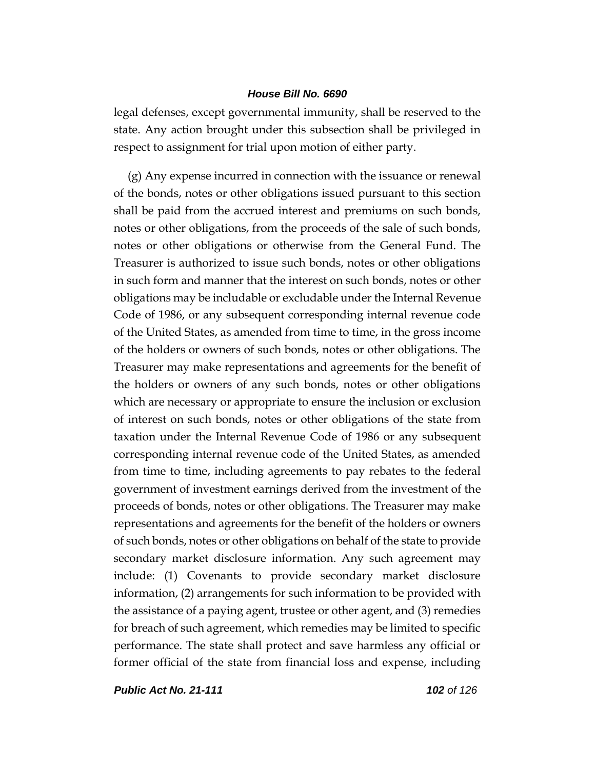legal defenses, except governmental immunity, shall be reserved to the state. Any action brought under this subsection shall be privileged in respect to assignment for trial upon motion of either party.

(g) Any expense incurred in connection with the issuance or renewal of the bonds, notes or other obligations issued pursuant to this section shall be paid from the accrued interest and premiums on such bonds, notes or other obligations, from the proceeds of the sale of such bonds, notes or other obligations or otherwise from the General Fund. The Treasurer is authorized to issue such bonds, notes or other obligations in such form and manner that the interest on such bonds, notes or other obligations may be includable or excludable under the Internal Revenue Code of 1986, or any subsequent corresponding internal revenue code of the United States, as amended from time to time, in the gross income of the holders or owners of such bonds, notes or other obligations. The Treasurer may make representations and agreements for the benefit of the holders or owners of any such bonds, notes or other obligations which are necessary or appropriate to ensure the inclusion or exclusion of interest on such bonds, notes or other obligations of the state from taxation under the Internal Revenue Code of 1986 or any subsequent corresponding internal revenue code of the United States, as amended from time to time, including agreements to pay rebates to the federal government of investment earnings derived from the investment of the proceeds of bonds, notes or other obligations. The Treasurer may make representations and agreements for the benefit of the holders or owners of such bonds, notes or other obligations on behalf of the state to provide secondary market disclosure information. Any such agreement may include: (1) Covenants to provide secondary market disclosure information, (2) arrangements for such information to be provided with the assistance of a paying agent, trustee or other agent, and (3) remedies for breach of such agreement, which remedies may be limited to specific performance. The state shall protect and save harmless any official or former official of the state from financial loss and expense, including

*Public Act No. 21-111 102 of 126*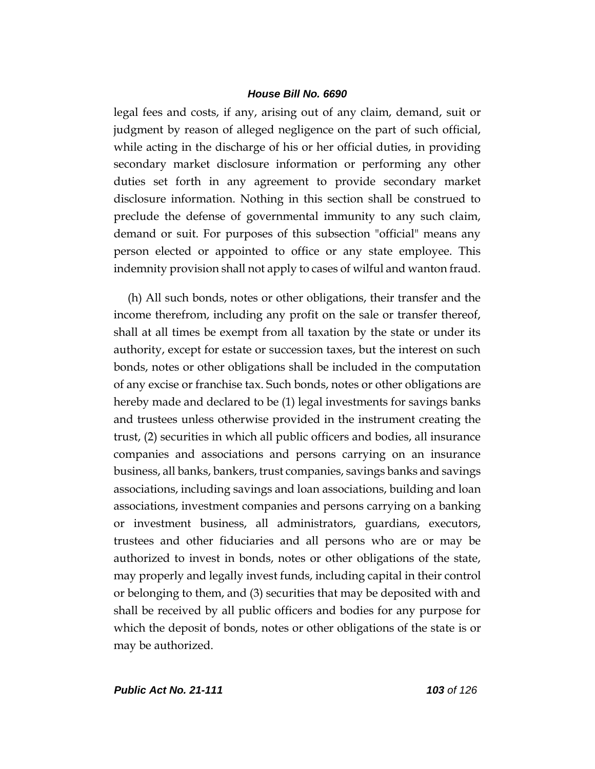legal fees and costs, if any, arising out of any claim, demand, suit or judgment by reason of alleged negligence on the part of such official, while acting in the discharge of his or her official duties, in providing secondary market disclosure information or performing any other duties set forth in any agreement to provide secondary market disclosure information. Nothing in this section shall be construed to preclude the defense of governmental immunity to any such claim, demand or suit. For purposes of this subsection "official" means any person elected or appointed to office or any state employee. This indemnity provision shall not apply to cases of wilful and wanton fraud.

(h) All such bonds, notes or other obligations, their transfer and the income therefrom, including any profit on the sale or transfer thereof, shall at all times be exempt from all taxation by the state or under its authority, except for estate or succession taxes, but the interest on such bonds, notes or other obligations shall be included in the computation of any excise or franchise tax. Such bonds, notes or other obligations are hereby made and declared to be (1) legal investments for savings banks and trustees unless otherwise provided in the instrument creating the trust, (2) securities in which all public officers and bodies, all insurance companies and associations and persons carrying on an insurance business, all banks, bankers, trust companies, savings banks and savings associations, including savings and loan associations, building and loan associations, investment companies and persons carrying on a banking or investment business, all administrators, guardians, executors, trustees and other fiduciaries and all persons who are or may be authorized to invest in bonds, notes or other obligations of the state, may properly and legally invest funds, including capital in their control or belonging to them, and (3) securities that may be deposited with and shall be received by all public officers and bodies for any purpose for which the deposit of bonds, notes or other obligations of the state is or may be authorized.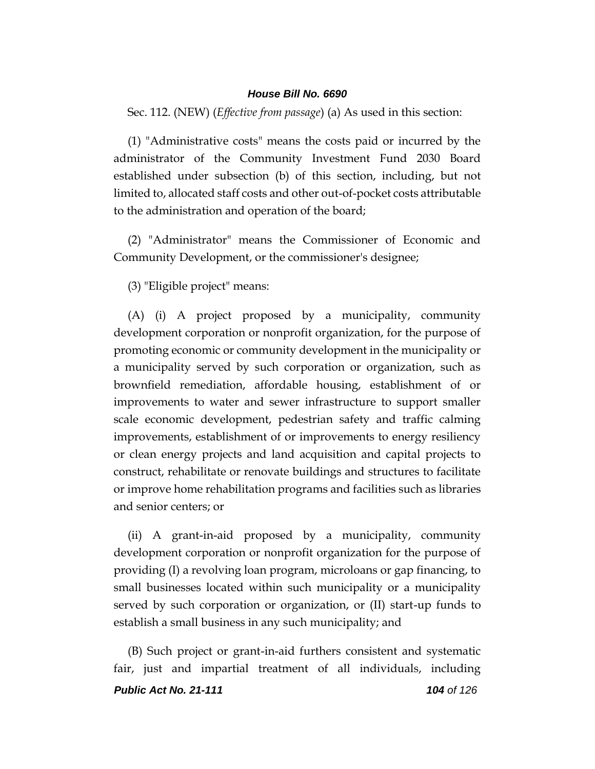Sec. 112. (NEW) (*Effective from passage*) (a) As used in this section:

(1) "Administrative costs" means the costs paid or incurred by the administrator of the Community Investment Fund 2030 Board established under subsection (b) of this section, including, but not limited to, allocated staff costs and other out-of-pocket costs attributable to the administration and operation of the board;

(2) "Administrator" means the Commissioner of Economic and Community Development, or the commissioner's designee;

(3) "Eligible project" means:

(A) (i) A project proposed by a municipality, community development corporation or nonprofit organization, for the purpose of promoting economic or community development in the municipality or a municipality served by such corporation or organization, such as brownfield remediation, affordable housing, establishment of or improvements to water and sewer infrastructure to support smaller scale economic development, pedestrian safety and traffic calming improvements, establishment of or improvements to energy resiliency or clean energy projects and land acquisition and capital projects to construct, rehabilitate or renovate buildings and structures to facilitate or improve home rehabilitation programs and facilities such as libraries and senior centers; or

(ii) A grant-in-aid proposed by a municipality, community development corporation or nonprofit organization for the purpose of providing (I) a revolving loan program, microloans or gap financing, to small businesses located within such municipality or a municipality served by such corporation or organization, or (II) start-up funds to establish a small business in any such municipality; and

*Public Act No. 21-111 104 of 126* (B) Such project or grant-in-aid furthers consistent and systematic fair, just and impartial treatment of all individuals, including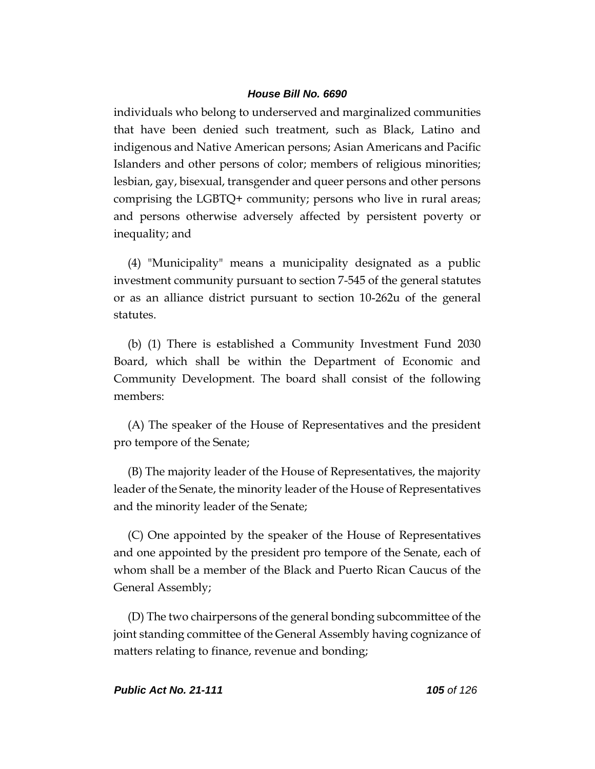individuals who belong to underserved and marginalized communities that have been denied such treatment, such as Black, Latino and indigenous and Native American persons; Asian Americans and Pacific Islanders and other persons of color; members of religious minorities; lesbian, gay, bisexual, transgender and queer persons and other persons comprising the LGBTQ+ community; persons who live in rural areas; and persons otherwise adversely affected by persistent poverty or inequality; and

(4) "Municipality" means a municipality designated as a public investment community pursuant to section 7-545 of the general statutes or as an alliance district pursuant to section 10-262u of the general statutes.

(b) (1) There is established a Community Investment Fund 2030 Board, which shall be within the Department of Economic and Community Development. The board shall consist of the following members:

(A) The speaker of the House of Representatives and the president pro tempore of the Senate;

(B) The majority leader of the House of Representatives, the majority leader of the Senate, the minority leader of the House of Representatives and the minority leader of the Senate;

(C) One appointed by the speaker of the House of Representatives and one appointed by the president pro tempore of the Senate, each of whom shall be a member of the Black and Puerto Rican Caucus of the General Assembly;

(D) The two chairpersons of the general bonding subcommittee of the joint standing committee of the General Assembly having cognizance of matters relating to finance, revenue and bonding;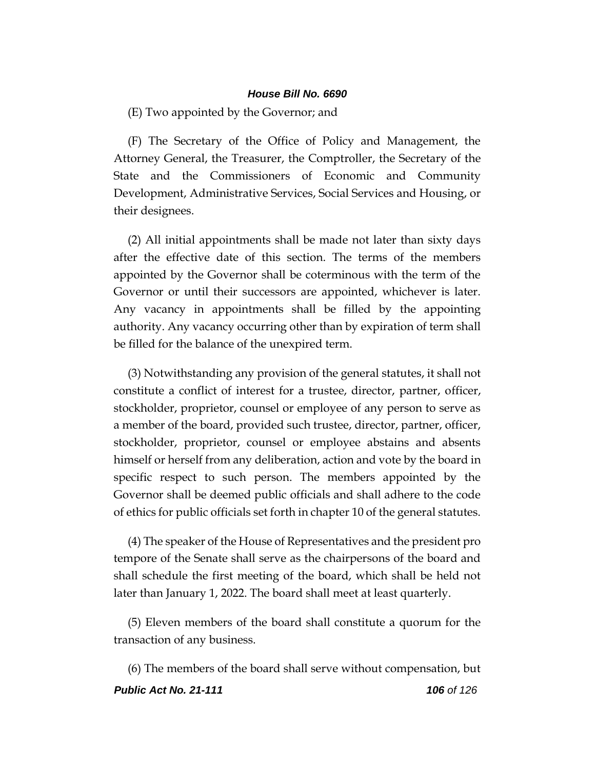(E) Two appointed by the Governor; and

(F) The Secretary of the Office of Policy and Management, the Attorney General, the Treasurer, the Comptroller, the Secretary of the State and the Commissioners of Economic and Community Development, Administrative Services, Social Services and Housing, or their designees.

(2) All initial appointments shall be made not later than sixty days after the effective date of this section. The terms of the members appointed by the Governor shall be coterminous with the term of the Governor or until their successors are appointed, whichever is later. Any vacancy in appointments shall be filled by the appointing authority. Any vacancy occurring other than by expiration of term shall be filled for the balance of the unexpired term.

(3) Notwithstanding any provision of the general statutes, it shall not constitute a conflict of interest for a trustee, director, partner, officer, stockholder, proprietor, counsel or employee of any person to serve as a member of the board, provided such trustee, director, partner, officer, stockholder, proprietor, counsel or employee abstains and absents himself or herself from any deliberation, action and vote by the board in specific respect to such person. The members appointed by the Governor shall be deemed public officials and shall adhere to the code of ethics for public officials set forth in chapter 10 of the general statutes.

(4) The speaker of the House of Representatives and the president pro tempore of the Senate shall serve as the chairpersons of the board and shall schedule the first meeting of the board, which shall be held not later than January 1, 2022. The board shall meet at least quarterly.

(5) Eleven members of the board shall constitute a quorum for the transaction of any business.

*Public Act No. 21-111 106 of 126* (6) The members of the board shall serve without compensation, but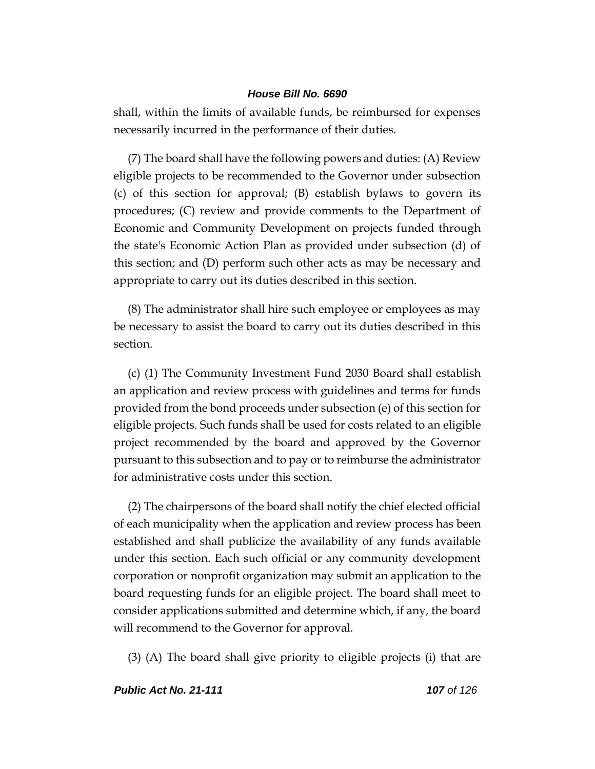shall, within the limits of available funds, be reimbursed for expenses necessarily incurred in the performance of their duties.

(7) The board shall have the following powers and duties: (A) Review eligible projects to be recommended to the Governor under subsection (c) of this section for approval; (B) establish bylaws to govern its procedures; (C) review and provide comments to the Department of Economic and Community Development on projects funded through the state's Economic Action Plan as provided under subsection (d) of this section; and (D) perform such other acts as may be necessary and appropriate to carry out its duties described in this section.

(8) The administrator shall hire such employee or employees as may be necessary to assist the board to carry out its duties described in this section.

(c) (1) The Community Investment Fund 2030 Board shall establish an application and review process with guidelines and terms for funds provided from the bond proceeds under subsection (e) of this section for eligible projects. Such funds shall be used for costs related to an eligible project recommended by the board and approved by the Governor pursuant to this subsection and to pay or to reimburse the administrator for administrative costs under this section.

(2) The chairpersons of the board shall notify the chief elected official of each municipality when the application and review process has been established and shall publicize the availability of any funds available under this section. Each such official or any community development corporation or nonprofit organization may submit an application to the board requesting funds for an eligible project. The board shall meet to consider applications submitted and determine which, if any, the board will recommend to the Governor for approval.

(3) (A) The board shall give priority to eligible projects (i) that are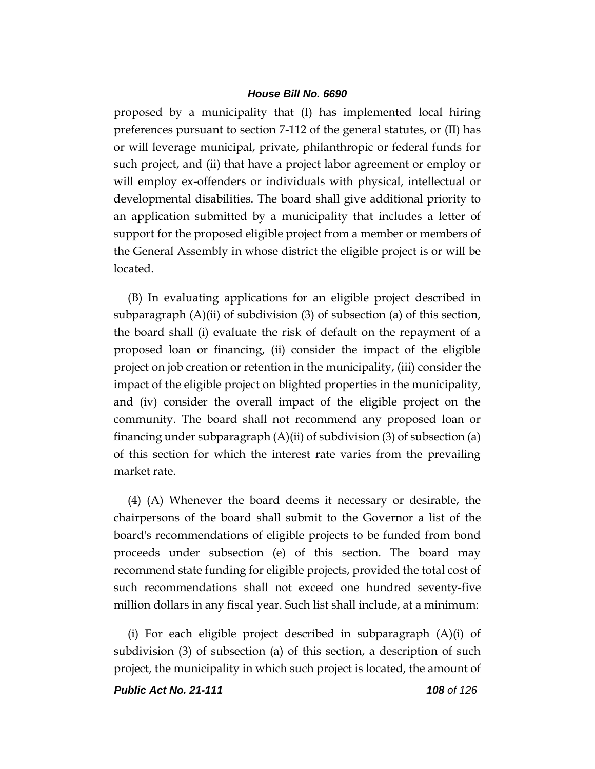proposed by a municipality that (I) has implemented local hiring preferences pursuant to section 7-112 of the general statutes, or (II) has or will leverage municipal, private, philanthropic or federal funds for such project, and (ii) that have a project labor agreement or employ or will employ ex-offenders or individuals with physical, intellectual or developmental disabilities. The board shall give additional priority to an application submitted by a municipality that includes a letter of support for the proposed eligible project from a member or members of the General Assembly in whose district the eligible project is or will be located.

(B) In evaluating applications for an eligible project described in subparagraph  $(A)(ii)$  of subdivision  $(3)$  of subsection  $(a)$  of this section, the board shall (i) evaluate the risk of default on the repayment of a proposed loan or financing, (ii) consider the impact of the eligible project on job creation or retention in the municipality, (iii) consider the impact of the eligible project on blighted properties in the municipality, and (iv) consider the overall impact of the eligible project on the community. The board shall not recommend any proposed loan or financing under subparagraph  $(A)(ii)$  of subdivision  $(3)$  of subsection  $(a)$ of this section for which the interest rate varies from the prevailing market rate.

(4) (A) Whenever the board deems it necessary or desirable, the chairpersons of the board shall submit to the Governor a list of the board's recommendations of eligible projects to be funded from bond proceeds under subsection (e) of this section. The board may recommend state funding for eligible projects, provided the total cost of such recommendations shall not exceed one hundred seventy-five million dollars in any fiscal year. Such list shall include, at a minimum:

(i) For each eligible project described in subparagraph (A)(i) of subdivision (3) of subsection (a) of this section, a description of such project, the municipality in which such project is located, the amount of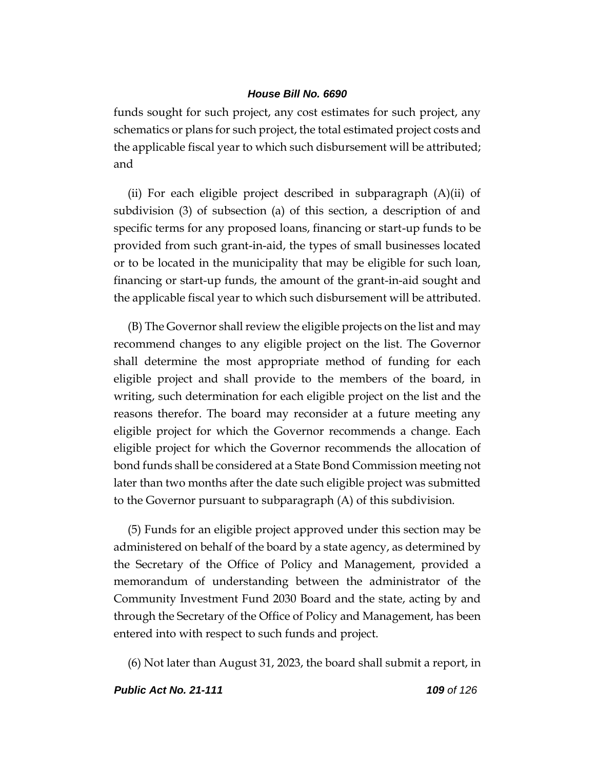funds sought for such project, any cost estimates for such project, any schematics or plans for such project, the total estimated project costs and the applicable fiscal year to which such disbursement will be attributed; and

(ii) For each eligible project described in subparagraph (A)(ii) of subdivision (3) of subsection (a) of this section, a description of and specific terms for any proposed loans, financing or start-up funds to be provided from such grant-in-aid, the types of small businesses located or to be located in the municipality that may be eligible for such loan, financing or start-up funds, the amount of the grant-in-aid sought and the applicable fiscal year to which such disbursement will be attributed.

(B) The Governor shall review the eligible projects on the list and may recommend changes to any eligible project on the list. The Governor shall determine the most appropriate method of funding for each eligible project and shall provide to the members of the board, in writing, such determination for each eligible project on the list and the reasons therefor. The board may reconsider at a future meeting any eligible project for which the Governor recommends a change. Each eligible project for which the Governor recommends the allocation of bond funds shall be considered at a State Bond Commission meeting not later than two months after the date such eligible project was submitted to the Governor pursuant to subparagraph (A) of this subdivision.

(5) Funds for an eligible project approved under this section may be administered on behalf of the board by a state agency, as determined by the Secretary of the Office of Policy and Management, provided a memorandum of understanding between the administrator of the Community Investment Fund 2030 Board and the state, acting by and through the Secretary of the Office of Policy and Management, has been entered into with respect to such funds and project.

(6) Not later than August 31, 2023, the board shall submit a report, in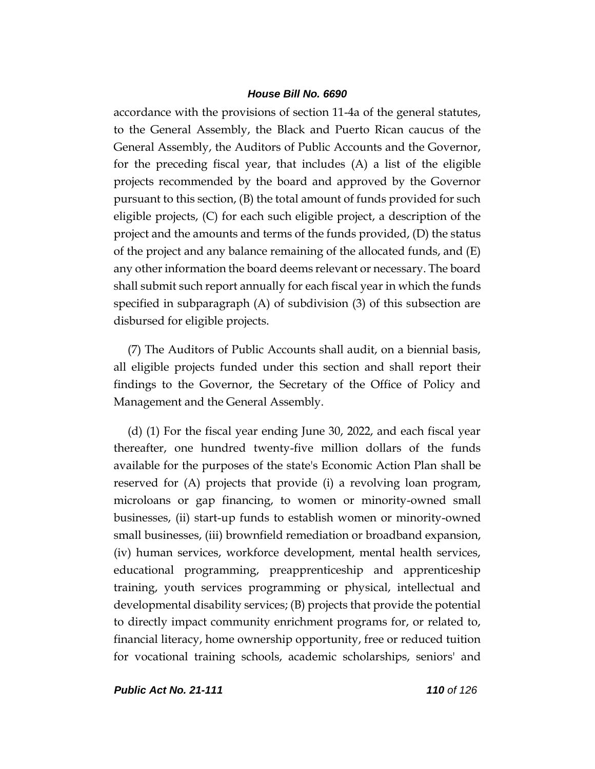accordance with the provisions of section 11-4a of the general statutes, to the General Assembly, the Black and Puerto Rican caucus of the General Assembly, the Auditors of Public Accounts and the Governor, for the preceding fiscal year, that includes (A) a list of the eligible projects recommended by the board and approved by the Governor pursuant to this section, (B) the total amount of funds provided for such eligible projects, (C) for each such eligible project, a description of the project and the amounts and terms of the funds provided, (D) the status of the project and any balance remaining of the allocated funds, and (E) any other information the board deems relevant or necessary. The board shall submit such report annually for each fiscal year in which the funds specified in subparagraph (A) of subdivision (3) of this subsection are disbursed for eligible projects.

(7) The Auditors of Public Accounts shall audit, on a biennial basis, all eligible projects funded under this section and shall report their findings to the Governor, the Secretary of the Office of Policy and Management and the General Assembly.

(d) (1) For the fiscal year ending June 30, 2022, and each fiscal year thereafter, one hundred twenty-five million dollars of the funds available for the purposes of the state's Economic Action Plan shall be reserved for (A) projects that provide (i) a revolving loan program, microloans or gap financing, to women or minority-owned small businesses, (ii) start-up funds to establish women or minority-owned small businesses, (iii) brownfield remediation or broadband expansion, (iv) human services, workforce development, mental health services, educational programming, preapprenticeship and apprenticeship training, youth services programming or physical, intellectual and developmental disability services; (B) projects that provide the potential to directly impact community enrichment programs for, or related to, financial literacy, home ownership opportunity, free or reduced tuition for vocational training schools, academic scholarships, seniors' and

*Public Act No. 21-111 110 of 126*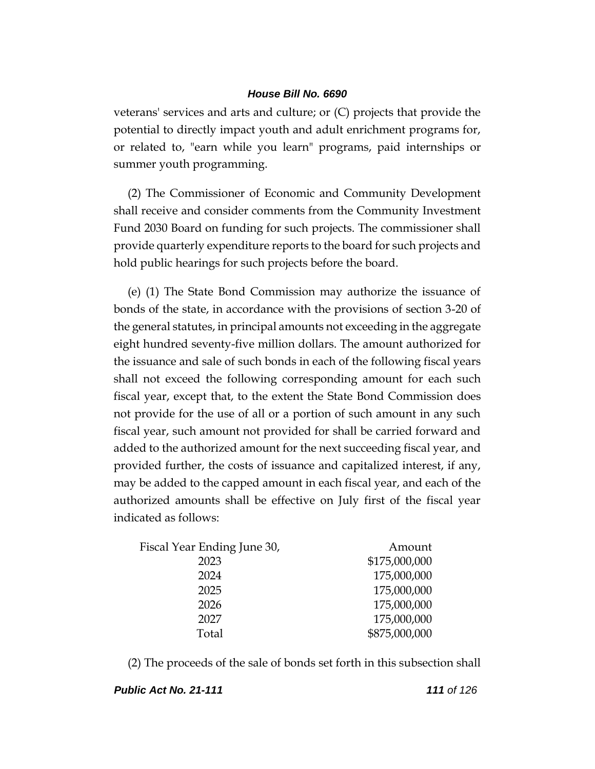veterans' services and arts and culture; or (C) projects that provide the potential to directly impact youth and adult enrichment programs for, or related to, "earn while you learn" programs, paid internships or summer youth programming.

(2) The Commissioner of Economic and Community Development shall receive and consider comments from the Community Investment Fund 2030 Board on funding for such projects. The commissioner shall provide quarterly expenditure reports to the board for such projects and hold public hearings for such projects before the board.

(e) (1) The State Bond Commission may authorize the issuance of bonds of the state, in accordance with the provisions of section 3-20 of the general statutes, in principal amounts not exceeding in the aggregate eight hundred seventy-five million dollars. The amount authorized for the issuance and sale of such bonds in each of the following fiscal years shall not exceed the following corresponding amount for each such fiscal year, except that, to the extent the State Bond Commission does not provide for the use of all or a portion of such amount in any such fiscal year, such amount not provided for shall be carried forward and added to the authorized amount for the next succeeding fiscal year, and provided further, the costs of issuance and capitalized interest, if any, may be added to the capped amount in each fiscal year, and each of the authorized amounts shall be effective on July first of the fiscal year indicated as follows:

| Fiscal Year Ending June 30, | Amount        |
|-----------------------------|---------------|
| 2023                        | \$175,000,000 |
| 2024                        | 175,000,000   |
| 2025                        | 175,000,000   |
| 2026                        | 175,000,000   |
| 2027                        | 175,000,000   |
| Total                       | \$875,000,000 |
|                             |               |

(2) The proceeds of the sale of bonds set forth in this subsection shall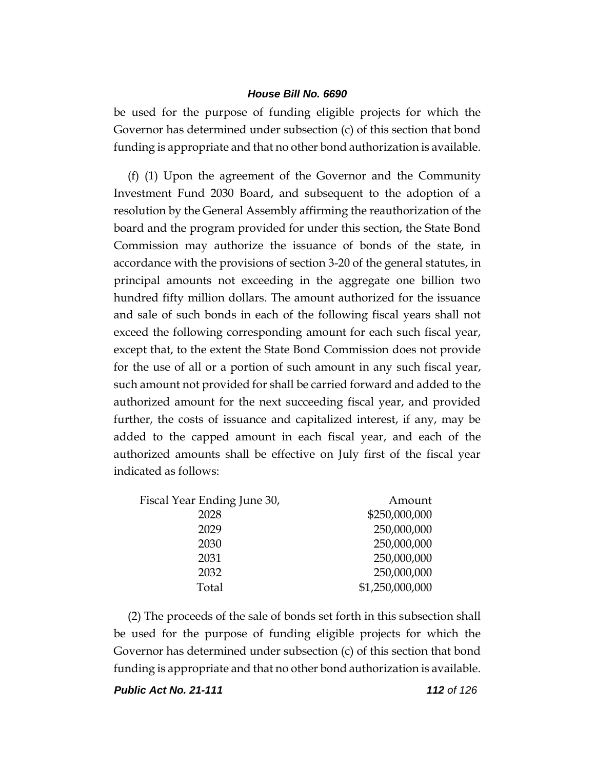be used for the purpose of funding eligible projects for which the Governor has determined under subsection (c) of this section that bond funding is appropriate and that no other bond authorization is available.

(f) (1) Upon the agreement of the Governor and the Community Investment Fund 2030 Board, and subsequent to the adoption of a resolution by the General Assembly affirming the reauthorization of the board and the program provided for under this section, the State Bond Commission may authorize the issuance of bonds of the state, in accordance with the provisions of section 3-20 of the general statutes, in principal amounts not exceeding in the aggregate one billion two hundred fifty million dollars. The amount authorized for the issuance and sale of such bonds in each of the following fiscal years shall not exceed the following corresponding amount for each such fiscal year, except that, to the extent the State Bond Commission does not provide for the use of all or a portion of such amount in any such fiscal year, such amount not provided for shall be carried forward and added to the authorized amount for the next succeeding fiscal year, and provided further, the costs of issuance and capitalized interest, if any, may be added to the capped amount in each fiscal year, and each of the authorized amounts shall be effective on July first of the fiscal year indicated as follows:

| Fiscal Year Ending June 30, | Amount          |
|-----------------------------|-----------------|
| 2028                        | \$250,000,000   |
| 2029                        | 250,000,000     |
| 2030                        | 250,000,000     |
| 2031                        | 250,000,000     |
| 2032                        | 250,000,000     |
| Total                       | \$1,250,000,000 |

(2) The proceeds of the sale of bonds set forth in this subsection shall be used for the purpose of funding eligible projects for which the Governor has determined under subsection (c) of this section that bond funding is appropriate and that no other bond authorization is available.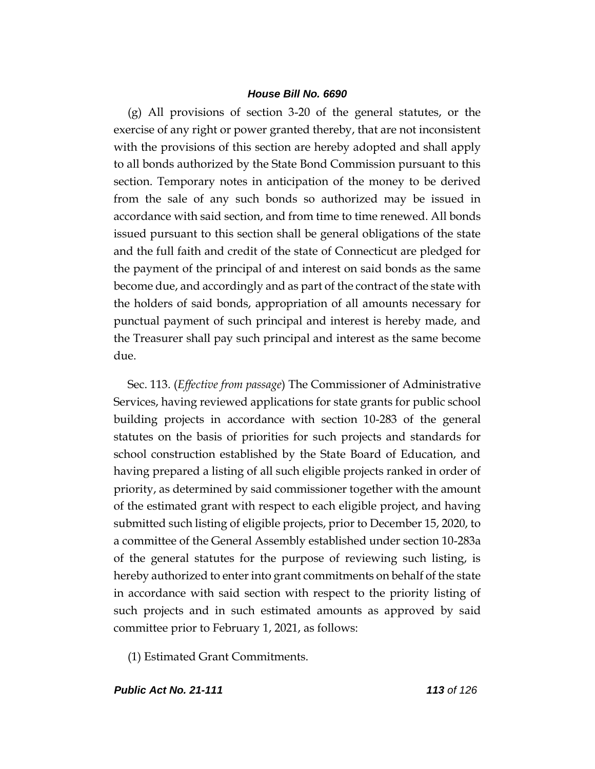(g) All provisions of section 3-20 of the general statutes, or the exercise of any right or power granted thereby, that are not inconsistent with the provisions of this section are hereby adopted and shall apply to all bonds authorized by the State Bond Commission pursuant to this section. Temporary notes in anticipation of the money to be derived from the sale of any such bonds so authorized may be issued in accordance with said section, and from time to time renewed. All bonds issued pursuant to this section shall be general obligations of the state and the full faith and credit of the state of Connecticut are pledged for the payment of the principal of and interest on said bonds as the same become due, and accordingly and as part of the contract of the state with the holders of said bonds, appropriation of all amounts necessary for punctual payment of such principal and interest is hereby made, and the Treasurer shall pay such principal and interest as the same become due.

Sec. 113. (*Effective from passage*) The Commissioner of Administrative Services, having reviewed applications for state grants for public school building projects in accordance with section 10-283 of the general statutes on the basis of priorities for such projects and standards for school construction established by the State Board of Education, and having prepared a listing of all such eligible projects ranked in order of priority, as determined by said commissioner together with the amount of the estimated grant with respect to each eligible project, and having submitted such listing of eligible projects, prior to December 15, 2020, to a committee of the General Assembly established under section 10-283a of the general statutes for the purpose of reviewing such listing, is hereby authorized to enter into grant commitments on behalf of the state in accordance with said section with respect to the priority listing of such projects and in such estimated amounts as approved by said committee prior to February 1, 2021, as follows:

(1) Estimated Grant Commitments.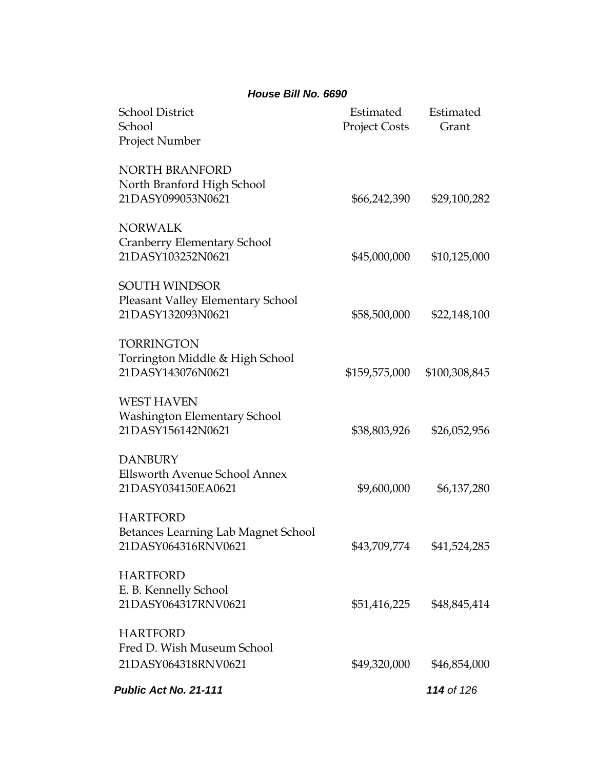| Public Act No. 21-111                                                                |               | 114 of 126    |
|--------------------------------------------------------------------------------------|---------------|---------------|
| <b>HARTFORD</b><br>Fred D. Wish Museum School<br>21DASY064318RNV0621                 | \$49,320,000  | \$46,854,000  |
| <b>HARTFORD</b><br>E. B. Kennelly School<br>21DASY064317RNV0621                      | \$51,416,225  | \$48,845,414  |
| <b>HARTFORD</b><br><b>Betances Learning Lab Magnet School</b><br>21DASY064316RNV0621 | \$43,709,774  | \$41,524,285  |
| <b>DANBURY</b><br><b>Ellsworth Avenue School Annex</b><br>21DASY034150EA0621         | \$9,600,000   | \$6,137,280   |
| <b>WEST HAVEN</b><br><b>Washington Elementary School</b><br>21DASY156142N0621        | \$38,803,926  | \$26,052,956  |
| TORRINGTON<br>Torrington Middle & High School<br>21DASY143076N0621                   | \$159,575,000 | \$100,308,845 |
| <b>SOUTH WINDSOR</b><br>Pleasant Valley Elementary School<br>21DASY132093N0621       | \$58,500,000  | \$22,148,100  |
| <b>NORWALK</b><br>Cranberry Elementary School<br>21DASY103252N0621                   | \$45,000,000  | \$10,125,000  |
| <b>NORTH BRANFORD</b><br>North Branford High School<br>21DASY099053N0621             | \$66,242,390  | \$29,100,282  |
| School<br>Project Number                                                             | Project Costs | Grant         |
| <b>School District</b>                                                               | Estimated     | Estimated     |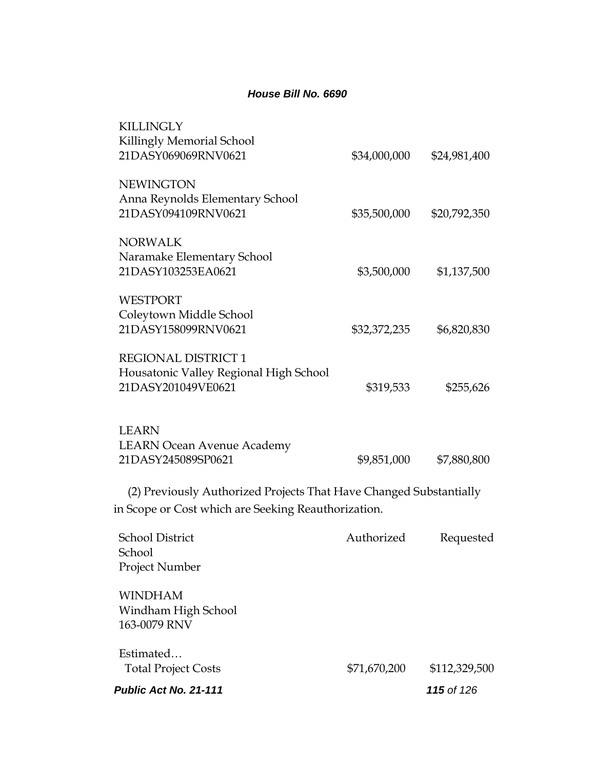| Public Act No. 21-111                                                                      |              | 115 of 126    |
|--------------------------------------------------------------------------------------------|--------------|---------------|
| Estimated<br><b>Total Project Costs</b>                                                    | \$71,670,200 | \$112,329,500 |
| WINDHAM<br>Windham High School<br>163-0079 RNV                                             |              |               |
| School<br>Project Number                                                                   |              |               |
| in Scope or Cost which are Seeking Reauthorization.<br><b>School District</b>              | Authorized   | Requested     |
| (2) Previously Authorized Projects That Have Changed Substantially                         |              |               |
| <b>LEARN</b><br><b>LEARN Ocean Avenue Academy</b><br>21DASY245089SP0621                    | \$9,851,000  | \$7,880,800   |
| <b>REGIONAL DISTRICT 1</b><br>Housatonic Valley Regional High School<br>21DASY201049VE0621 | \$319,533    | \$255,626     |
| WESTPORT<br>Coleytown Middle School<br>21DASY158099RNV0621                                 | \$32,372,235 | \$6,820,830   |
| <b>NORWALK</b><br>Naramake Elementary School<br>21DASY103253EA0621                         | \$3,500,000  | \$1,137,500   |
| <b>NEWINGTON</b><br>Anna Reynolds Elementary School<br>21DASY094109RNV0621                 | \$35,500,000 | \$20,792,350  |
| <b>KILLINGLY</b><br>Killingly Memorial School<br>21DASY069069RNV0621                       | \$34,000,000 | \$24,981,400  |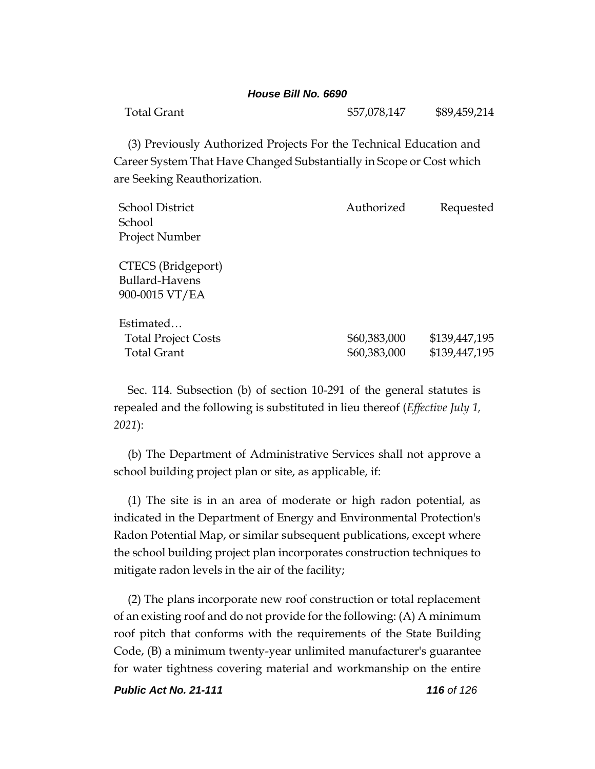Total Grant  $$57,078,147$   $$89,459,214$ 

(3) Previously Authorized Projects For the Technical Education and Career System That Have Changed Substantially in Scope or Cost which are Seeking Reauthorization.

| <b>School District</b>     | Authorized   | Requested     |
|----------------------------|--------------|---------------|
| School                     |              |               |
| Project Number             |              |               |
| CTECS (Bridgeport)         |              |               |
| Bullard-Havens             |              |               |
| 900-0015 VT/EA             |              |               |
| Estimated                  |              |               |
| <b>Total Project Costs</b> | \$60,383,000 | \$139,447,195 |
| <b>Total Grant</b>         | \$60,383,000 | \$139,447,195 |
|                            |              |               |

Sec. 114. Subsection (b) of section 10-291 of the general statutes is repealed and the following is substituted in lieu thereof (*Effective July 1, 2021*):

(b) The Department of Administrative Services shall not approve a school building project plan or site, as applicable, if:

(1) The site is in an area of moderate or high radon potential, as indicated in the Department of Energy and Environmental Protection's Radon Potential Map, or similar subsequent publications, except where the school building project plan incorporates construction techniques to mitigate radon levels in the air of the facility;

(2) The plans incorporate new roof construction or total replacement of an existing roof and do not provide for the following: (A) A minimum roof pitch that conforms with the requirements of the State Building Code, (B) a minimum twenty-year unlimited manufacturer's guarantee for water tightness covering material and workmanship on the entire

*Public Act No. 21-111 116 of 126*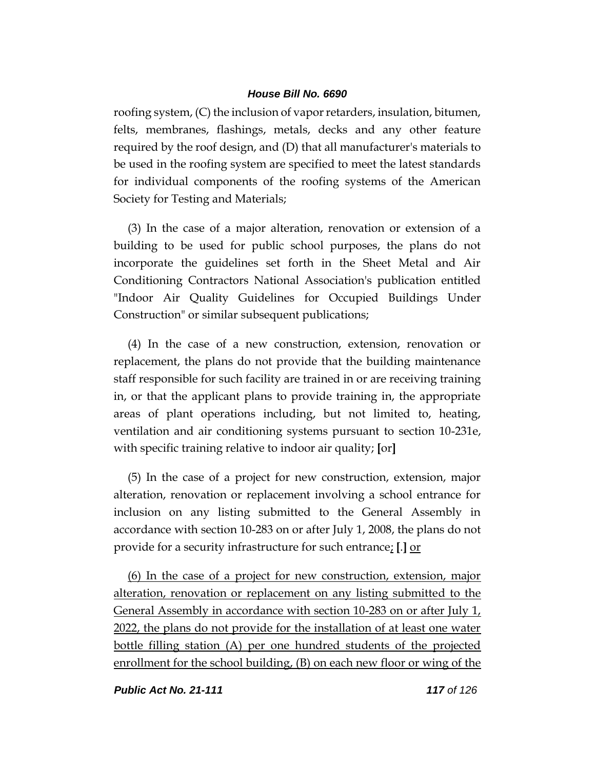roofing system, (C) the inclusion of vapor retarders, insulation, bitumen, felts, membranes, flashings, metals, decks and any other feature required by the roof design, and (D) that all manufacturer's materials to be used in the roofing system are specified to meet the latest standards for individual components of the roofing systems of the American Society for Testing and Materials;

(3) In the case of a major alteration, renovation or extension of a building to be used for public school purposes, the plans do not incorporate the guidelines set forth in the Sheet Metal and Air Conditioning Contractors National Association's publication entitled "Indoor Air Quality Guidelines for Occupied Buildings Under Construction" or similar subsequent publications;

(4) In the case of a new construction, extension, renovation or replacement, the plans do not provide that the building maintenance staff responsible for such facility are trained in or are receiving training in, or that the applicant plans to provide training in, the appropriate areas of plant operations including, but not limited to, heating, ventilation and air conditioning systems pursuant to section 10-231e, with specific training relative to indoor air quality; **[**or**]**

(5) In the case of a project for new construction, extension, major alteration, renovation or replacement involving a school entrance for inclusion on any listing submitted to the General Assembly in accordance with section 10-283 on or after July 1, 2008, the plans do not provide for a security infrastructure for such entrance; **[**.**]** or

(6) In the case of a project for new construction, extension, major alteration, renovation or replacement on any listing submitted to the General Assembly in accordance with section 10-283 on or after July 1, 2022, the plans do not provide for the installation of at least one water bottle filling station (A) per one hundred students of the projected enrollment for the school building, (B) on each new floor or wing of the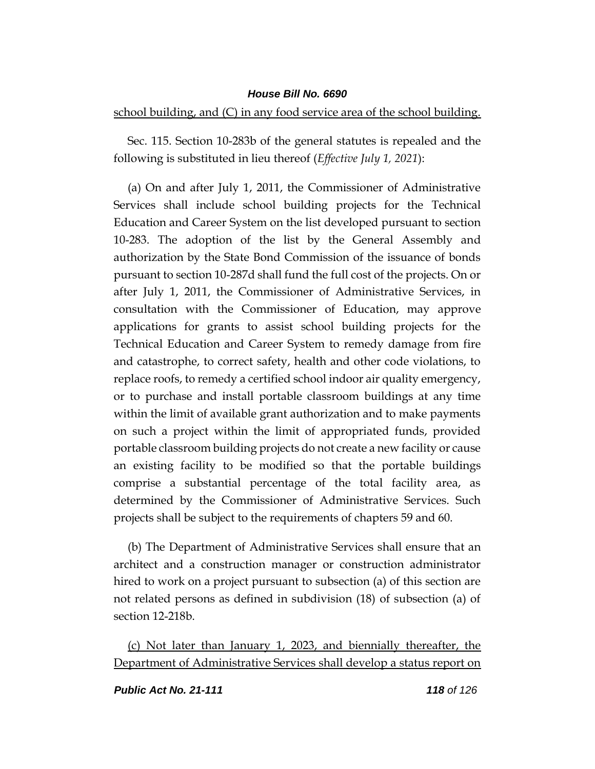school building, and (C) in any food service area of the school building.

Sec. 115. Section 10-283b of the general statutes is repealed and the following is substituted in lieu thereof (*Effective July 1, 2021*):

(a) On and after July 1, 2011, the Commissioner of Administrative Services shall include school building projects for the Technical Education and Career System on the list developed pursuant to section 10-283. The adoption of the list by the General Assembly and authorization by the State Bond Commission of the issuance of bonds pursuant to section 10-287d shall fund the full cost of the projects. On or after July 1, 2011, the Commissioner of Administrative Services, in consultation with the Commissioner of Education, may approve applications for grants to assist school building projects for the Technical Education and Career System to remedy damage from fire and catastrophe, to correct safety, health and other code violations, to replace roofs, to remedy a certified school indoor air quality emergency, or to purchase and install portable classroom buildings at any time within the limit of available grant authorization and to make payments on such a project within the limit of appropriated funds, provided portable classroom building projects do not create a new facility or cause an existing facility to be modified so that the portable buildings comprise a substantial percentage of the total facility area, as determined by the Commissioner of Administrative Services. Such projects shall be subject to the requirements of chapters 59 and 60.

(b) The Department of Administrative Services shall ensure that an architect and a construction manager or construction administrator hired to work on a project pursuant to subsection (a) of this section are not related persons as defined in subdivision (18) of subsection (a) of section 12-218b.

(c) Not later than January 1, 2023, and biennially thereafter, the Department of Administrative Services shall develop a status report on

*Public Act No. 21-111 118 of 126*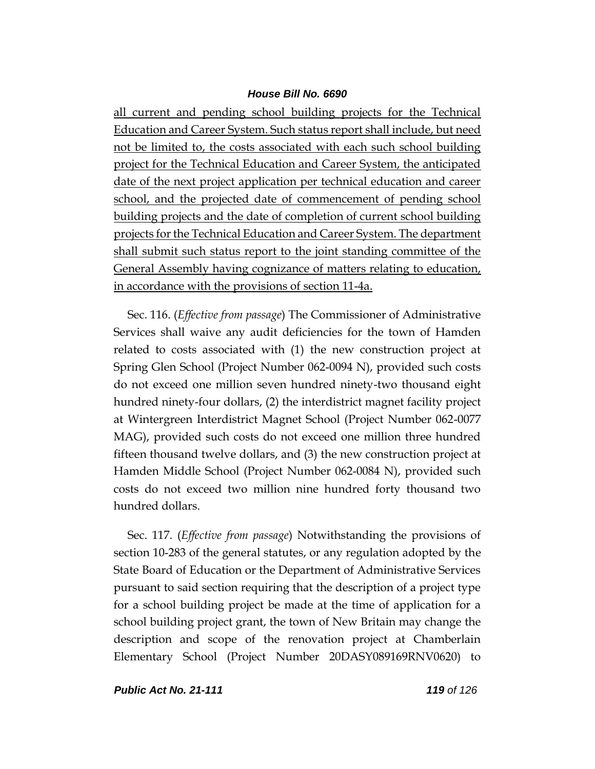all current and pending school building projects for the Technical Education and Career System. Such status report shall include, but need not be limited to, the costs associated with each such school building project for the Technical Education and Career System, the anticipated date of the next project application per technical education and career school, and the projected date of commencement of pending school building projects and the date of completion of current school building projects for the Technical Education and Career System. The department shall submit such status report to the joint standing committee of the General Assembly having cognizance of matters relating to education, in accordance with the provisions of section 11-4a.

Sec. 116. (*Effective from passage*) The Commissioner of Administrative Services shall waive any audit deficiencies for the town of Hamden related to costs associated with (1) the new construction project at Spring Glen School (Project Number 062-0094 N), provided such costs do not exceed one million seven hundred ninety-two thousand eight hundred ninety-four dollars, (2) the interdistrict magnet facility project at Wintergreen Interdistrict Magnet School (Project Number 062-0077 MAG), provided such costs do not exceed one million three hundred fifteen thousand twelve dollars, and (3) the new construction project at Hamden Middle School (Project Number 062-0084 N), provided such costs do not exceed two million nine hundred forty thousand two hundred dollars.

Sec. 117. (*Effective from passage*) Notwithstanding the provisions of section 10-283 of the general statutes, or any regulation adopted by the State Board of Education or the Department of Administrative Services pursuant to said section requiring that the description of a project type for a school building project be made at the time of application for a school building project grant, the town of New Britain may change the description and scope of the renovation project at Chamberlain Elementary School (Project Number 20DASY089169RNV0620) to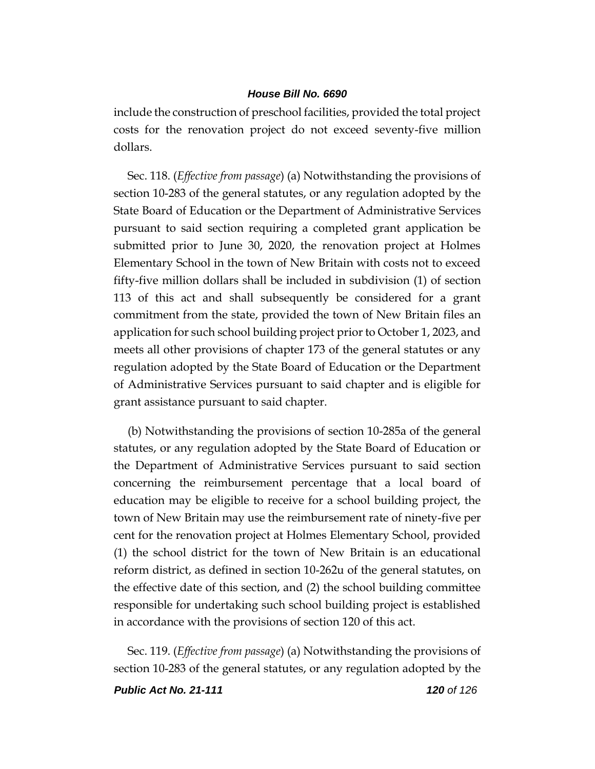include the construction of preschool facilities, provided the total project costs for the renovation project do not exceed seventy-five million dollars.

Sec. 118. (*Effective from passage*) (a) Notwithstanding the provisions of section 10-283 of the general statutes, or any regulation adopted by the State Board of Education or the Department of Administrative Services pursuant to said section requiring a completed grant application be submitted prior to June 30, 2020, the renovation project at Holmes Elementary School in the town of New Britain with costs not to exceed fifty-five million dollars shall be included in subdivision (1) of section 113 of this act and shall subsequently be considered for a grant commitment from the state, provided the town of New Britain files an application for such school building project prior to October 1, 2023, and meets all other provisions of chapter 173 of the general statutes or any regulation adopted by the State Board of Education or the Department of Administrative Services pursuant to said chapter and is eligible for grant assistance pursuant to said chapter.

(b) Notwithstanding the provisions of section 10-285a of the general statutes, or any regulation adopted by the State Board of Education or the Department of Administrative Services pursuant to said section concerning the reimbursement percentage that a local board of education may be eligible to receive for a school building project, the town of New Britain may use the reimbursement rate of ninety-five per cent for the renovation project at Holmes Elementary School, provided (1) the school district for the town of New Britain is an educational reform district, as defined in section 10-262u of the general statutes, on the effective date of this section, and (2) the school building committee responsible for undertaking such school building project is established in accordance with the provisions of section 120 of this act.

Sec. 119. (*Effective from passage*) (a) Notwithstanding the provisions of section 10-283 of the general statutes, or any regulation adopted by the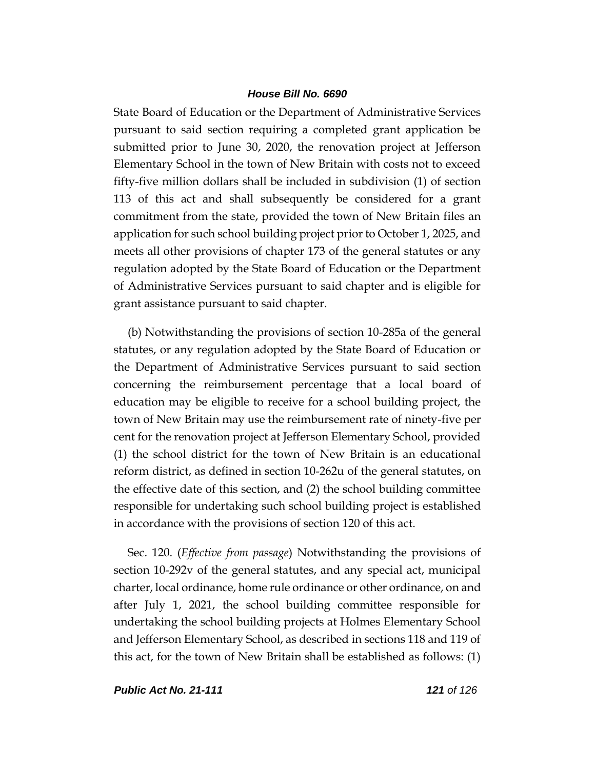State Board of Education or the Department of Administrative Services pursuant to said section requiring a completed grant application be submitted prior to June 30, 2020, the renovation project at Jefferson Elementary School in the town of New Britain with costs not to exceed fifty-five million dollars shall be included in subdivision (1) of section 113 of this act and shall subsequently be considered for a grant commitment from the state, provided the town of New Britain files an application for such school building project prior to October 1, 2025, and meets all other provisions of chapter 173 of the general statutes or any regulation adopted by the State Board of Education or the Department of Administrative Services pursuant to said chapter and is eligible for grant assistance pursuant to said chapter.

(b) Notwithstanding the provisions of section 10-285a of the general statutes, or any regulation adopted by the State Board of Education or the Department of Administrative Services pursuant to said section concerning the reimbursement percentage that a local board of education may be eligible to receive for a school building project, the town of New Britain may use the reimbursement rate of ninety-five per cent for the renovation project at Jefferson Elementary School, provided (1) the school district for the town of New Britain is an educational reform district, as defined in section 10-262u of the general statutes, on the effective date of this section, and (2) the school building committee responsible for undertaking such school building project is established in accordance with the provisions of section 120 of this act.

Sec. 120. (*Effective from passage*) Notwithstanding the provisions of section 10-292v of the general statutes, and any special act, municipal charter, local ordinance, home rule ordinance or other ordinance, on and after July 1, 2021, the school building committee responsible for undertaking the school building projects at Holmes Elementary School and Jefferson Elementary School, as described in sections 118 and 119 of this act, for the town of New Britain shall be established as follows: (1)

*Public Act No. 21-111 121 of 126*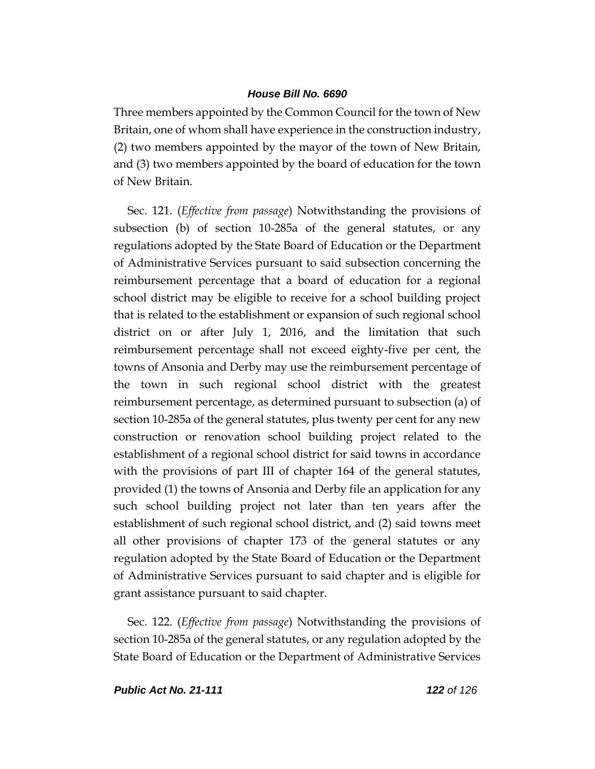Three members appointed by the Common Council for the town of New Britain, one of whom shall have experience in the construction industry, (2) two members appointed by the mayor of the town of New Britain, and (3) two members appointed by the board of education for the town of New Britain.

Sec. 121. (*Effective from passage*) Notwithstanding the provisions of subsection (b) of section 10-285a of the general statutes, or any regulations adopted by the State Board of Education or the Department of Administrative Services pursuant to said subsection concerning the reimbursement percentage that a board of education for a regional school district may be eligible to receive for a school building project that is related to the establishment or expansion of such regional school district on or after July 1, 2016, and the limitation that such reimbursement percentage shall not exceed eighty-five per cent, the towns of Ansonia and Derby may use the reimbursement percentage of the town in such regional school district with the greatest reimbursement percentage, as determined pursuant to subsection (a) of section 10-285a of the general statutes, plus twenty per cent for any new construction or renovation school building project related to the establishment of a regional school district for said towns in accordance with the provisions of part III of chapter 164 of the general statutes, provided (1) the towns of Ansonia and Derby file an application for any such school building project not later than ten years after the establishment of such regional school district, and (2) said towns meet all other provisions of chapter 173 of the general statutes or any regulation adopted by the State Board of Education or the Department of Administrative Services pursuant to said chapter and is eligible for grant assistance pursuant to said chapter.

Sec. 122. (*Effective from passage*) Notwithstanding the provisions of section 10-285a of the general statutes, or any regulation adopted by the State Board of Education or the Department of Administrative Services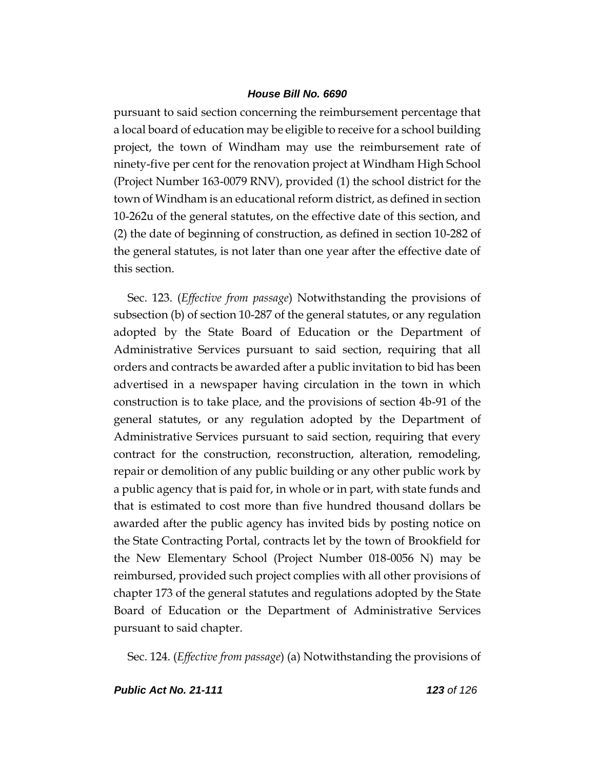pursuant to said section concerning the reimbursement percentage that a local board of education may be eligible to receive for a school building project, the town of Windham may use the reimbursement rate of ninety-five per cent for the renovation project at Windham High School (Project Number 163-0079 RNV), provided (1) the school district for the town of Windham is an educational reform district, as defined in section 10-262u of the general statutes, on the effective date of this section, and (2) the date of beginning of construction, as defined in section 10-282 of the general statutes, is not later than one year after the effective date of this section.

Sec. 123. (*Effective from passage*) Notwithstanding the provisions of subsection (b) of section 10-287 of the general statutes, or any regulation adopted by the State Board of Education or the Department of Administrative Services pursuant to said section, requiring that all orders and contracts be awarded after a public invitation to bid has been advertised in a newspaper having circulation in the town in which construction is to take place, and the provisions of section 4b-91 of the general statutes, or any regulation adopted by the Department of Administrative Services pursuant to said section, requiring that every contract for the construction, reconstruction, alteration, remodeling, repair or demolition of any public building or any other public work by a public agency that is paid for, in whole or in part, with state funds and that is estimated to cost more than five hundred thousand dollars be awarded after the public agency has invited bids by posting notice on the State Contracting Portal, contracts let by the town of Brookfield for the New Elementary School (Project Number 018-0056 N) may be reimbursed, provided such project complies with all other provisions of chapter 173 of the general statutes and regulations adopted by the State Board of Education or the Department of Administrative Services pursuant to said chapter.

Sec. 124. (*Effective from passage*) (a) Notwithstanding the provisions of

*Public Act No. 21-111 123 of 126*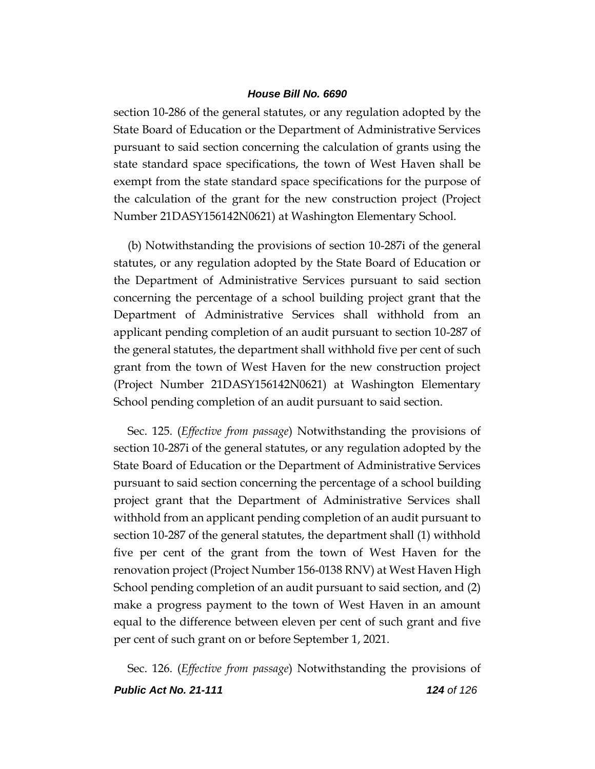section 10-286 of the general statutes, or any regulation adopted by the State Board of Education or the Department of Administrative Services pursuant to said section concerning the calculation of grants using the state standard space specifications, the town of West Haven shall be exempt from the state standard space specifications for the purpose of the calculation of the grant for the new construction project (Project Number 21DASY156142N0621) at Washington Elementary School.

(b) Notwithstanding the provisions of section 10-287i of the general statutes, or any regulation adopted by the State Board of Education or the Department of Administrative Services pursuant to said section concerning the percentage of a school building project grant that the Department of Administrative Services shall withhold from an applicant pending completion of an audit pursuant to section 10-287 of the general statutes, the department shall withhold five per cent of such grant from the town of West Haven for the new construction project (Project Number 21DASY156142N0621) at Washington Elementary School pending completion of an audit pursuant to said section.

Sec. 125. (*Effective from passage*) Notwithstanding the provisions of section 10-287i of the general statutes, or any regulation adopted by the State Board of Education or the Department of Administrative Services pursuant to said section concerning the percentage of a school building project grant that the Department of Administrative Services shall withhold from an applicant pending completion of an audit pursuant to section 10-287 of the general statutes, the department shall (1) withhold five per cent of the grant from the town of West Haven for the renovation project (Project Number 156-0138 RNV) at West Haven High School pending completion of an audit pursuant to said section, and (2) make a progress payment to the town of West Haven in an amount equal to the difference between eleven per cent of such grant and five per cent of such grant on or before September 1, 2021.

*Public Act No. 21-111 124 of 126* Sec. 126. (*Effective from passage*) Notwithstanding the provisions of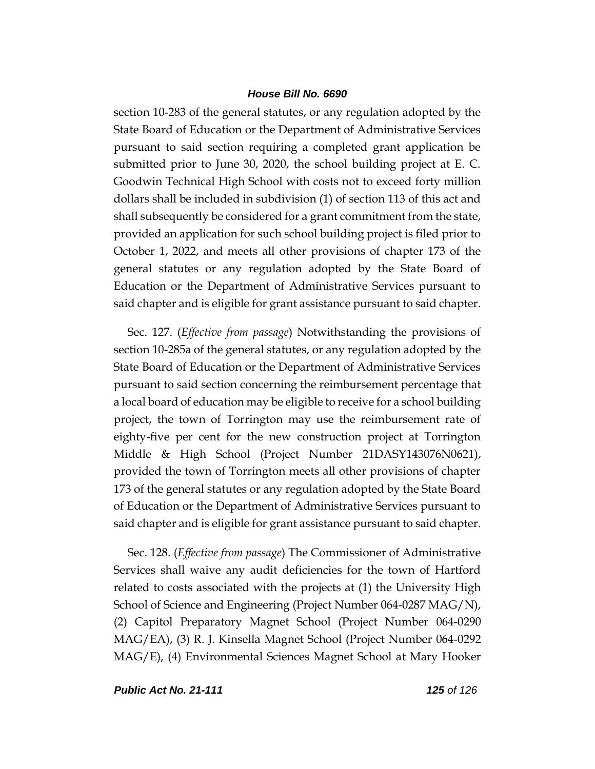section 10-283 of the general statutes, or any regulation adopted by the State Board of Education or the Department of Administrative Services pursuant to said section requiring a completed grant application be submitted prior to June 30, 2020, the school building project at E. C. Goodwin Technical High School with costs not to exceed forty million dollars shall be included in subdivision (1) of section 113 of this act and shall subsequently be considered for a grant commitment from the state, provided an application for such school building project is filed prior to October 1, 2022, and meets all other provisions of chapter 173 of the general statutes or any regulation adopted by the State Board of Education or the Department of Administrative Services pursuant to said chapter and is eligible for grant assistance pursuant to said chapter.

Sec. 127. (*Effective from passage*) Notwithstanding the provisions of section 10-285a of the general statutes, or any regulation adopted by the State Board of Education or the Department of Administrative Services pursuant to said section concerning the reimbursement percentage that a local board of education may be eligible to receive for a school building project, the town of Torrington may use the reimbursement rate of eighty-five per cent for the new construction project at Torrington Middle & High School (Project Number 21DASY143076N0621), provided the town of Torrington meets all other provisions of chapter 173 of the general statutes or any regulation adopted by the State Board of Education or the Department of Administrative Services pursuant to said chapter and is eligible for grant assistance pursuant to said chapter.

Sec. 128. (*Effective from passage*) The Commissioner of Administrative Services shall waive any audit deficiencies for the town of Hartford related to costs associated with the projects at (1) the University High School of Science and Engineering (Project Number 064-0287 MAG/N), (2) Capitol Preparatory Magnet School (Project Number 064-0290 MAG/EA), (3) R. J. Kinsella Magnet School (Project Number 064-0292 MAG/E), (4) Environmental Sciences Magnet School at Mary Hooker

*Public Act No. 21-111 125 of 126*